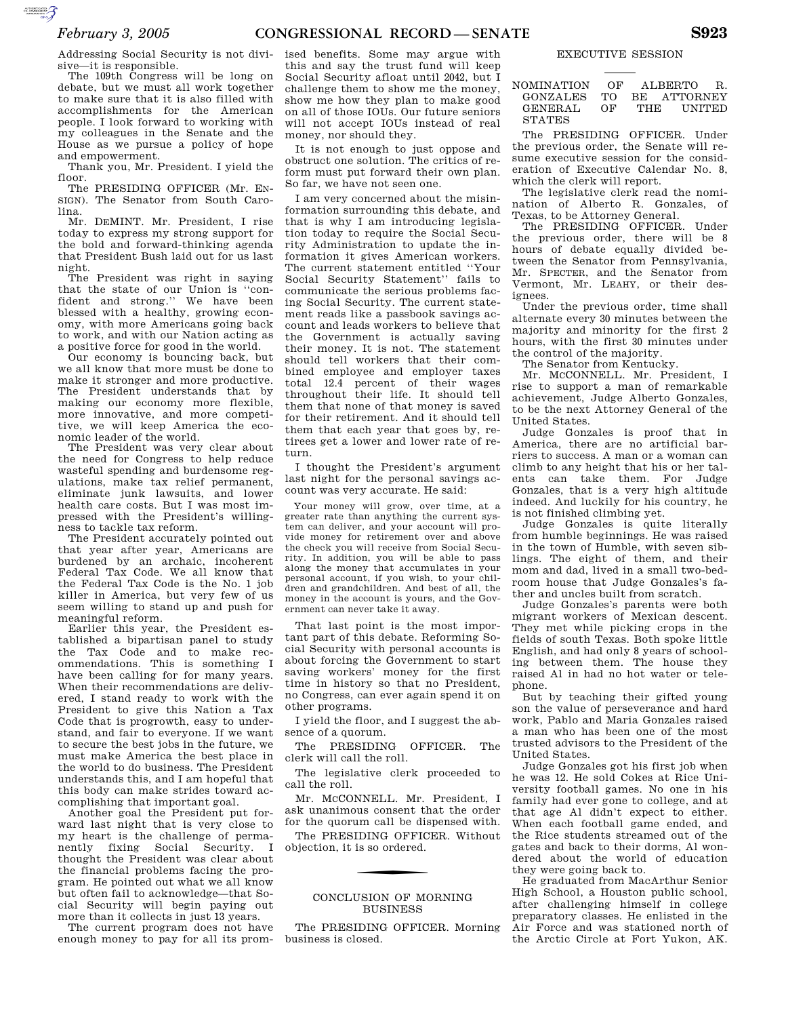Addressing Social Security is not divisive—it is responsible.

The 109th Congress will be long on debate, but we must all work together to make sure that it is also filled with accomplishments for the American people. I look forward to working with my colleagues in the Senate and the House as we pursue a policy of hope and empowerment.

Thank you, Mr. President. I yield the floor.

The PRESIDING OFFICER (Mr. EN-SIGN). The Senator from South Carolina.

Mr. DEMINT. Mr. President, I rise today to express my strong support for the bold and forward-thinking agenda that President Bush laid out for us last night.

The President was right in saying that the state of our Union is ''confident and strong.'' We have been blessed with a healthy, growing economy, with more Americans going back to work, and with our Nation acting as a positive force for good in the world.

Our economy is bouncing back, but we all know that more must be done to make it stronger and more productive. The President understands that by making our economy more flexible, more innovative, and more competitive, we will keep America the economic leader of the world.

The President was very clear about the need for Congress to help reduce wasteful spending and burdensome regulations, make tax relief permanent, eliminate junk lawsuits, and lower health care costs. But I was most impressed with the President's willingness to tackle tax reform.

The President accurately pointed out that year after year, Americans are burdened by an archaic, incoherent Federal Tax Code. We all know that the Federal Tax Code is the No. 1 job killer in America, but very few of us seem willing to stand up and push for meaningful reform.

Earlier this year, the President established a bipartisan panel to study the Tax Code and to make recommendations. This is something I have been calling for for many years. When their recommendations are delivered, I stand ready to work with the President to give this Nation a Tax Code that is progrowth, easy to understand, and fair to everyone. If we want to secure the best jobs in the future, we must make America the best place in the world to do business. The President understands this, and I am hopeful that this body can make strides toward accomplishing that important goal.

Another goal the President put forward last night that is very close to my heart is the challenge of permanently fixing Social Security. I thought the President was clear about the financial problems facing the program. He pointed out what we all know but often fail to acknowledge—that Social Security will begin paying out more than it collects in just 13 years.

The current program does not have enough money to pay for all its prom-

ised benefits. Some may argue with this and say the trust fund will keep Social Security afloat until 2042, but I challenge them to show me the money, show me how they plan to make good on all of those IOUs. Our future seniors will not accept IOUs instead of real money, nor should they.

It is not enough to just oppose and obstruct one solution. The critics of reform must put forward their own plan. So far, we have not seen one.

I am very concerned about the misinformation surrounding this debate, and that is why I am introducing legislation today to require the Social Security Administration to update the information it gives American workers. The current statement entitled ''Your Social Security Statement'' fails to communicate the serious problems facing Social Security. The current statement reads like a passbook savings account and leads workers to believe that the Government is actually saving their money. It is not. The statement should tell workers that their combined employee and employer taxes total 12.4 percent of their wages throughout their life. It should tell them that none of that money is saved for their retirement. And it should tell them that each year that goes by, retirees get a lower and lower rate of return.

I thought the President's argument last night for the personal savings account was very accurate. He said:

Your money will grow, over time, at a greater rate than anything the current system can deliver, and your account will provide money for retirement over and above the check you will receive from Social Security. In addition, you will be able to pass along the money that accumulates in your personal account, if you wish, to your children and grandchildren. And best of all, the money in the account is yours, and the Government can never take it away.

That last point is the most important part of this debate. Reforming Social Security with personal accounts is about forcing the Government to start saving workers' money for the first time in history so that no President, no Congress, can ever again spend it on other programs.

I yield the floor, and I suggest the absence of a quorum.

The PRESIDING OFFICER. The clerk will call the roll.

The legislative clerk proceeded to call the roll.

Mr. MCCONNELL. Mr. President, I ask unanimous consent that the order for the quorum call be dispensed with.

The PRESIDING OFFICER. Without objection, it is so ordered.

## CONCLUSION OF MORNING BUSINESS

The PRESIDING OFFICER. Morning business is closed.

# EXECUTIVE SESSION

NOMINATION OF ALBERTO R. GONZALES TO BE ATTORNEY GENERAL OF THE UNITED STATES

The PRESIDING OFFICER. Under the previous order, the Senate will resume executive session for the consideration of Executive Calendar No. 8, which the clerk will report.

The legislative clerk read the nomination of Alberto R. Gonzales, of Texas, to be Attorney General.

The PRESIDING OFFICER. Under the previous order, there will be 8 hours of debate equally divided between the Senator from Pennsylvania, Mr. SPECTER, and the Senator from Vermont, Mr. LEAHY, or their designees.

Under the previous order, time shall alternate every 30 minutes between the majority and minority for the first 2 hours, with the first 30 minutes under the control of the majority.

The Senator from Kentucky.

Mr. MCCONNELL. Mr. President, I rise to support a man of remarkable achievement, Judge Alberto Gonzales, to be the next Attorney General of the United States.

Judge Gonzales is proof that in America, there are no artificial barriers to success. A man or a woman can climb to any height that his or her talents can take them. For Judge Gonzales, that is a very high altitude indeed. And luckily for his country, he is not finished climbing yet.

Judge Gonzales is quite literally from humble beginnings. He was raised in the town of Humble, with seven siblings. The eight of them, and their mom and dad, lived in a small two-bedroom house that Judge Gonzales's father and uncles built from scratch.

Judge Gonzales's parents were both migrant workers of Mexican descent. They met while picking crops in the fields of south Texas. Both spoke little English, and had only 8 years of schooling between them. The house they raised Al in had no hot water or telephone.

But by teaching their gifted young son the value of perseverance and hard work, Pablo and Maria Gonzales raised a man who has been one of the most trusted advisors to the President of the United States.

Judge Gonzales got his first job when he was 12. He sold Cokes at Rice University football games. No one in his family had ever gone to college, and at that age Al didn't expect to either. When each football game ended, and the Rice students streamed out of the gates and back to their dorms, Al wondered about the world of education they were going back to.

He graduated from MacArthur Senior High School, a Houston public school, after challenging himself in college preparatory classes. He enlisted in the Air Force and was stationed north of the Arctic Circle at Fort Yukon, AK.

AUTOROTOMICALE CONTINUES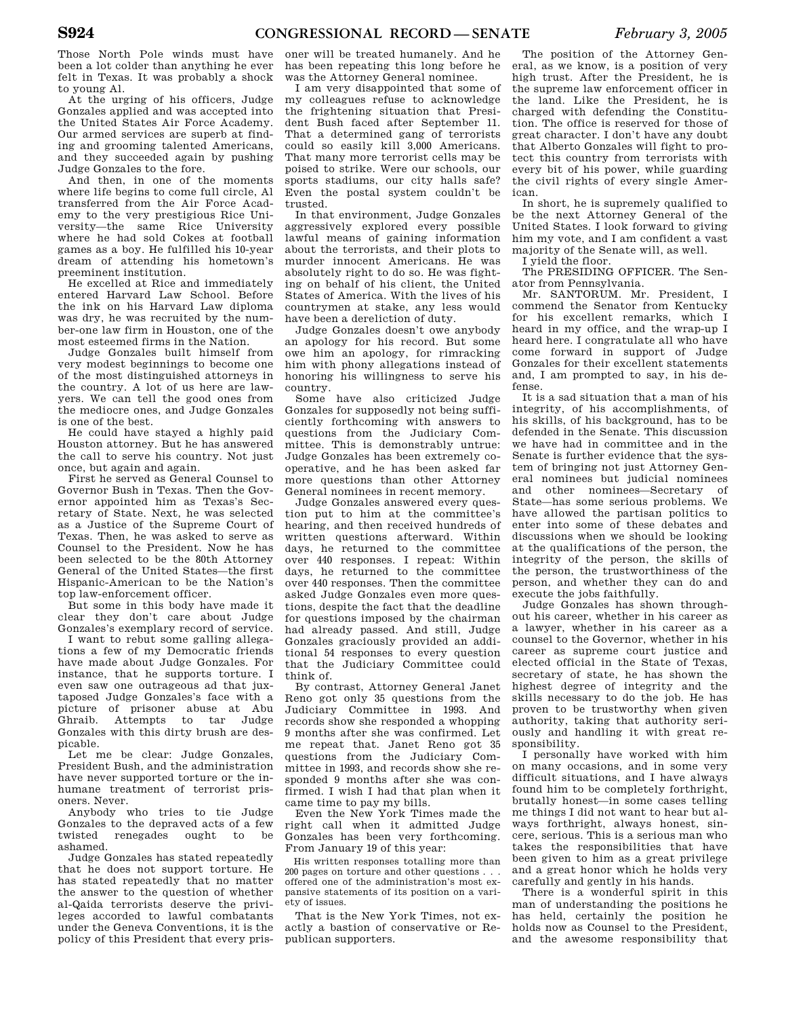Those North Pole winds must have been a lot colder than anything he ever felt in Texas. It was probably a shock to young Al.

At the urging of his officers, Judge Gonzales applied and was accepted into the United States Air Force Academy. Our armed services are superb at finding and grooming talented Americans, and they succeeded again by pushing Judge Gonzales to the fore.

And then, in one of the moments where life begins to come full circle, Al transferred from the Air Force Academy to the very prestigious Rice University—the same Rice University where he had sold Cokes at football games as a boy. He fulfilled his 10-year dream of attending his hometown's preeminent institution.

He excelled at Rice and immediately entered Harvard Law School. Before the ink on his Harvard Law diploma was dry, he was recruited by the number-one law firm in Houston, one of the most esteemed firms in the Nation.

Judge Gonzales built himself from very modest beginnings to become one of the most distinguished attorneys in the country. A lot of us here are lawyers. We can tell the good ones from the mediocre ones, and Judge Gonzales is one of the best.

He could have stayed a highly paid Houston attorney. But he has answered the call to serve his country. Not just once, but again and again.

First he served as General Counsel to Governor Bush in Texas. Then the Governor appointed him as Texas's Secretary of State. Next, he was selected as a Justice of the Supreme Court of Texas. Then, he was asked to serve as Counsel to the President. Now he has been selected to be the 80th Attorney General of the United States—the first Hispanic-American to be the Nation's top law-enforcement officer.

But some in this body have made it clear they don't care about Judge Gonzales's exemplary record of service.

I want to rebut some galling allegations a few of my Democratic friends have made about Judge Gonzales. For instance, that he supports torture. I even saw one outrageous ad that juxtaposed Judge Gonzales's face with a picture of prisoner abuse at Abu Ghraib. Attempts to tar Judge Gonzales with this dirty brush are despicable.

Let me be clear: Judge Gonzales, President Bush, and the administration have never supported torture or the inhumane treatment of terrorist prisoners. Never.

Anybody who tries to tie Judge Gonzales to the depraved acts of a few twisted renegades ought to be ashamed.

Judge Gonzales has stated repeatedly that he does not support torture. He has stated repeatedly that no matter the answer to the question of whether al-Qaida terrorists deserve the privileges accorded to lawful combatants under the Geneva Conventions, it is the policy of this President that every pris-

oner will be treated humanely. And he has been repeating this long before he was the Attorney General nominee.

I am very disappointed that some of my colleagues refuse to acknowledge the frightening situation that President Bush faced after September 11. That a determined gang of terrorists could so easily kill 3,000 Americans. That many more terrorist cells may be poised to strike. Were our schools, our sports stadiums, our city halls safe? Even the postal system couldn't be trusted.

In that environment, Judge Gonzales aggressively explored every possible lawful means of gaining information about the terrorists, and their plots to murder innocent Americans. He was absolutely right to do so. He was fighting on behalf of his client, the United States of America. With the lives of his countrymen at stake, any less would have been a dereliction of duty.

Judge Gonzales doesn't owe anybody an apology for his record. But some owe him an apology, for rimracking him with phony allegations instead of honoring his willingness to serve his country.

Some have also criticized Judge Gonzales for supposedly not being sufficiently forthcoming with answers to questions from the Judiciary Committee. This is demonstrably untrue: Judge Gonzales has been extremely cooperative, and he has been asked far more questions than other Attorney General nominees in recent memory.

Judge Gonzales answered every question put to him at the committee's hearing, and then received hundreds of written questions afterward. Within days, he returned to the committee over 440 responses. I repeat: Within days, he returned to the committee over 440 responses. Then the committee asked Judge Gonzales even more questions, despite the fact that the deadline for questions imposed by the chairman had already passed. And still, Judge Gonzales graciously provided an additional 54 responses to every question that the Judiciary Committee could think of.

By contrast, Attorney General Janet Reno got only 35 questions from the Judiciary Committee in 1993. And records show she responded a whopping 9 months after she was confirmed. Let me repeat that. Janet Reno got 35 questions from the Judiciary Committee in 1993, and records show she responded 9 months after she was confirmed. I wish I had that plan when it came time to pay my bills.

Even the New York Times made the right call when it admitted Judge Gonzales has been very forthcoming. From January 19 of this year:

His written responses totalling more than 200 pages on torture and other questions . . . offered one of the administration's most expansive statements of its position on a variety of issues.

That is the New York Times, not exactly a bastion of conservative or Republican supporters.

The position of the Attorney General, as we know, is a position of very high trust. After the President, he is the supreme law enforcement officer in the land. Like the President, he is charged with defending the Constitution. The office is reserved for those of great character. I don't have any doubt that Alberto Gonzales will fight to protect this country from terrorists with every bit of his power, while guarding the civil rights of every single American.

In short, he is supremely qualified to be the next Attorney General of the United States. I look forward to giving him my vote, and I am confident a vast majority of the Senate will, as well.

I yield the floor.

The PRESIDING OFFICER. The Senator from Pennsylvania.

Mr. SANTORUM. Mr. President, I commend the Senator from Kentucky for his excellent remarks, which I heard in my office, and the wrap-up I heard here. I congratulate all who have come forward in support of Judge Gonzales for their excellent statements and, I am prompted to say, in his defense.

It is a sad situation that a man of his integrity, of his accomplishments, of his skills, of his background, has to be defended in the Senate. This discussion we have had in committee and in the Senate is further evidence that the system of bringing not just Attorney General nominees but judicial nominees and other nominees—Secretary of State—has some serious problems. We have allowed the partisan politics to enter into some of these debates and discussions when we should be looking at the qualifications of the person, the integrity of the person, the skills of the person, the trustworthiness of the person, and whether they can do and execute the jobs faithfully.

Judge Gonzales has shown throughout his career, whether in his career as a lawyer, whether in his career as a counsel to the Governor, whether in his career as supreme court justice and elected official in the State of Texas, secretary of state, he has shown the highest degree of integrity and the skills necessary to do the job. He has proven to be trustworthy when given authority, taking that authority seriously and handling it with great responsibility.

I personally have worked with him on many occasions, and in some very difficult situations, and I have always found him to be completely forthright, brutally honest—in some cases telling me things I did not want to hear but always forthright, always honest, sincere, serious. This is a serious man who takes the responsibilities that have been given to him as a great privilege and a great honor which he holds very carefully and gently in his hands.

There is a wonderful spirit in this man of understanding the positions he has held, certainly the position he holds now as Counsel to the President, and the awesome responsibility that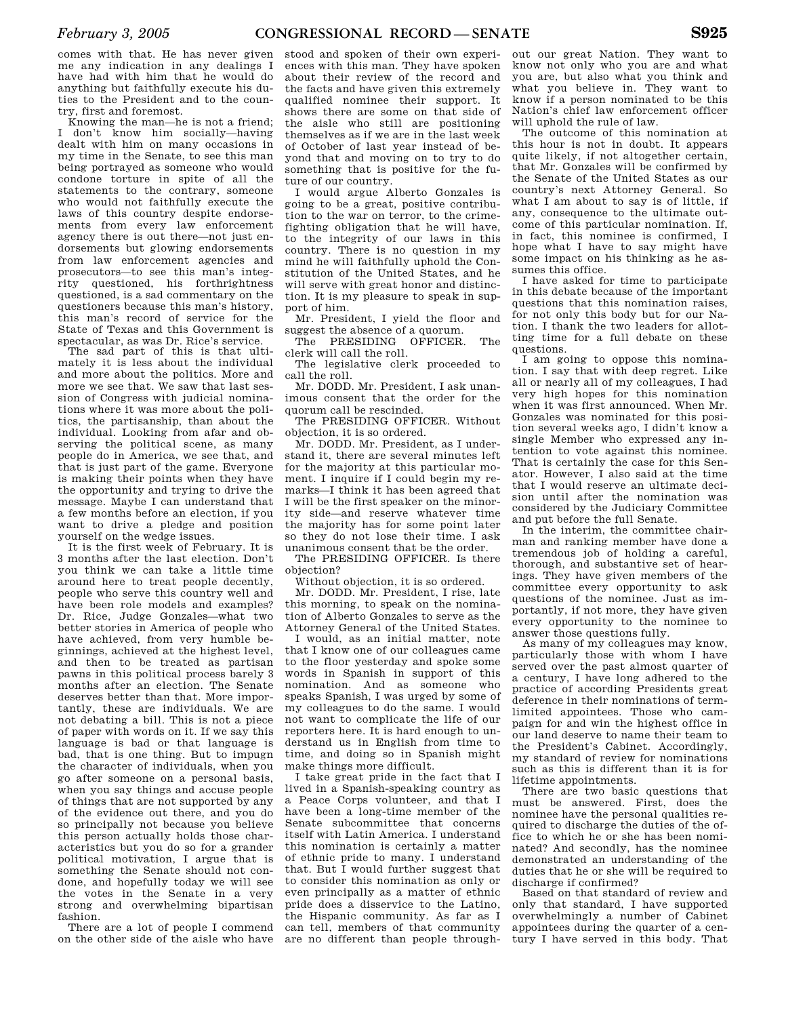comes with that. He has never given me any indication in any dealings I have had with him that he would do anything but faithfully execute his duties to the President and to the country, first and foremost.

Knowing the man—he is not a friend; I don't know him socially—having dealt with him on many occasions in my time in the Senate, to see this man being portrayed as someone who would condone torture in spite of all the statements to the contrary, someone who would not faithfully execute the laws of this country despite endorsements from every law enforcement agency there is out there—not just endorsements but glowing endorsements from law enforcement agencies and prosecutors—to see this man's integrity questioned, his forthrightness questioned, is a sad commentary on the questioners because this man's history, this man's record of service for the State of Texas and this Government is spectacular, as was Dr. Rice's service.

The sad part of this is that ultimately it is less about the individual and more about the politics. More and more we see that. We saw that last session of Congress with judicial nominations where it was more about the politics, the partisanship, than about the individual. Looking from afar and observing the political scene, as many people do in America, we see that, and that is just part of the game. Everyone is making their points when they have the opportunity and trying to drive the message. Maybe I can understand that a few months before an election, if you want to drive a pledge and position yourself on the wedge issues.

It is the first week of February. It is 3 months after the last election. Don't you think we can take a little time around here to treat people decently, people who serve this country well and have been role models and examples? Dr. Rice, Judge Gonzales—what two better stories in America of people who have achieved, from very humble beginnings, achieved at the highest level, and then to be treated as partisan pawns in this political process barely 3 months after an election. The Senate deserves better than that. More importantly, these are individuals. We are not debating a bill. This is not a piece of paper with words on it. If we say this language is bad or that language is bad, that is one thing. But to impugn the character of individuals, when you go after someone on a personal basis, when you say things and accuse people of things that are not supported by any of the evidence out there, and you do so principally not because you believe this person actually holds those characteristics but you do so for a grander political motivation, I argue that is something the Senate should not condone, and hopefully today we will see the votes in the Senate in a very strong and overwhelming bipartisan fashion.

There are a lot of people I commend on the other side of the aisle who have

stood and spoken of their own experiences with this man. They have spoken about their review of the record and the facts and have given this extremely qualified nominee their support. It shows there are some on that side of the aisle who still are positioning themselves as if we are in the last week of October of last year instead of beyond that and moving on to try to do something that is positive for the future of our country.

I would argue Alberto Gonzales is going to be a great, positive contribution to the war on terror, to the crimefighting obligation that he will have, to the integrity of our laws in this country. There is no question in my mind he will faithfully uphold the Constitution of the United States, and he will serve with great honor and distinction. It is my pleasure to speak in support of him.

Mr. President, I yield the floor and suggest the absence of a quorum.

The PRESIDING OFFICER. The clerk will call the roll.

The legislative clerk proceeded to call the roll.

Mr. DODD. Mr. President, I ask unanimous consent that the order for the quorum call be rescinded.

The PRESIDING OFFICER. Without objection, it is so ordered.

Mr. DODD. Mr. President, as I understand it, there are several minutes left for the majority at this particular moment. I inquire if I could begin my remarks—I think it has been agreed that I will be the first speaker on the minority side—and reserve whatever time the majority has for some point later so they do not lose their time. I ask unanimous consent that be the order.

The PRESIDING OFFICER. Is there objection?

Without objection, it is so ordered.

Mr. DODD. Mr. President, I rise, late this morning, to speak on the nomination of Alberto Gonzales to serve as the Attorney General of the United States.

I would, as an initial matter, note that I know one of our colleagues came to the floor yesterday and spoke some words in Spanish in support of this nomination. And as someone who speaks Spanish, I was urged by some of my colleagues to do the same. I would not want to complicate the life of our reporters here. It is hard enough to understand us in English from time to time, and doing so in Spanish might make things more difficult.

I take great pride in the fact that I lived in a Spanish-speaking country as a Peace Corps volunteer, and that I have been a long-time member of the Senate subcommittee that concerns itself with Latin America. I understand this nomination is certainly a matter of ethnic pride to many. I understand that. But I would further suggest that to consider this nomination as only or even principally as a matter of ethnic pride does a disservice to the Latino, the Hispanic community. As far as I can tell, members of that community are no different than people through-

out our great Nation. They want to know not only who you are and what you are, but also what you think and what you believe in. They want to know if a person nominated to be this Nation's chief law enforcement officer will uphold the rule of law.

The outcome of this nomination at this hour is not in doubt. It appears quite likely, if not altogether certain, that Mr. Gonzales will be confirmed by the Senate of the United States as our country's next Attorney General. So what I am about to say is of little, if any, consequence to the ultimate outcome of this particular nomination. If, in fact, this nominee is confirmed, I hope what I have to say might have some impact on his thinking as he assumes this office.

I have asked for time to participate in this debate because of the important questions that this nomination raises, for not only this body but for our Nation. I thank the two leaders for allotting time for a full debate on these questions.

I am going to oppose this nomination. I say that with deep regret. Like all or nearly all of my colleagues, I had very high hopes for this nomination when it was first announced. When Mr. Gonzales was nominated for this position several weeks ago, I didn't know a single Member who expressed any intention to vote against this nominee. That is certainly the case for this Senator. However, I also said at the time that I would reserve an ultimate decision until after the nomination was considered by the Judiciary Committee and put before the full Senate.

In the interim, the committee chairman and ranking member have done a tremendous job of holding a careful, thorough, and substantive set of hearings. They have given members of the committee every opportunity to ask questions of the nominee. Just as importantly, if not more, they have given every opportunity to the nominee to answer those questions fully.

As many of my colleagues may know, particularly those with whom I have served over the past almost quarter of a century, I have long adhered to the practice of according Presidents great deference in their nominations of termlimited appointees. Those who campaign for and win the highest office in our land deserve to name their team to the President's Cabinet. Accordingly, my standard of review for nominations such as this is different than it is for lifetime appointments.

There are two basic questions that must be answered. First, does the nominee have the personal qualities required to discharge the duties of the office to which he or she has been nominated? And secondly, has the nominee demonstrated an understanding of the duties that he or she will be required to discharge if confirmed?

Based on that standard of review and only that standard, I have supported overwhelmingly a number of Cabinet appointees during the quarter of a century I have served in this body. That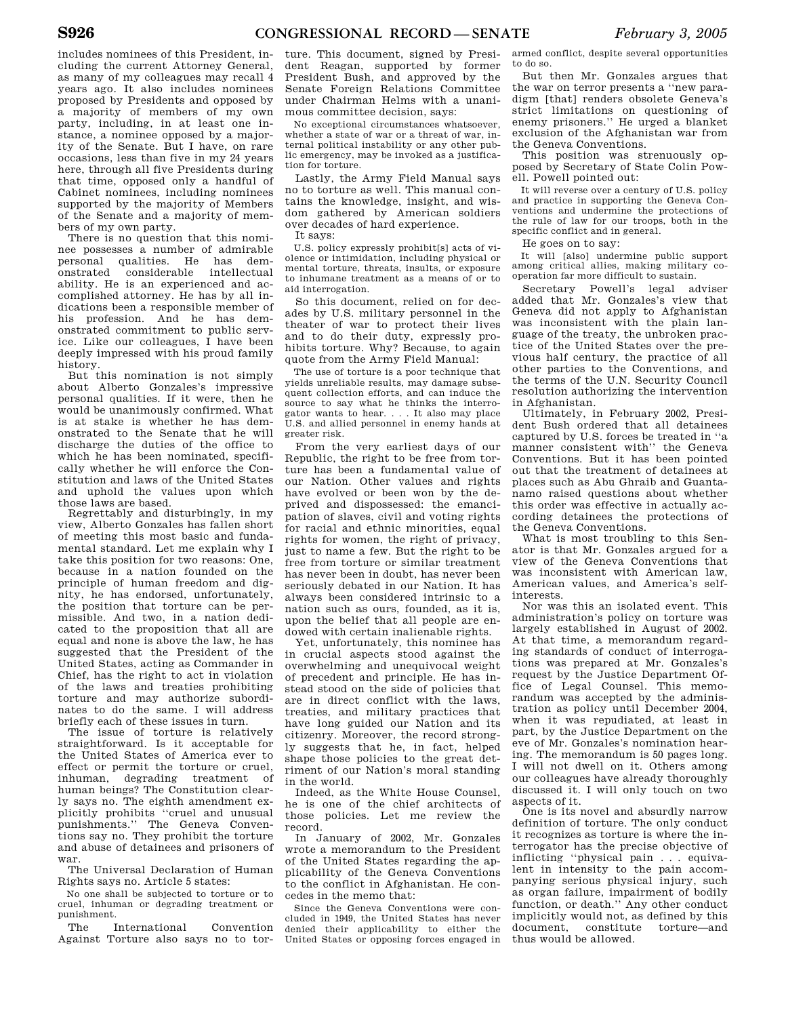includes nominees of this President, including the current Attorney General, as many of my colleagues may recall 4 years ago. It also includes nominees proposed by Presidents and opposed by a majority of members of my own party, including, in at least one instance, a nominee opposed by a majority of the Senate. But I have, on rare occasions, less than five in my 24 years here, through all five Presidents during that time, opposed only a handful of Cabinet nominees, including nominees supported by the majority of Members of the Senate and a majority of members of my own party.

There is no question that this nominee possesses a number of admirable personal qualities. He has demonstrated considerable intellectual ability. He is an experienced and accomplished attorney. He has by all indications been a responsible member of his profession. And he has demonstrated commitment to public service. Like our colleagues, I have been deeply impressed with his proud family history.

But this nomination is not simply about Alberto Gonzales's impressive personal qualities. If it were, then he would be unanimously confirmed. What is at stake is whether he has demonstrated to the Senate that he will discharge the duties of the office to which he has been nominated, specifically whether he will enforce the Constitution and laws of the United States and uphold the values upon which those laws are based.

Regrettably and disturbingly, in my view, Alberto Gonzales has fallen short of meeting this most basic and fundamental standard. Let me explain why I take this position for two reasons: One, because in a nation founded on the principle of human freedom and dignity, he has endorsed, unfortunately, the position that torture can be permissible. And two, in a nation dedicated to the proposition that all are equal and none is above the law, he has suggested that the President of the United States, acting as Commander in Chief, has the right to act in violation of the laws and treaties prohibiting torture and may authorize subordinates to do the same. I will address briefly each of these issues in turn.

The issue of torture is relatively straightforward. Is it acceptable for the United States of America ever to effect or permit the torture or cruel, inhuman, degrading treatment of human beings? The Constitution clearly says no. The eighth amendment explicitly prohibits ''cruel and unusual punishments.'' The Geneva Conventions say no. They prohibit the torture and abuse of detainees and prisoners of war.

The Universal Declaration of Human Rights says no. Article 5 states:

No one shall be subjected to torture or to cruel, inhuman or degrading treatment or punishment.

The International Convention Against Torture also says no to torture. This document, signed by President Reagan, supported by former President Bush, and approved by the Senate Foreign Relations Committee under Chairman Helms with a unanimous committee decision, says:

No exceptional circumstances whatsoever, whether a state of war or a threat of war, internal political instability or any other public emergency, may be invoked as a justification for torture.

Lastly, the Army Field Manual says no to torture as well. This manual contains the knowledge, insight, and wisdom gathered by American soldiers over decades of hard experience.

It says:

U.S. policy expressly prohibit[s] acts of violence or intimidation, including physical or mental torture, threats, insults, or exposure to inhumane treatment as a means of or to aid interrogation.

So this document, relied on for decades by U.S. military personnel in the theater of war to protect their lives and to do their duty, expressly prohibits torture. Why? Because, to again quote from the Army Field Manual:

The use of torture is a poor technique that yields unreliable results, may damage subsequent collection efforts, and can induce the source to say what he thinks the interrogator wants to hear. . . . It also may place U.S. and allied personnel in enemy hands at greater risk.

From the very earliest days of our Republic, the right to be free from torture has been a fundamental value of our Nation. Other values and rights have evolved or been won by the deprived and dispossessed: the emancipation of slaves, civil and voting rights for racial and ethnic minorities, equal rights for women, the right of privacy, just to name a few. But the right to be free from torture or similar treatment has never been in doubt, has never been seriously debated in our Nation. It has always been considered intrinsic to a nation such as ours, founded, as it is, upon the belief that all people are endowed with certain inalienable rights.

Yet, unfortunately, this nominee has in crucial aspects stood against the overwhelming and unequivocal weight of precedent and principle. He has instead stood on the side of policies that are in direct conflict with the laws, treaties, and military practices that have long guided our Nation and its citizenry. Moreover, the record strongly suggests that he, in fact, helped shape those policies to the great detriment of our Nation's moral standing in the world.

Indeed, as the White House Counsel, he is one of the chief architects of those policies. Let me review the record.

In January of 2002, Mr. Gonzales wrote a memorandum to the President of the United States regarding the applicability of the Geneva Conventions to the conflict in Afghanistan. He concedes in the memo that:

Since the Geneva Conventions were concluded in 1949, the United States has never denied their applicability to either the United States or opposing forces engaged in

armed conflict, despite several opportunities to do so.

But then Mr. Gonzales argues that the war on terror presents a ''new paradigm [that] renders obsolete Geneva's strict limitations on questioning of enemy prisoners.'' He urged a blanket exclusion of the Afghanistan war from the Geneva Conventions.

This position was strenuously opposed by Secretary of State Colin Powell. Powell pointed out:

It will reverse over a century of U.S. policy and practice in supporting the Geneva Conventions and undermine the protections of the rule of law for our troops, both in the specific conflict and in general.

He goes on to say:

It will [also] undermine public support among critical allies, making military cooperation far more difficult to sustain.

Secretary Powell's legal adviser added that Mr. Gonzales's view that Geneva did not apply to Afghanistan was inconsistent with the plain language of the treaty, the unbroken practice of the United States over the previous half century, the practice of all other parties to the Conventions, and the terms of the U.N. Security Council resolution authorizing the intervention in Afghanistan.

Ultimately, in February 2002, President Bush ordered that all detainees captured by U.S. forces be treated in ''a manner consistent with'' the Geneva Conventions. But it has been pointed out that the treatment of detainees at places such as Abu Ghraib and Guantanamo raised questions about whether this order was effective in actually according detainees the protections of the Geneva Conventions.

What is most troubling to this Senator is that Mr. Gonzales argued for a view of the Geneva Conventions that was inconsistent with American law, American values, and America's selfinterests.

Nor was this an isolated event. This administration's policy on torture was largely established in August of 2002. At that time, a memorandum regarding standards of conduct of interrogations was prepared at Mr. Gonzales's request by the Justice Department Office of Legal Counsel. This memorandum was accepted by the administration as policy until December 2004, when it was repudiated, at least in part, by the Justice Department on the eve of Mr. Gonzales's nomination hearing. The memorandum is 50 pages long. I will not dwell on it. Others among our colleagues have already thoroughly discussed it. I will only touch on two aspects of it.

One is its novel and absurdly narrow definition of torture. The only conduct it recognizes as torture is where the interrogator has the precise objective of inflicting ''physical pain . . . equivalent in intensity to the pain accompanying serious physical injury, such as organ failure, impairment of bodily function, or death.'' Any other conduct implicitly would not, as defined by this document, constitute torture—and thus would be allowed.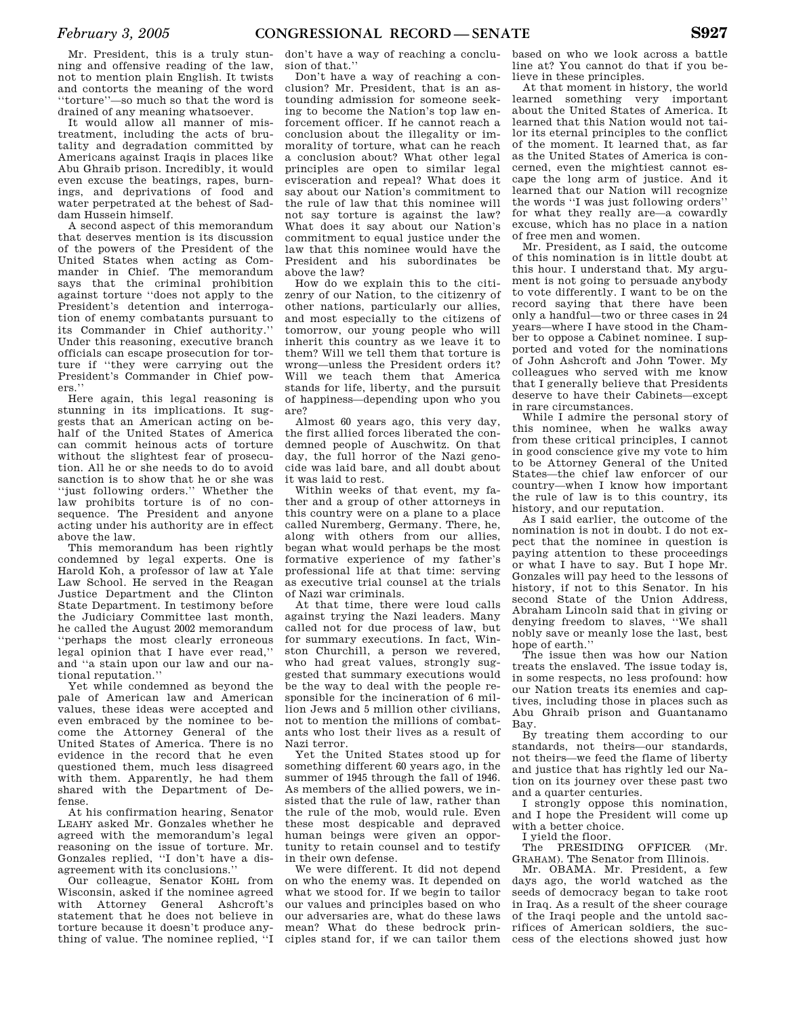Mr. President, this is a truly stunning and offensive reading of the law, not to mention plain English. It twists and contorts the meaning of the word ''torture''—so much so that the word is drained of any meaning whatsoever.

It would allow all manner of mistreatment, including the acts of brutality and degradation committed by Americans against Iraqis in places like Abu Ghraib prison. Incredibly, it would even excuse the beatings, rapes, burnings, and deprivations of food and water perpetrated at the behest of Saddam Hussein himself.

A second aspect of this memorandum that deserves mention is its discussion of the powers of the President of the United States when acting as Commander in Chief. The memorandum says that the criminal prohibition against torture ''does not apply to the President's detention and interrogation of enemy combatants pursuant to its Commander in Chief authority.'' Under this reasoning, executive branch officials can escape prosecution for torture if ''they were carrying out the President's Commander in Chief powers.''

Here again, this legal reasoning is stunning in its implications. It suggests that an American acting on behalf of the United States of America can commit heinous acts of torture without the slightest fear of prosecution. All he or she needs to do to avoid sanction is to show that he or she was ''just following orders.'' Whether the law prohibits torture is of no consequence. The President and anyone acting under his authority are in effect above the law.

This memorandum has been rightly condemned by legal experts. One is Harold Koh, a professor of law at Yale Law School. He served in the Reagan Justice Department and the Clinton State Department. In testimony before the Judiciary Committee last month, he called the August 2002 memorandum ''perhaps the most clearly erroneous legal opinion that I have ever read,'' and ''a stain upon our law and our national reputation.''

Yet while condemned as beyond the pale of American law and American values, these ideas were accepted and even embraced by the nominee to become the Attorney General of the United States of America. There is no evidence in the record that he even questioned them, much less disagreed with them. Apparently, he had them shared with the Department of Defense.

At his confirmation hearing, Senator LEAHY asked Mr. Gonzales whether he agreed with the memorandum's legal reasoning on the issue of torture. Mr. Gonzales replied, ''I don't have a disagreement with its conclusions.''

Our colleague, Senator KOHL from Wisconsin, asked if the nominee agreed with Attorney General Ashcroft's statement that he does not believe in torture because it doesn't produce anything of value. The nominee replied, ''I

don't have a way of reaching a conclusion of that.''

Don't have a way of reaching a conclusion? Mr. President, that is an astounding admission for someone seeking to become the Nation's top law enforcement officer. If he cannot reach a conclusion about the illegality or immorality of torture, what can he reach a conclusion about? What other legal principles are open to similar legal evisceration and repeal? What does it say about our Nation's commitment to the rule of law that this nominee will not say torture is against the law? What does it say about our Nation's commitment to equal justice under the law that this nominee would have the President and his subordinates be above the law?

How do we explain this to the citizenry of our Nation, to the citizenry of other nations, particularly our allies, and most especially to the citizens of tomorrow, our young people who will inherit this country as we leave it to them? Will we tell them that torture is wrong—unless the President orders it? Will we teach them that America stands for life, liberty, and the pursuit of happiness—depending upon who you are?

Almost 60 years ago, this very day, the first allied forces liberated the condemned people of Auschwitz. On that day, the full horror of the Nazi genocide was laid bare, and all doubt about it was laid to rest.

Within weeks of that event, my father and a group of other attorneys in this country were on a plane to a place called Nuremberg, Germany. There, he, along with others from our allies, began what would perhaps be the most formative experience of my father's professional life at that time: serving as executive trial counsel at the trials of Nazi war criminals.

At that time, there were loud calls against trying the Nazi leaders. Many called not for due process of law, but for summary executions. In fact, Winston Churchill, a person we revered, who had great values, strongly suggested that summary executions would be the way to deal with the people responsible for the incineration of 6 million Jews and 5 million other civilians, not to mention the millions of combatants who lost their lives as a result of Nazi terror.

Yet the United States stood up for something different 60 years ago, in the summer of 1945 through the fall of 1946. As members of the allied powers, we insisted that the rule of law, rather than the rule of the mob, would rule. Even these most despicable and depraved human beings were given an opportunity to retain counsel and to testify in their own defense.

We were different. It did not depend on who the enemy was. It depended on what we stood for. If we begin to tailor our values and principles based on who our adversaries are, what do these laws mean? What do these bedrock principles stand for, if we can tailor them

based on who we look across a battle line at? You cannot do that if you believe in these principles.

At that moment in history, the world learned something very important about the United States of America. It learned that this Nation would not tailor its eternal principles to the conflict of the moment. It learned that, as far as the United States of America is concerned, even the mightiest cannot escape the long arm of justice. And it learned that our Nation will recognize the words ''I was just following orders'' for what they really are—a cowardly excuse, which has no place in a nation of free men and women.

Mr. President, as I said, the outcome of this nomination is in little doubt at this hour. I understand that. My argument is not going to persuade anybody to vote differently. I want to be on the record saying that there have been only a handful—two or three cases in 24 years—where I have stood in the Chamber to oppose a Cabinet nominee. I supported and voted for the nominations of John Ashcroft and John Tower. My colleagues who served with me know that I generally believe that Presidents deserve to have their Cabinets—except in rare circumstances.

While I admire the personal story of this nominee, when he walks away from these critical principles, I cannot in good conscience give my vote to him to be Attorney General of the United States—the chief law enforcer of our country—when I know how important the rule of law is to this country, its history, and our reputation.

As I said earlier, the outcome of the nomination is not in doubt. I do not expect that the nominee in question is paying attention to these proceedings or what I have to say. But I hope Mr. Gonzales will pay heed to the lessons of history, if not to this Senator. In his second State of the Union Address, Abraham Lincoln said that in giving or denying freedom to slaves, ''We shall nobly save or meanly lose the last, best hope of earth.''

The issue then was how our Nation treats the enslaved. The issue today is, in some respects, no less profound: how our Nation treats its enemies and captives, including those in places such as Abu Ghraib prison and Guantanamo Bay.

By treating them according to our standards, not theirs—our standards, not theirs—we feed the flame of liberty and justice that has rightly led our Nation on its journey over these past two and a quarter centuries.

I strongly oppose this nomination, and I hope the President will come up with a better choice.

I yield the floor.

The PRESIDING OFFICER (Mr. GRAHAM). The Senator from Illinois.

Mr. OBAMA. Mr. President, a few days ago, the world watched as the seeds of democracy began to take root in Iraq. As a result of the sheer courage of the Iraqi people and the untold sacrifices of American soldiers, the success of the elections showed just how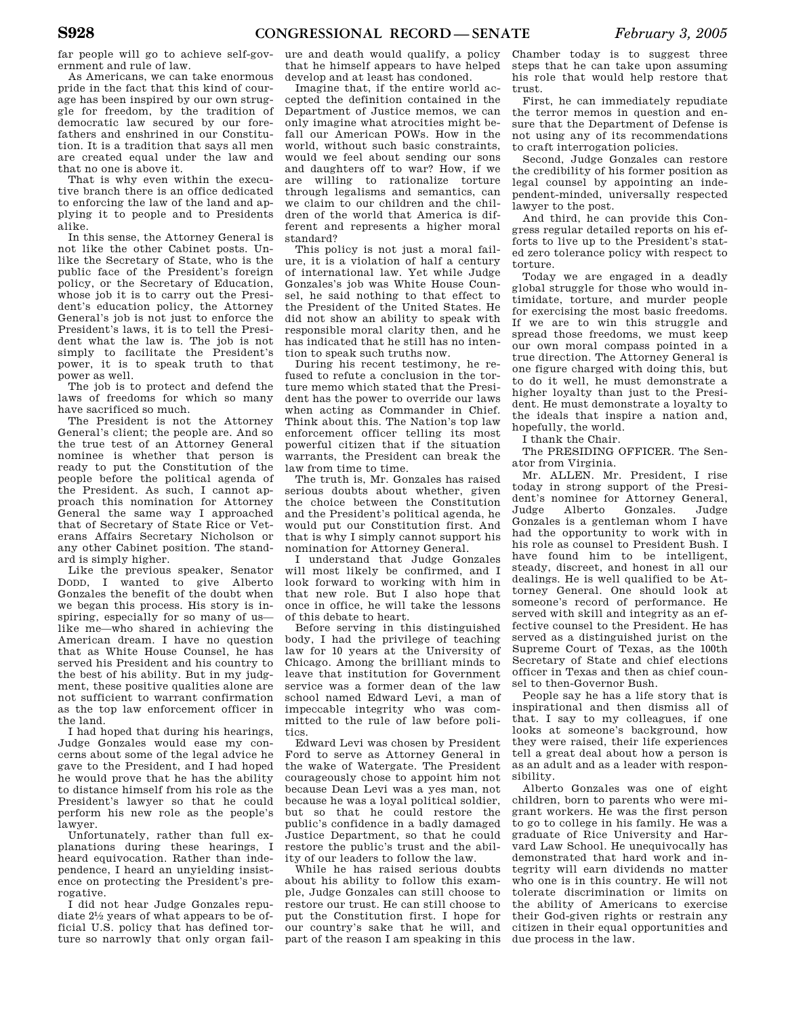far people will go to achieve self-government and rule of law.

As Americans, we can take enormous pride in the fact that this kind of courage has been inspired by our own struggle for freedom, by the tradition of democratic law secured by our forefathers and enshrined in our Constitution. It is a tradition that says all men are created equal under the law and that no one is above it.

That is why even within the executive branch there is an office dedicated to enforcing the law of the land and applying it to people and to Presidents alike.

In this sense, the Attorney General is not like the other Cabinet posts. Unlike the Secretary of State, who is the public face of the President's foreign policy, or the Secretary of Education, whose job it is to carry out the President's education policy, the Attorney General's job is not just to enforce the President's laws, it is to tell the President what the law is. The job is not simply to facilitate the President's power, it is to speak truth to that power as well.

The job is to protect and defend the laws of freedoms for which so many have sacrificed so much.

The President is not the Attorney General's client; the people are. And so the true test of an Attorney General nominee is whether that person is ready to put the Constitution of the people before the political agenda of the President. As such, I cannot approach this nomination for Attorney General the same way I approached that of Secretary of State Rice or Veterans Affairs Secretary Nicholson or any other Cabinet position. The standard is simply higher.

Like the previous speaker, Senator DODD, I wanted to give Alberto Gonzales the benefit of the doubt when we began this process. His story is inspiring, especially for so many of us like me—who shared in achieving the American dream. I have no question that as White House Counsel, he has served his President and his country to the best of his ability. But in my judgment, these positive qualities alone are not sufficient to warrant confirmation as the top law enforcement officer in the land.

I had hoped that during his hearings, Judge Gonzales would ease my concerns about some of the legal advice he gave to the President, and I had hoped he would prove that he has the ability to distance himself from his role as the President's lawyer so that he could perform his new role as the people's lawyer.

Unfortunately, rather than full explanations during these hearings, I heard equivocation. Rather than independence, I heard an unyielding insistence on protecting the President's prerogative.

I did not hear Judge Gonzales repudiate 21⁄2 years of what appears to be official U.S. policy that has defined torture so narrowly that only organ failure and death would qualify, a policy that he himself appears to have helped develop and at least has condoned.

Imagine that, if the entire world accepted the definition contained in the Department of Justice memos, we can only imagine what atrocities might befall our American POWs. How in the world, without such basic constraints, would we feel about sending our sons and daughters off to war? How, if we are willing to rationalize torture through legalisms and semantics, can we claim to our children and the children of the world that America is different and represents a higher moral standard?

This policy is not just a moral failure, it is a violation of half a century of international law. Yet while Judge Gonzales's job was White House Counsel, he said nothing to that effect to the President of the United States. He did not show an ability to speak with responsible moral clarity then, and he has indicated that he still has no intention to speak such truths now.

During his recent testimony, he refused to refute a conclusion in the torture memo which stated that the President has the power to override our laws when acting as Commander in Chief. Think about this. The Nation's top law enforcement officer telling its most powerful citizen that if the situation warrants, the President can break the law from time to time.

The truth is, Mr. Gonzales has raised serious doubts about whether, given the choice between the Constitution and the President's political agenda, he would put our Constitution first. And that is why I simply cannot support his nomination for Attorney General.

I understand that Judge Gonzales will most likely be confirmed, and I look forward to working with him in that new role. But I also hope that once in office, he will take the lessons of this debate to heart.

Before serving in this distinguished body, I had the privilege of teaching law for 10 years at the University of Chicago. Among the brilliant minds to leave that institution for Government service was a former dean of the law school named Edward Levi, a man of impeccable integrity who was committed to the rule of law before politics.

Edward Levi was chosen by President Ford to serve as Attorney General in the wake of Watergate. The President courageously chose to appoint him not because Dean Levi was a yes man, not because he was a loyal political soldier, but so that he could restore the public's confidence in a badly damaged Justice Department, so that he could restore the public's trust and the ability of our leaders to follow the law.

While he has raised serious doubts about his ability to follow this example, Judge Gonzales can still choose to restore our trust. He can still choose to put the Constitution first. I hope for our country's sake that he will, and part of the reason I am speaking in this

Chamber today is to suggest three steps that he can take upon assuming his role that would help restore that trust.

First, he can immediately repudiate the terror memos in question and ensure that the Department of Defense is not using any of its recommendations to craft interrogation policies.

Second, Judge Gonzales can restore the credibility of his former position as legal counsel by appointing an independent-minded, universally respected lawyer to the post.

And third, he can provide this Congress regular detailed reports on his efforts to live up to the President's stated zero tolerance policy with respect to torture.

Today we are engaged in a deadly global struggle for those who would intimidate, torture, and murder people for exercising the most basic freedoms. If we are to win this struggle and spread those freedoms, we must keep our own moral compass pointed in a true direction. The Attorney General is one figure charged with doing this, but to do it well, he must demonstrate a higher loyalty than just to the President. He must demonstrate a loyalty to the ideals that inspire a nation and, hopefully, the world.

I thank the Chair.

The PRESIDING OFFICER. The Senator from Virginia.

Mr. ALLEN. Mr. President, I rise today in strong support of the President's nominee for Attorney General, Judge Alberto Gonzales. Judge Gonzales is a gentleman whom I have had the opportunity to work with in his role as counsel to President Bush. I have found him to be intelligent, steady, discreet, and honest in all our dealings. He is well qualified to be Attorney General. One should look at someone's record of performance. He served with skill and integrity as an effective counsel to the President. He has served as a distinguished jurist on the Supreme Court of Texas, as the 100th Secretary of State and chief elections officer in Texas and then as chief counsel to then-Governor Bush.

People say he has a life story that is inspirational and then dismiss all of that. I say to my colleagues, if one looks at someone's background, how they were raised, their life experiences tell a great deal about how a person is as an adult and as a leader with responsibility.

Alberto Gonzales was one of eight children, born to parents who were migrant workers. He was the first person to go to college in his family. He was a graduate of Rice University and Harvard Law School. He unequivocally has demonstrated that hard work and integrity will earn dividends no matter who one is in this country. He will not tolerate discrimination or limits on the ability of Americans to exercise their God-given rights or restrain any citizen in their equal opportunities and due process in the law.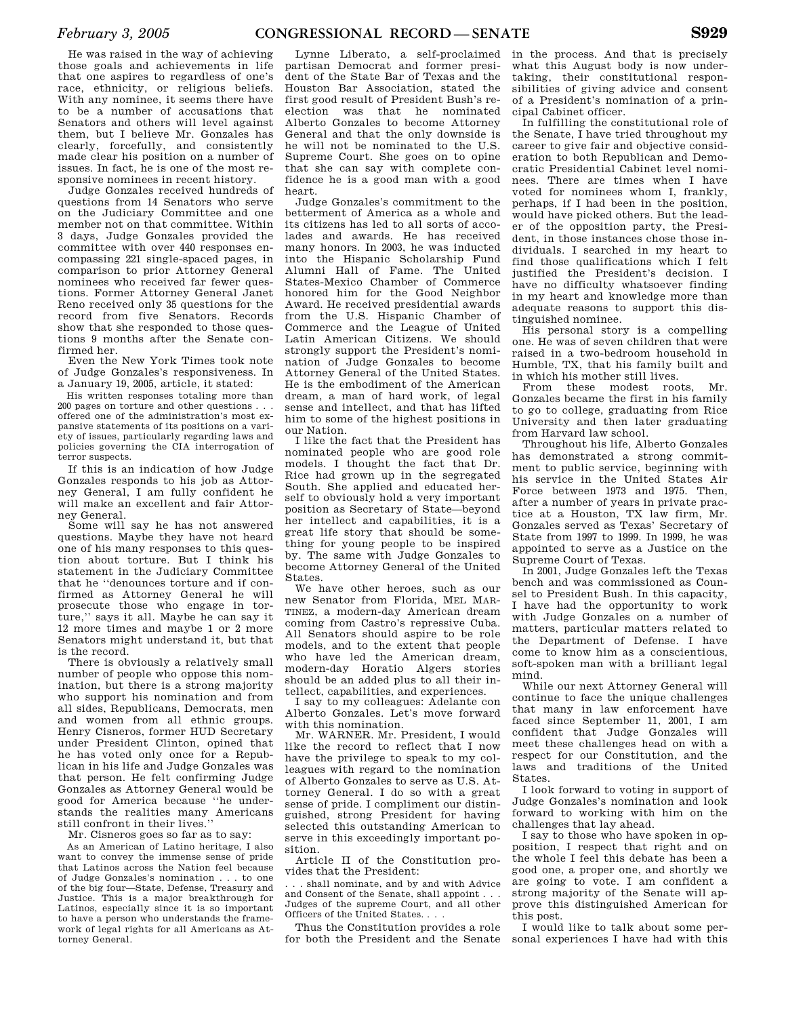He was raised in the way of achieving those goals and achievements in life that one aspires to regardless of one's race, ethnicity, or religious beliefs. With any nominee, it seems there have to be a number of accusations that Senators and others will level against them, but I believe Mr. Gonzales has clearly, forcefully, and consistently made clear his position on a number of issues. In fact, he is one of the most responsive nominees in recent history.

Judge Gonzales received hundreds of questions from 14 Senators who serve on the Judiciary Committee and one member not on that committee. Within 3 days, Judge Gonzales provided the committee with over 440 responses encompassing 221 single-spaced pages, in comparison to prior Attorney General nominees who received far fewer questions. Former Attorney General Janet Reno received only 35 questions for the record from five Senators. Records show that she responded to those questions 9 months after the Senate confirmed her.

Even the New York Times took note of Judge Gonzales's responsiveness. In a January 19, 2005, article, it stated:

His written responses totaling more than 200 pages on torture and other questions . . . offered one of the administration's most expansive statements of its positions on a variety of issues, particularly regarding laws and policies governing the CIA interrogation of terror suspects.

If this is an indication of how Judge Gonzales responds to his job as Attorney General, I am fully confident he will make an excellent and fair Attorney General.

Some will say he has not answered questions. Maybe they have not heard one of his many responses to this question about torture. But I think his statement in the Judiciary Committee that he ''denounces torture and if confirmed as Attorney General he will prosecute those who engage in torture,'' says it all. Maybe he can say it 12 more times and maybe 1 or 2 more Senators might understand it, but that is the record.

There is obviously a relatively small number of people who oppose this nomination, but there is a strong majority who support his nomination and from all sides, Republicans, Democrats, men and women from all ethnic groups. Henry Cisneros, former HUD Secretary under President Clinton, opined that he has voted only once for a Republican in his life and Judge Gonzales was that person. He felt confirming Judge Gonzales as Attorney General would be good for America because ''he understands the realities many Americans still confront in their lives.''

Mr. Cisneros goes so far as to say:

As an American of Latino heritage, I also want to convey the immense sense of pride that Latinos across the Nation feel because of Judge Gonzales's nomination . . . to one of the big four—State, Defense, Treasury and Justice. This is a major breakthrough for Latinos, especially since it is so important to have a person who understands the framework of legal rights for all Americans as Attorney General.

Lynne Liberato, a self-proclaimed partisan Democrat and former president of the State Bar of Texas and the Houston Bar Association, stated the first good result of President Bush's reelection was that he nominated Alberto Gonzales to become Attorney General and that the only downside is he will not be nominated to the U.S. Supreme Court. She goes on to opine that she can say with complete confidence he is a good man with a good heart.

Judge Gonzales's commitment to the betterment of America as a whole and its citizens has led to all sorts of accolades and awards. He has received many honors. In 2003, he was inducted into the Hispanic Scholarship Fund Alumni Hall of Fame. The United States-Mexico Chamber of Commerce honored him for the Good Neighbor Award. He received presidential awards from the U.S. Hispanic Chamber of Commerce and the League of United Latin American Citizens. We should strongly support the President's nomination of Judge Gonzales to become Attorney General of the United States. He is the embodiment of the American dream, a man of hard work, of legal sense and intellect, and that has lifted him to some of the highest positions in our Nation.

I like the fact that the President has nominated people who are good role models. I thought the fact that Dr. Rice had grown up in the segregated South. She applied and educated herself to obviously hold a very important position as Secretary of State—beyond her intellect and capabilities, it is a great life story that should be something for young people to be inspired by. The same with Judge Gonzales to become Attorney General of the United States.

We have other heroes, such as our new Senator from Florida, MEL MAR-TINEZ, a modern-day American dream coming from Castro's repressive Cuba. All Senators should aspire to be role models, and to the extent that people who have led the American dream, modern-day Horatio Algers stories should be an added plus to all their intellect, capabilities, and experiences.

I say to my colleagues: Adelante con Alberto Gonzales. Let's move forward with this nomination.

Mr. WARNER. Mr. President, I would like the record to reflect that I now have the privilege to speak to my colleagues with regard to the nomination of Alberto Gonzales to serve as U.S. Attorney General. I do so with a great sense of pride. I compliment our distinguished, strong President for having selected this outstanding American to serve in this exceedingly important position.

Article II of the Constitution provides that the President:

. . . shall nominate, and by and with Advice and Consent of the Senate, shall appoint . . . Judges of the supreme Court, and all other Officers of the United States. . . .

Thus the Constitution provides a role for both the President and the Senate in the process. And that is precisely what this August body is now undertaking, their constitutional responsibilities of giving advice and consent of a President's nomination of a principal Cabinet officer.

In fulfilling the constitutional role of the Senate, I have tried throughout my career to give fair and objective consideration to both Republican and Democratic Presidential Cabinet level nominees. There are times when I have voted for nominees whom I, frankly, perhaps, if I had been in the position, would have picked others. But the leader of the opposition party, the President, in those instances chose those individuals. I searched in my heart to find those qualifications which I felt justified the President's decision. I have no difficulty whatsoever finding in my heart and knowledge more than adequate reasons to support this distinguished nominee.

His personal story is a compelling one. He was of seven children that were raised in a two-bedroom household in Humble, TX, that his family built and in which his mother still lives.

From these modest roots, Mr. Gonzales became the first in his family to go to college, graduating from Rice University and then later graduating from Harvard law school.

Throughout his life, Alberto Gonzales has demonstrated a strong commitment to public service, beginning with his service in the United States Air Force between 1973 and 1975. Then, after a number of years in private practice at a Houston, TX law firm, Mr. Gonzales served as Texas' Secretary of State from 1997 to 1999. In 1999, he was appointed to serve as a Justice on the Supreme Court of Texas.

In 2001, Judge Gonzales left the Texas bench and was commissioned as Counsel to President Bush. In this capacity, I have had the opportunity to work with Judge Gonzales on a number of matters, particular matters related to the Department of Defense. I have come to know him as a conscientious, soft-spoken man with a brilliant legal mind.

While our next Attorney General will continue to face the unique challenges that many in law enforcement have faced since September 11, 2001, I am confident that Judge Gonzales will meet these challenges head on with a respect for our Constitution, and the laws and traditions of the United States.

I look forward to voting in support of Judge Gonzales's nomination and look forward to working with him on the challenges that lay ahead.

I say to those who have spoken in opposition, I respect that right and on the whole I feel this debate has been a good one, a proper one, and shortly we are going to vote. I am confident a strong majority of the Senate will approve this distinguished American for this post.

I would like to talk about some personal experiences I have had with this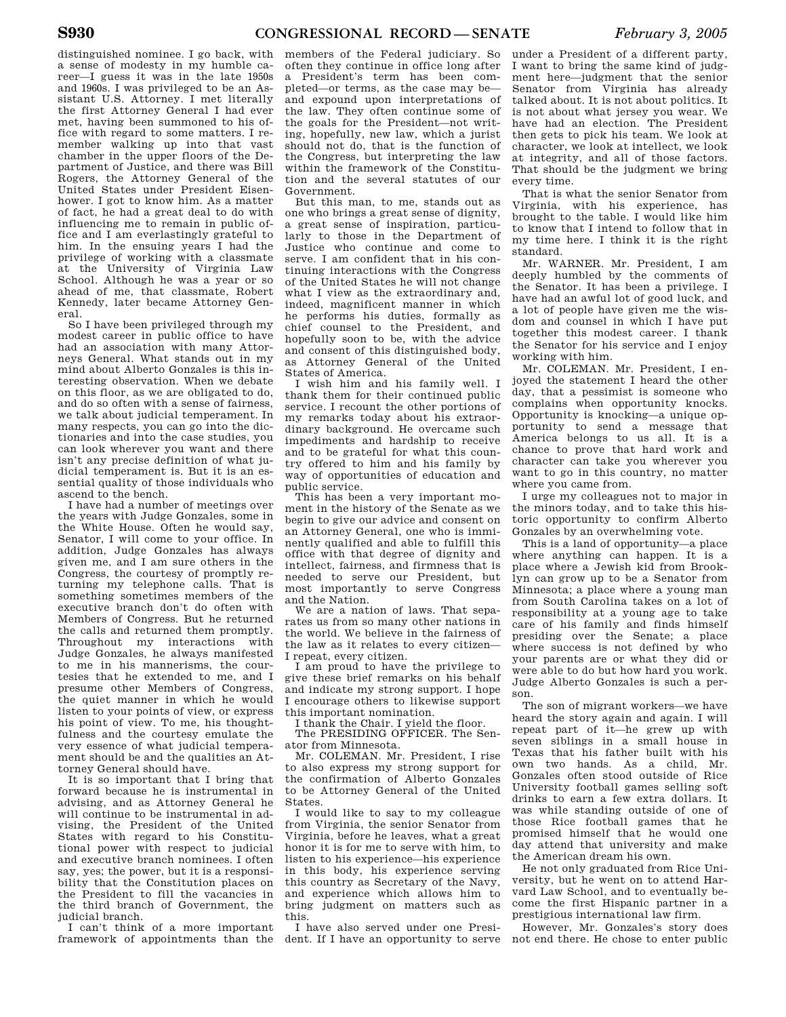distinguished nominee. I go back, with a sense of modesty in my humble career—I guess it was in the late 1950s and 1960s. I was privileged to be an Assistant U.S. Attorney. I met literally the first Attorney General I had ever met, having been summoned to his office with regard to some matters. I remember walking up into that vast chamber in the upper floors of the Department of Justice, and there was Bill Rogers, the Attorney General of the United States under President Eisenhower. I got to know him. As a matter of fact, he had a great deal to do with influencing me to remain in public office and I am everlastingly grateful to him. In the ensuing years I had the privilege of working with a classmate at the University of Virginia Law School. Although he was a year or so ahead of me, that classmate, Robert Kennedy, later became Attorney General.

So I have been privileged through my modest career in public office to have had an association with many Attorneys General. What stands out in my mind about Alberto Gonzales is this interesting observation. When we debate on this floor, as we are obligated to do, and do so often with a sense of fairness, we talk about judicial temperament. In many respects, you can go into the dictionaries and into the case studies, you can look wherever you want and there isn't any precise definition of what judicial temperament is. But it is an essential quality of those individuals who ascend to the bench.

I have had a number of meetings over the years with Judge Gonzales, some in the White House. Often he would say, Senator, I will come to your office. In addition, Judge Gonzales has always given me, and I am sure others in the Congress, the courtesy of promptly returning my telephone calls. That is something sometimes members of the executive branch don't do often with Members of Congress. But he returned the calls and returned them promptly. Throughout my interactions with Judge Gonzales, he always manifested to me in his mannerisms, the courtesies that he extended to me, and I presume other Members of Congress, the quiet manner in which he would listen to your points of view, or express his point of view. To me, his thoughtfulness and the courtesy emulate the very essence of what judicial temperament should be and the qualities an Attorney General should have.

It is so important that I bring that forward because he is instrumental in advising, and as Attorney General he will continue to be instrumental in advising, the President of the United States with regard to his Constitutional power with respect to judicial and executive branch nominees. I often say, yes; the power, but it is a responsibility that the Constitution places on the President to fill the vacancies in the third branch of Government, the judicial branch.

I can't think of a more important framework of appointments than the

members of the Federal judiciary. So often they continue in office long after a President's term has been completed—or terms, as the case may be and expound upon interpretations of the law. They often continue some of the goals for the President—not writing, hopefully, new law, which a jurist should not do, that is the function of the Congress, but interpreting the law within the framework of the Constitution and the several statutes of our Government.

But this man, to me, stands out as one who brings a great sense of dignity, a great sense of inspiration, particularly to those in the Department of Justice who continue and come to serve. I am confident that in his continuing interactions with the Congress of the United States he will not change what I view as the extraordinary and, indeed, magnificent manner in which he performs his duties, formally as chief counsel to the President, and hopefully soon to be, with the advice and consent of this distinguished body, as Attorney General of the United States of America.

I wish him and his family well. I thank them for their continued public service. I recount the other portions of my remarks today about his extraordinary background. He overcame such impediments and hardship to receive and to be grateful for what this country offered to him and his family by way of opportunities of education and public service.

This has been a very important moment in the history of the Senate as we begin to give our advice and consent on an Attorney General, one who is imminently qualified and able to fulfill this office with that degree of dignity and intellect, fairness, and firmness that is needed to serve our President, but most importantly to serve Congress and the Nation.

We are a nation of laws. That separates us from so many other nations in the world. We believe in the fairness of the law as it relates to every citizen— I repeat, every citizen.

I am proud to have the privilege to give these brief remarks on his behalf and indicate my strong support. I hope I encourage others to likewise support this important nomination.

I thank the Chair. I yield the floor.

The PRESIDING OFFICER. The Senator from Minnesota.

Mr. COLEMAN. Mr. President, I rise to also express my strong support for the confirmation of Alberto Gonzales to be Attorney General of the United States.

I would like to say to my colleague from Virginia, the senior Senator from Virginia, before he leaves, what a great honor it is for me to serve with him, to listen to his experience—his experience in this body, his experience serving this country as Secretary of the Navy, and experience which allows him to bring judgment on matters such as this.

I have also served under one President. If I have an opportunity to serve

under a President of a different party, I want to bring the same kind of judgment here—judgment that the senior Senator from Virginia has already talked about. It is not about politics. It is not about what jersey you wear. We have had an election. The President then gets to pick his team. We look at character, we look at intellect, we look at integrity, and all of those factors. That should be the judgment we bring every time.

That is what the senior Senator from Virginia, with his experience, has brought to the table. I would like him to know that I intend to follow that in my time here. I think it is the right standard.

Mr. WARNER. Mr. President, I am deeply humbled by the comments of the Senator. It has been a privilege. I have had an awful lot of good luck, and a lot of people have given me the wisdom and counsel in which I have put together this modest career. I thank the Senator for his service and I enjoy working with him.

Mr. COLEMAN. Mr. President, I enjoyed the statement I heard the other day, that a pessimist is someone who complains when opportunity knocks. Opportunity is knocking—a unique opportunity to send a message that America belongs to us all. It is a chance to prove that hard work and character can take you wherever you want to go in this country, no matter where you came from.

I urge my colleagues not to major in the minors today, and to take this historic opportunity to confirm Alberto Gonzales by an overwhelming vote.

This is a land of opportunity—a place where anything can happen. It is a place where a Jewish kid from Brooklyn can grow up to be a Senator from Minnesota; a place where a young man from South Carolina takes on a lot of responsibility at a young age to take care of his family and finds himself presiding over the Senate; a place where success is not defined by who your parents are or what they did or were able to do but how hard you work. Judge Alberto Gonzales is such a person.

The son of migrant workers—we have heard the story again and again. I will repeat part of it—he grew up with seven siblings in a small house in Texas that his father built with his own two hands. As a child, Mr. Gonzales often stood outside of Rice University football games selling soft drinks to earn a few extra dollars. It was while standing outside of one of those Rice football games that he promised himself that he would one day attend that university and make the American dream his own.

He not only graduated from Rice University, but he went on to attend Harvard Law School, and to eventually become the first Hispanic partner in a prestigious international law firm.

However, Mr. Gonzales's story does not end there. He chose to enter public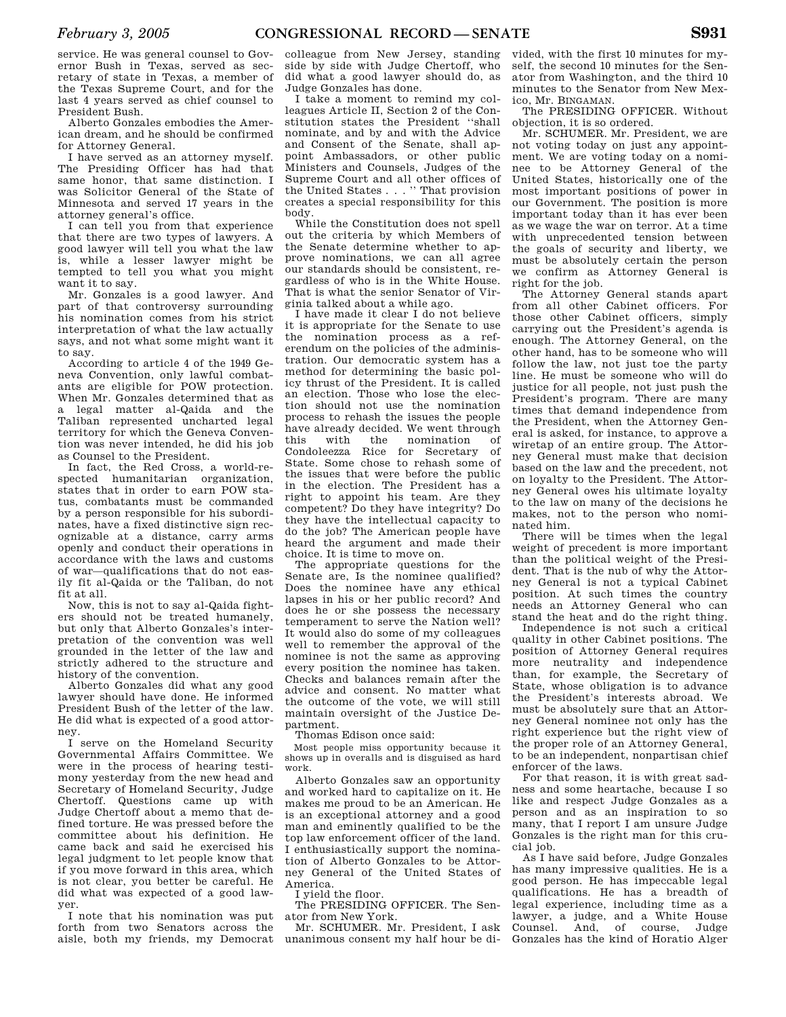service. He was general counsel to Governor Bush in Texas, served as secretary of state in Texas, a member of the Texas Supreme Court, and for the last 4 years served as chief counsel to President Bush.

Alberto Gonzales embodies the American dream, and he should be confirmed for Attorney General.

I have served as an attorney myself. The Presiding Officer has had that same honor, that same distinction. I was Solicitor General of the State of Minnesota and served 17 years in the attorney general's office.

I can tell you from that experience that there are two types of lawyers. A good lawyer will tell you what the law is, while a lesser lawyer might be tempted to tell you what you might want it to say.

Mr. Gonzales is a good lawyer. And part of that controversy surrounding his nomination comes from his strict interpretation of what the law actually says, and not what some might want it to say.

According to article 4 of the 1949 Geneva Convention, only lawful combatants are eligible for POW protection. When Mr. Gonzales determined that as a legal matter al-Qaida and the Taliban represented uncharted legal territory for which the Geneva Convention was never intended, he did his job as Counsel to the President.

In fact, the Red Cross, a world-respected humanitarian organization, states that in order to earn POW status, combatants must be commanded by a person responsible for his subordinates, have a fixed distinctive sign recognizable at a distance, carry arms openly and conduct their operations in accordance with the laws and customs of war—qualifications that do not easily fit al-Qaida or the Taliban, do not fit at all.

Now, this is not to say al-Qaida fighters should not be treated humanely, but only that Alberto Gonzales's interpretation of the convention was well grounded in the letter of the law and strictly adhered to the structure and history of the convention.

Alberto Gonzales did what any good lawyer should have done. He informed President Bush of the letter of the law. He did what is expected of a good attorney.

I serve on the Homeland Security Governmental Affairs Committee. We were in the process of hearing testimony yesterday from the new head and Secretary of Homeland Security, Judge Chertoff. Questions came up with Judge Chertoff about a memo that defined torture. He was pressed before the committee about his definition. He came back and said he exercised his legal judgment to let people know that if you move forward in this area, which is not clear, you better be careful. He did what was expected of a good lawyer.

I note that his nomination was put forth from two Senators across the aisle, both my friends, my Democrat

colleague from New Jersey, standing side by side with Judge Chertoff, who did what a good lawyer should do, as Judge Gonzales has done.

I take a moment to remind my colleagues Article II, Section 2 of the Constitution states the President ''shall nominate, and by and with the Advice and Consent of the Senate, shall appoint Ambassadors, or other public Ministers and Counsels, Judges of the Supreme Court and all other offices of the United States . . . '' That provision creates a special responsibility for this body.

While the Constitution does not spell out the criteria by which Members of the Senate determine whether to approve nominations, we can all agree our standards should be consistent, regardless of who is in the White House. That is what the senior Senator of Virginia talked about a while ago.

I have made it clear I do not believe it is appropriate for the Senate to use the nomination process as a referendum on the policies of the administration. Our democratic system has a method for determining the basic policy thrust of the President. It is called an election. Those who lose the election should not use the nomination process to rehash the issues the people have already decided. We went through this with the nomination of Condoleezza Rice for Secretary of State. Some chose to rehash some of the issues that were before the public in the election. The President has a right to appoint his team. Are they competent? Do they have integrity? Do they have the intellectual capacity to do the job? The American people have heard the argument and made their choice. It is time to move on.

The appropriate questions for the Senate are, Is the nominee qualified? Does the nominee have any ethical lapses in his or her public record? And does he or she possess the necessary temperament to serve the Nation well? It would also do some of my colleagues well to remember the approval of the nominee is not the same as approving every position the nominee has taken. Checks and balances remain after the advice and consent. No matter what the outcome of the vote, we will still maintain oversight of the Justice Department.

Thomas Edison once said:

Most people miss opportunity because it shows up in overalls and is disguised as hard work.

Alberto Gonzales saw an opportunity and worked hard to capitalize on it. He makes me proud to be an American. He is an exceptional attorney and a good man and eminently qualified to be the top law enforcement officer of the land. I enthusiastically support the nomination of Alberto Gonzales to be Attorney General of the United States of America.

I yield the floor.

The PRESIDING OFFICER. The Senator from New York.

Mr. SCHUMER. Mr. President, I ask unanimous consent my half hour be di-

vided, with the first 10 minutes for myself, the second 10 minutes for the Senator from Washington, and the third 10 minutes to the Senator from New Mexico, Mr. BINGAMAN.

The PRESIDING OFFICER. Without objection, it is so ordered.

Mr. SCHUMER. Mr. President, we are not voting today on just any appointment. We are voting today on a nominee to be Attorney General of the United States, historically one of the most important positions of power in our Government. The position is more important today than it has ever been as we wage the war on terror. At a time with unprecedented tension between the goals of security and liberty, we must be absolutely certain the person we confirm as Attorney General is right for the job.

The Attorney General stands apart from all other Cabinet officers. For those other Cabinet officers, simply carrying out the President's agenda is enough. The Attorney General, on the other hand, has to be someone who will follow the law, not just toe the party line. He must be someone who will do justice for all people, not just push the President's program. There are many times that demand independence from the President, when the Attorney General is asked, for instance, to approve a wiretap of an entire group. The Attorney General must make that decision based on the law and the precedent, not on loyalty to the President. The Attorney General owes his ultimate loyalty to the law on many of the decisions he makes, not to the person who nominated him.

There will be times when the legal weight of precedent is more important than the political weight of the President. That is the nub of why the Attorney General is not a typical Cabinet position. At such times the country needs an Attorney General who can stand the heat and do the right thing.

Independence is not such a critical quality in other Cabinet positions. The position of Attorney General requires more neutrality and independence than, for example, the Secretary of State, whose obligation is to advance the President's interests abroad. We must be absolutely sure that an Attorney General nominee not only has the right experience but the right view of the proper role of an Attorney General, to be an independent, nonpartisan chief enforcer of the laws.

For that reason, it is with great sadness and some heartache, because I so like and respect Judge Gonzales as a person and as an inspiration to so many, that I report I am unsure Judge Gonzales is the right man for this crucial job.

As I have said before, Judge Gonzales has many impressive qualities. He is a good person. He has impeccable legal qualifications. He has a breadth of legal experience, including time as a lawyer, a judge, and a White House Counsel. And, of course, Judge Gonzales has the kind of Horatio Alger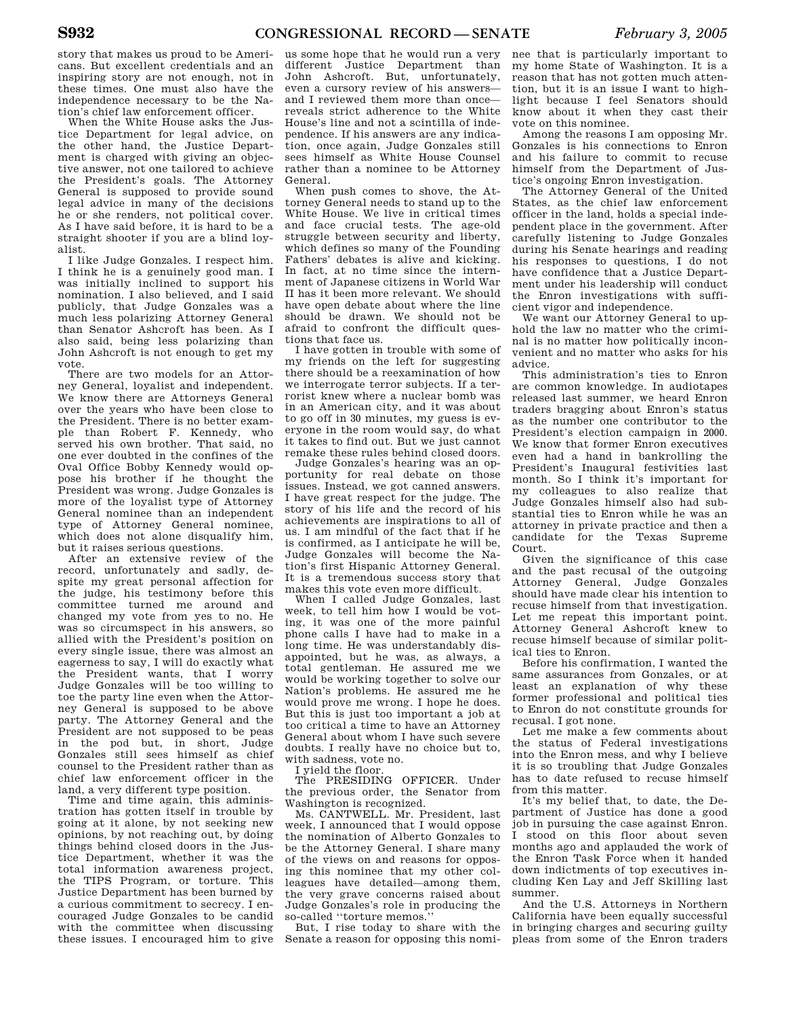story that makes us proud to be Americans. But excellent credentials and an inspiring story are not enough, not in these times. One must also have the independence necessary to be the Nation's chief law enforcement officer.

When the White House asks the Justice Department for legal advice, on the other hand, the Justice Department is charged with giving an objective answer, not one tailored to achieve the President's goals. The Attorney General is supposed to provide sound legal advice in many of the decisions he or she renders, not political cover. As I have said before, it is hard to be a straight shooter if you are a blind loyalist.

I like Judge Gonzales. I respect him. I think he is a genuinely good man. I was initially inclined to support his nomination. I also believed, and I said publicly, that Judge Gonzales was a much less polarizing Attorney General than Senator Ashcroft has been. As I also said, being less polarizing than John Ashcroft is not enough to get my vote.

There are two models for an Attorney General, loyalist and independent. We know there are Attorneys General over the years who have been close to the President. There is no better example than Robert F. Kennedy, who served his own brother. That said, no one ever doubted in the confines of the Oval Office Bobby Kennedy would oppose his brother if he thought the President was wrong. Judge Gonzales is more of the loyalist type of Attorney General nominee than an independent type of Attorney General nominee, which does not alone disqualify him, but it raises serious questions.

After an extensive review of the record, unfortunately and sadly, despite my great personal affection for the judge, his testimony before this committee turned me around and changed my vote from yes to no. He was so circumspect in his answers, so allied with the President's position on every single issue, there was almost an eagerness to say, I will do exactly what the President wants, that I worry Judge Gonzales will be too willing to toe the party line even when the Attorney General is supposed to be above party. The Attorney General and the President are not supposed to be peas in the pod but, in short, Judge Gonzales still sees himself as chief counsel to the President rather than as chief law enforcement officer in the land, a very different type position.

Time and time again, this administration has gotten itself in trouble by going at it alone, by not seeking new opinions, by not reaching out, by doing things behind closed doors in the Justice Department, whether it was the total information awareness project, the TIPS Program, or torture. This Justice Department has been burned by a curious commitment to secrecy. I encouraged Judge Gonzales to be candid with the committee when discussing these issues. I encouraged him to give

us some hope that he would run a very different Justice Department than John Ashcroft. But, unfortunately, even a cursory review of his answers and I reviewed them more than once reveals strict adherence to the White House's line and not a scintilla of independence. If his answers are any indication, once again, Judge Gonzales still sees himself as White House Counsel rather than a nominee to be Attorney General.

When push comes to shove, the Attorney General needs to stand up to the White House. We live in critical times and face crucial tests. The age-old struggle between security and liberty, which defines so many of the Founding Fathers' debates is alive and kicking. In fact, at no time since the internment of Japanese citizens in World War II has it been more relevant. We should have open debate about where the line should be drawn. We should not be afraid to confront the difficult questions that face us.

I have gotten in trouble with some of my friends on the left for suggesting there should be a reexamination of how we interrogate terror subjects. If a terrorist knew where a nuclear bomb was in an American city, and it was about to go off in 30 minutes, my guess is everyone in the room would say, do what it takes to find out. But we just cannot remake these rules behind closed doors.

Judge Gonzales's hearing was an opportunity for real debate on those issues. Instead, we got canned answers. I have great respect for the judge. The story of his life and the record of his achievements are inspirations to all of us. I am mindful of the fact that if he is confirmed, as I anticipate he will be, Judge Gonzales will become the Nation's first Hispanic Attorney General. It is a tremendous success story that makes this vote even more difficult.

When I called Judge Gonzales, last week, to tell him how I would be voting, it was one of the more painful phone calls I have had to make in a long time. He was understandably disappointed, but he was, as always, a total gentleman. He assured me we would be working together to solve our Nation's problems. He assured me he would prove me wrong. I hope he does. But this is just too important a job at too critical a time to have an Attorney General about whom I have such severe doubts. I really have no choice but to, with sadness, vote no.

I yield the floor.

The PRESIDING OFFICER. Under the previous order, the Senator from Washington is recognized.

Ms. CANTWELL. Mr. President, last week, I announced that I would oppose the nomination of Alberto Gonzales to be the Attorney General. I share many of the views on and reasons for opposing this nominee that my other colleagues have detailed—among them, the very grave concerns raised about Judge Gonzales's role in producing the so-called ''torture memos.''

But, I rise today to share with the Senate a reason for opposing this nomi-

nee that is particularly important to my home State of Washington. It is a reason that has not gotten much attention, but it is an issue I want to highlight because I feel Senators should know about it when they cast their vote on this nominee.

Among the reasons I am opposing Mr. Gonzales is his connections to Enron and his failure to commit to recuse himself from the Department of Justice's ongoing Enron investigation.

The Attorney General of the United States, as the chief law enforcement officer in the land, holds a special independent place in the government. After carefully listening to Judge Gonzales during his Senate hearings and reading his responses to questions, I do not have confidence that a Justice Department under his leadership will conduct the Enron investigations with sufficient vigor and independence.

We want our Attorney General to uphold the law no matter who the criminal is no matter how politically inconvenient and no matter who asks for his advice.

This administration's ties to Enron are common knowledge. In audiotapes released last summer, we heard Enron traders bragging about Enron's status as the number one contributor to the President's election campaign in 2000. We know that former Enron executives even had a hand in bankrolling the President's Inaugural festivities last month. So I think it's important for my colleagues to also realize that Judge Gonzales himself also had substantial ties to Enron while he was an attorney in private practice and then a candidate for the Texas Supreme Court.

Given the significance of this case and the past recusal of the outgoing Attorney General, Judge Gonzales should have made clear his intention to recuse himself from that investigation. Let me repeat this important point. Attorney General Ashcroft knew to recuse himself because of similar political ties to Enron.

Before his confirmation, I wanted the same assurances from Gonzales, or at least an explanation of why these former professional and political ties to Enron do not constitute grounds for recusal. I got none.

Let me make a few comments about the status of Federal investigations into the Enron mess, and why I believe it is so troubling that Judge Gonzales has to date refused to recuse himself from this matter.

It's my belief that, to date, the Department of Justice has done a good job in pursuing the case against Enron. I stood on this floor about seven months ago and applauded the work of the Enron Task Force when it handed down indictments of top executives including Ken Lay and Jeff Skilling last summer.

And the U.S. Attorneys in Northern California have been equally successful in bringing charges and securing guilty pleas from some of the Enron traders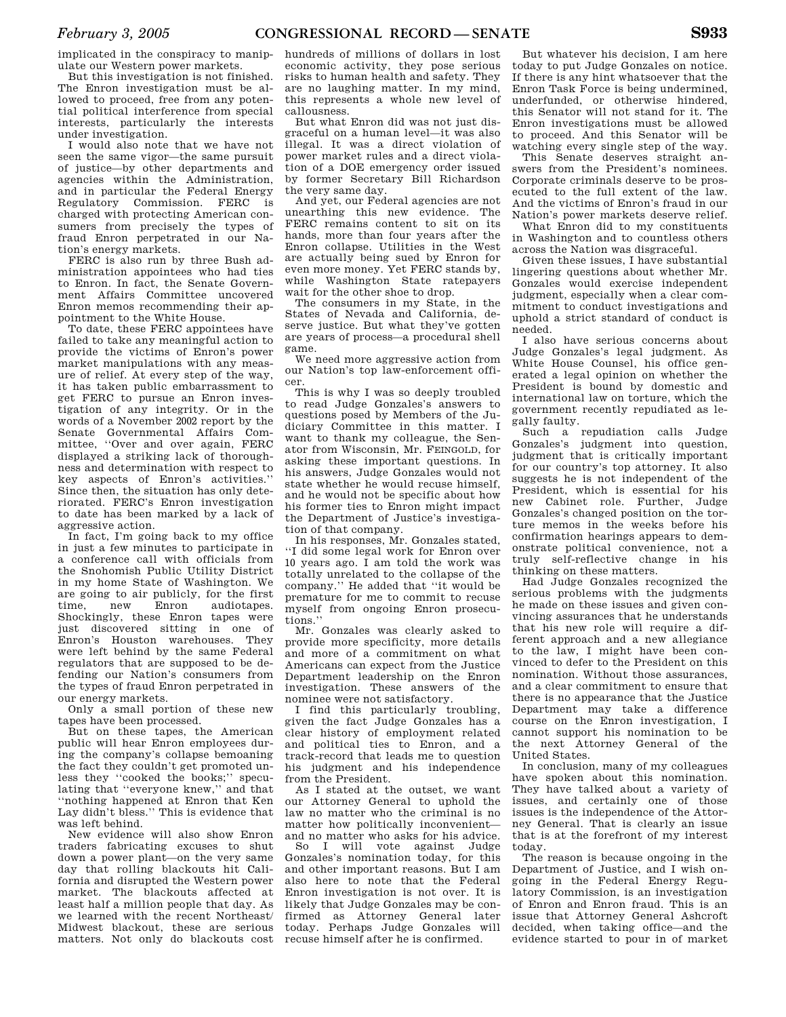implicated in the conspiracy to manipulate our Western power markets.

But this investigation is not finished. The Enron investigation must be allowed to proceed, free from any potential political interference from special interests, particularly the interests under investigation.

I would also note that we have not seen the same vigor—the same pursuit of justice—by other departments and agencies within the Administration, and in particular the Federal Energy Regulatory Commission. FERC is charged with protecting American consumers from precisely the types of fraud Enron perpetrated in our Nation's energy markets.

FERC is also run by three Bush administration appointees who had ties to Enron. In fact, the Senate Government Affairs Committee uncovered Enron memos recommending their appointment to the White House.

To date, these FERC appointees have failed to take any meaningful action to provide the victims of Enron's power market manipulations with any measure of relief. At every step of the way, it has taken public embarrassment to get FERC to pursue an Enron investigation of any integrity. Or in the words of a November 2002 report by the Senate Governmental Affairs Committee, ''Over and over again, FERC displayed a striking lack of thoroughness and determination with respect to key aspects of Enron's activities.'' Since then, the situation has only deteriorated. FERC's Enron investigation to date has been marked by a lack of aggressive action.

In fact, I'm going back to my office in just a few minutes to participate in a conference call with officials from the Snohomish Public Utility District in my home State of Washington. We are going to air publicly, for the first time, new Enron audiotapes. Shockingly, these Enron tapes were just discovered sitting in one of Enron's Houston warehouses. They were left behind by the same Federal regulators that are supposed to be defending our Nation's consumers from the types of fraud Enron perpetrated in our energy markets.

Only a small portion of these new tapes have been processed.

But on these tapes, the American public will hear Enron employees during the company's collapse bemoaning the fact they couldn't get promoted unless they ''cooked the books;'' speculating that ''everyone knew,'' and that ''nothing happened at Enron that Ken Lay didn't bless.'' This is evidence that was left behind.

New evidence will also show Enron traders fabricating excuses to shut down a power plant—on the very same day that rolling blackouts hit California and disrupted the Western power market. The blackouts affected at least half a million people that day. As we learned with the recent Northeast/ Midwest blackout, these are serious matters. Not only do blackouts cost

hundreds of millions of dollars in lost economic activity, they pose serious risks to human health and safety. They are no laughing matter. In my mind, this represents a whole new level of callousness.

But what Enron did was not just disgraceful on a human level—it was also illegal. It was a direct violation of power market rules and a direct violation of a DOE emergency order issued by former Secretary Bill Richardson the very same day.

And yet, our Federal agencies are not unearthing this new evidence. The FERC remains content to sit on its hands, more than four years after the Enron collapse. Utilities in the West are actually being sued by Enron for even more money. Yet FERC stands by, while Washington State ratepayers wait for the other shoe to drop.

The consumers in my State, in the States of Nevada and California, deserve justice. But what they've gotten are years of process—a procedural shell game.

We need more aggressive action from our Nation's top law-enforcement officer.

This is why I was so deeply troubled to read Judge Gonzales's answers to questions posed by Members of the Judiciary Committee in this matter. I want to thank my colleague, the Senator from Wisconsin, Mr. FEINGOLD, for asking these important questions. In his answers, Judge Gonzales would not state whether he would recuse himself, and he would not be specific about how his former ties to Enron might impact the Department of Justice's investigation of that company.

In his responses, Mr. Gonzales stated, ''I did some legal work for Enron over 10 years ago. I am told the work was totally unrelated to the collapse of the company.'' He added that ''it would be premature for me to commit to recuse myself from ongoing Enron prosecutions.''

Mr. Gonzales was clearly asked to provide more specificity, more details and more of a commitment on what Americans can expect from the Justice Department leadership on the Enron investigation. These answers of the nominee were not satisfactory.

I find this particularly troubling, given the fact Judge Gonzales has a clear history of employment related and political ties to Enron, and a track-record that leads me to question his judgment and his independence from the President.

As I stated at the outset, we want our Attorney General to uphold the law no matter who the criminal is no matter how politically inconvenient and no matter who asks for his advice.

So I will vote against Judge Gonzales's nomination today, for this and other important reasons. But I am also here to note that the Federal Enron investigation is not over. It is likely that Judge Gonzales may be confirmed as Attorney General later today. Perhaps Judge Gonzales will recuse himself after he is confirmed.

But whatever his decision, I am here today to put Judge Gonzales on notice. If there is any hint whatsoever that the Enron Task Force is being undermined, underfunded, or otherwise hindered, this Senator will not stand for it. The Enron investigations must be allowed to proceed. And this Senator will be watching every single step of the way.

This Senate deserves straight answers from the President's nominees. Corporate criminals deserve to be prosecuted to the full extent of the law. And the victims of Enron's fraud in our Nation's power markets deserve relief.

What Enron did to my constituents in Washington and to countless others across the Nation was disgraceful.

Given these issues, I have substantial lingering questions about whether Mr. Gonzales would exercise independent judgment, especially when a clear commitment to conduct investigations and uphold a strict standard of conduct is needed.

I also have serious concerns about Judge Gonzales's legal judgment. As White House Counsel, his office generated a legal opinion on whether the President is bound by domestic and international law on torture, which the government recently repudiated as legally faulty.

Such a repudiation calls Judge Gonzales's judgment into question, judgment that is critically important for our country's top attorney. It also suggests he is not independent of the President, which is essential for his new Cabinet role. Further, Judge Gonzales's changed position on the torture memos in the weeks before his confirmation hearings appears to demonstrate political convenience, not a truly self-reflective change in his thinking on these matters.

Had Judge Gonzales recognized the serious problems with the judgments he made on these issues and given convincing assurances that he understands that his new role will require a different approach and a new allegiance to the law, I might have been convinced to defer to the President on this nomination. Without those assurances, and a clear commitment to ensure that there is no appearance that the Justice Department may take a difference course on the Enron investigation, I cannot support his nomination to be the next Attorney General of the United States.

In conclusion, many of my colleagues have spoken about this nomination. They have talked about a variety of issues, and certainly one of those issues is the independence of the Attorney General. That is clearly an issue that is at the forefront of my interest today.

The reason is because ongoing in the Department of Justice, and I wish ongoing in the Federal Energy Regulatory Commission, is an investigation of Enron and Enron fraud. This is an issue that Attorney General Ashcroft decided, when taking office—and the evidence started to pour in of market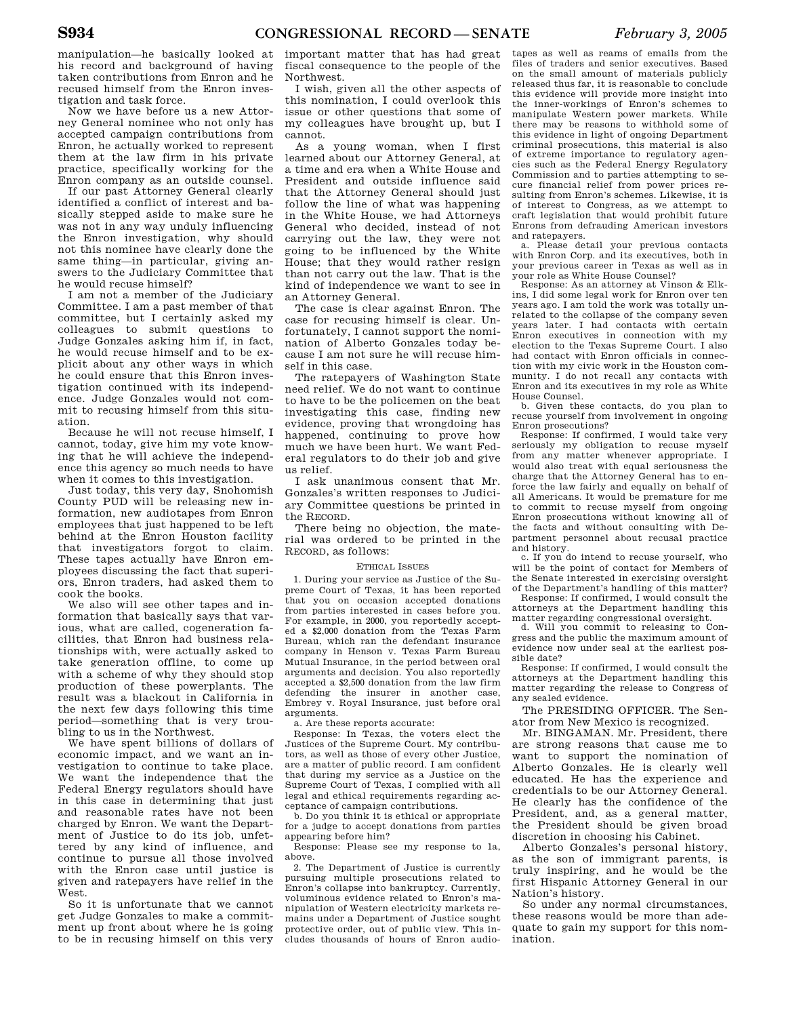manipulation—he basically looked at his record and background of having taken contributions from Enron and he recused himself from the Enron investigation and task force.

Now we have before us a new Attorney General nominee who not only has accepted campaign contributions from Enron, he actually worked to represent them at the law firm in his private practice, specifically working for the Enron company as an outside counsel.

If our past Attorney General clearly identified a conflict of interest and basically stepped aside to make sure he was not in any way unduly influencing the Enron investigation, why should not this nominee have clearly done the same thing—in particular, giving answers to the Judiciary Committee that he would recuse himself?

I am not a member of the Judiciary Committee. I am a past member of that committee, but I certainly asked my colleagues to submit questions to Judge Gonzales asking him if, in fact, he would recuse himself and to be explicit about any other ways in which he could ensure that this Enron investigation continued with its independence. Judge Gonzales would not commit to recusing himself from this situation.

Because he will not recuse himself, I cannot, today, give him my vote knowing that he will achieve the independence this agency so much needs to have when it comes to this investigation.

Just today, this very day, Snohomish County PUD will be releasing new information, new audiotapes from Enron employees that just happened to be left behind at the Enron Houston facility that investigators forgot to claim. These tapes actually have Enron employees discussing the fact that superiors, Enron traders, had asked them to cook the books.

We also will see other tapes and information that basically says that various, what are called, cogeneration facilities, that Enron had business relationships with, were actually asked to take generation offline, to come up with a scheme of why they should stop production of these powerplants. The result was a blackout in California in the next few days following this time period—something that is very troubling to us in the Northwest.

We have spent billions of dollars of economic impact, and we want an investigation to continue to take place. We want the independence that the Federal Energy regulators should have in this case in determining that just and reasonable rates have not been charged by Enron. We want the Department of Justice to do its job, unfettered by any kind of influence, and continue to pursue all those involved with the Enron case until justice is given and ratepayers have relief in the West.

So it is unfortunate that we cannot get Judge Gonzales to make a commitment up front about where he is going to be in recusing himself on this very

important matter that has had great fiscal consequence to the people of the Northwest.

I wish, given all the other aspects of this nomination, I could overlook this issue or other questions that some of my colleagues have brought up, but I cannot.

As a young woman, when I first learned about our Attorney General, at a time and era when a White House and President and outside influence said that the Attorney General should just follow the line of what was happening in the White House, we had Attorneys General who decided, instead of not carrying out the law, they were not going to be influenced by the White House; that they would rather resign than not carry out the law. That is the kind of independence we want to see in an Attorney General.

The case is clear against Enron. The case for recusing himself is clear. Unfortunately, I cannot support the nomination of Alberto Gonzales today because I am not sure he will recuse himself in this case.

The ratepayers of Washington State need relief. We do not want to continue to have to be the policemen on the beat investigating this case, finding new evidence, proving that wrongdoing has happened, continuing to prove how much we have been hurt. We want Federal regulators to do their job and give us relief.

I ask unanimous consent that Mr. Gonzales's written responses to Judiciary Committee questions be printed in the RECORD.

There being no objection, the material was ordered to be printed in the RECORD, as follows:

#### ETHICAL ISSUES

1. During your service as Justice of the Supreme Court of Texas, it has been reported that you on occasion accepted donations from parties interested in cases before you. For example, in 2000, you reportedly accepted a \$2,000 donation from the Texas Farm Bureau, which ran the defendant insurance company in Henson v. Texas Farm Bureau Mutual Insurance, in the period between oral arguments and decision. You also reportedly accepted a \$2,500 donation from the law firm defending the insurer in another case, Embrey v. Royal Insurance, just before oral arguments.

a. Are these reports accurate:

Response: In Texas, the voters elect the Justices of the Supreme Court. My contributors, as well as those of every other Justice, are a matter of public record. I am confident that during my service as a Justice on the Supreme Court of Texas, I complied with all legal and ethical requirements regarding acceptance of campaign contributions.

b. Do you think it is ethical or appropriate for a judge to accept donations from parties appearing before him?

Response: Please see my response to 1a, above.

2. The Department of Justice is currently pursuing multiple prosecutions related to Enron's collapse into bankruptcy. Currently, voluminous evidence related to Enron's manipulation of Western electricity markets remains under a Department of Justice sought protective order, out of public view. This includes thousands of hours of Enron audio-

tapes as well as reams of emails from the files of traders and senior executives. Based on the small amount of materials publicly released thus far, it is reasonable to conclude this evidence will provide more insight into the inner-workings of Enron's schemes to manipulate Western power markets. While there may be reasons to withhold some of this evidence in light of ongoing Department criminal prosecutions, this material is also of extreme importance to regulatory agencies such as the Federal Energy Regulatory Commission and to parties attempting to secure financial relief from power prices resulting from Enron's schemes. Likewise, it is of interest to Congress, as we attempt to craft legislation that would prohibit future Enrons from defrauding American investors and ratepayers.

a. Please detail your previous contacts with Enron Corp. and its executives, both in your previous career in Texas as well as in your role as White House Counsel?

Response: As an attorney at Vinson & Elkins, I did some legal work for Enron over ten years ago. I am told the work was totally unrelated to the collapse of the company seven years later. I had contacts with certain Enron executives in connection with my election to the Texas Supreme Court. I also had contact with Enron officials in connection with my civic work in the Houston community. I do not recall any contacts with Enron and its executives in my role as White House Counsel.

b. Given these contacts, do you plan to recuse yourself from involvement in ongoing Enron prosecutions?

Response: If confirmed, I would take very seriously my obligation to recuse myself from any matter whenever appropriate. I would also treat with equal seriousness the charge that the Attorney General has to enforce the law fairly and equally on behalf of all Americans. It would be premature for me to commit to recuse myself from ongoing Enron prosecutions without knowing all of the facts and without consulting with Department personnel about recusal practice

and history. c. If you do intend to recuse yourself, who will be the point of contact for Members of the Senate interested in exercising oversight of the Department's handling of this matter?

Response: If confirmed, I would consult the attorneys at the Department handling this matter regarding congressional oversight.

d. Will you commit to releasing to Congress and the public the maximum amount of evidence now under seal at the earliest possible date?

Response: If confirmed, I would consult the attorneys at the Department handling this matter regarding the release to Congress of any sealed evidence.

The PRESIDING OFFICER. The Senator from New Mexico is recognized.

Mr. BINGAMAN. Mr. President, there are strong reasons that cause me to want to support the nomination of Alberto Gonzales. He is clearly well educated. He has the experience and credentials to be our Attorney General. He clearly has the confidence of the President, and, as a general matter, the President should be given broad discretion in choosing his Cabinet.

Alberto Gonzales's personal history, as the son of immigrant parents, is truly inspiring, and he would be the first Hispanic Attorney General in our Nation's history.

So under any normal circumstances, these reasons would be more than adequate to gain my support for this nomination.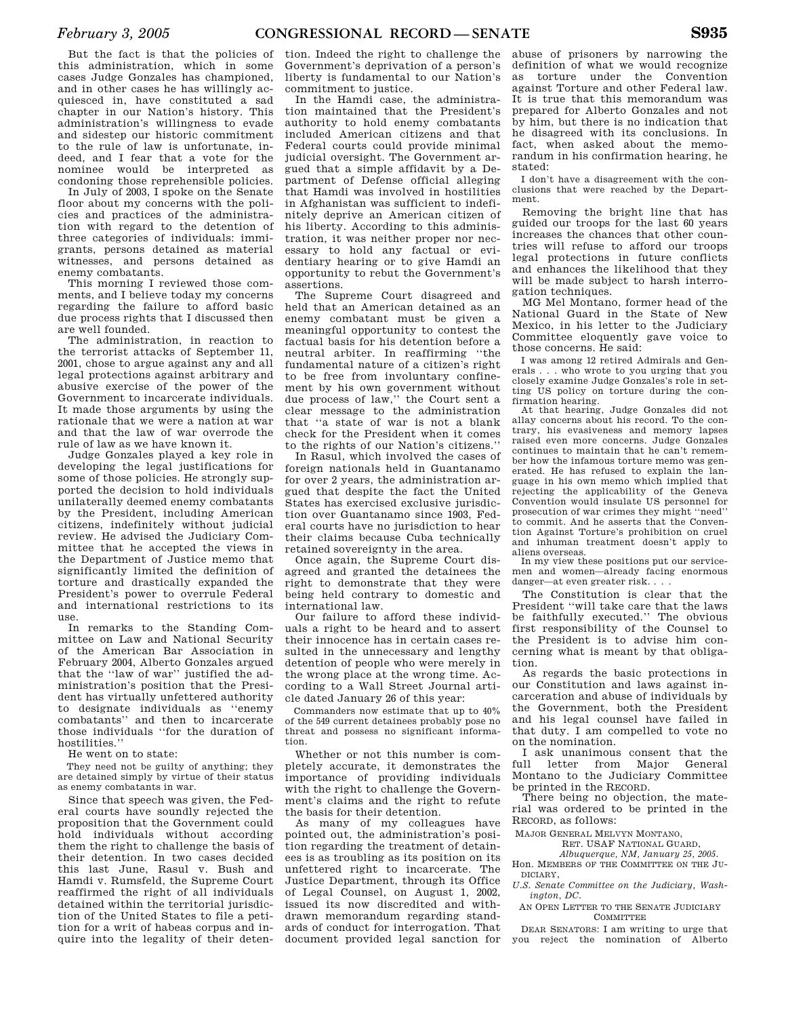But the fact is that the policies of this administration, which in some cases Judge Gonzales has championed, and in other cases he has willingly acquiesced in, have constituted a sad chapter in our Nation's history. This administration's willingness to evade and sidestep our historic commitment to the rule of law is unfortunate, indeed, and I fear that a vote for the nominee would be interpreted as condoning those reprehensible policies.

In July of 2003, I spoke on the Senate floor about my concerns with the policies and practices of the administration with regard to the detention of three categories of individuals: immigrants, persons detained as material witnesses, and persons detained as enemy combatants.

This morning I reviewed those comments, and I believe today my concerns regarding the failure to afford basic due process rights that I discussed then are well founded.

The administration, in reaction to the terrorist attacks of September 11, 2001, chose to argue against any and all legal protections against arbitrary and abusive exercise of the power of the Government to incarcerate individuals. It made those arguments by using the rationale that we were a nation at war and that the law of war overrode the rule of law as we have known it.

Judge Gonzales played a key role in developing the legal justifications for some of those policies. He strongly supported the decision to hold individuals unilaterally deemed enemy combatants by the President, including American citizens, indefinitely without judicial review. He advised the Judiciary Committee that he accepted the views in the Department of Justice memo that significantly limited the definition of torture and drastically expanded the President's power to overrule Federal and international restrictions to its use.

In remarks to the Standing Committee on Law and National Security of the American Bar Association in February 2004, Alberto Gonzales argued that the ''law of war'' justified the administration's position that the President has virtually unfettered authority to designate individuals as ''enemy combatants'' and then to incarcerate those individuals ''for the duration of hostilities.''

He went on to state:

They need not be guilty of anything; they are detained simply by virtue of their status as enemy combatants in war.

Since that speech was given, the Federal courts have soundly rejected the proposition that the Government could hold individuals without according them the right to challenge the basis of their detention. In two cases decided this last June, Rasul v. Bush and Hamdi v. Rumsfeld, the Supreme Court reaffirmed the right of all individuals detained within the territorial jurisdiction of the United States to file a petition for a writ of habeas corpus and inquire into the legality of their deten-

tion. Indeed the right to challenge the Government's deprivation of a person's liberty is fundamental to our Nation's commitment to justice.

In the Hamdi case, the administration maintained that the President's authority to hold enemy combatants included American citizens and that Federal courts could provide minimal judicial oversight. The Government argued that a simple affidavit by a Department of Defense official alleging that Hamdi was involved in hostilities in Afghanistan was sufficient to indefinitely deprive an American citizen of his liberty. According to this administration, it was neither proper nor necessary to hold any factual or evidentiary hearing or to give Hamdi an opportunity to rebut the Government's assertions.

The Supreme Court disagreed and held that an American detained as an enemy combatant must be given a meaningful opportunity to contest the factual basis for his detention before a neutral arbiter. In reaffirming ''the fundamental nature of a citizen's right to be free from involuntary confinement by his own government without due process of law,'' the Court sent a clear message to the administration that ''a state of war is not a blank check for the President when it comes to the rights of our Nation's citizens.''

In Rasul, which involved the cases of foreign nationals held in Guantanamo for over 2 years, the administration argued that despite the fact the United States has exercised exclusive jurisdiction over Guantanamo since 1903, Federal courts have no jurisdiction to hear their claims because Cuba technically retained sovereignty in the area.

Once again, the Supreme Court disagreed and granted the detainees the right to demonstrate that they were being held contrary to domestic and international law.

Our failure to afford these individuals a right to be heard and to assert their innocence has in certain cases resulted in the unnecessary and lengthy detention of people who were merely in the wrong place at the wrong time. According to a Wall Street Journal article dated January 26 of this year:

Commanders now estimate that up to 40% of the 549 current detainees probably pose no threat and possess no significant information.

Whether or not this number is completely accurate, it demonstrates the importance of providing individuals with the right to challenge the Government's claims and the right to refute the basis for their detention.

As many of my colleagues have pointed out, the administration's position regarding the treatment of detainees is as troubling as its position on its unfettered right to incarcerate. The Justice Department, through its Office of Legal Counsel, on August 1, 2002, issued its now discredited and withdrawn memorandum regarding standards of conduct for interrogation. That document provided legal sanction for

abuse of prisoners by narrowing the definition of what we would recognize as torture under the Convention against Torture and other Federal law. It is true that this memorandum was prepared for Alberto Gonzales and not by him, but there is no indication that he disagreed with its conclusions. In fact, when asked about the memorandum in his confirmation hearing, he stated:

I don't have a disagreement with the conclusions that were reached by the Department.

Removing the bright line that has guided our troops for the last 60 years increases the chances that other countries will refuse to afford our troops legal protections in future conflicts and enhances the likelihood that they will be made subject to harsh interrogation techniques.

MG Mel Montano, former head of the National Guard in the State of New Mexico, in his letter to the Judiciary Committee eloquently gave voice to those concerns. He said:

I was among 12 retired Admirals and Generals . . . who wrote to you urging that you closely examine Judge Gonzales's role in setting US policy on torture during the confirmation hearing.

At that hearing, Judge Gonzales did not allay concerns about his record. To the contrary, his evasiveness and memory lapses raised even more concerns. Judge Gonzales continues to maintain that he can't remember how the infamous torture memo was generated. He has refused to explain the language in his own memo which implied that rejecting the applicability of the Geneva Convention would insulate US personnel for prosecution of war crimes they might ''need'' to commit. And he asserts that the Convention Against Torture's prohibition on cruel and inhuman treatment doesn't apply to aliens overseas.

In my view these positions put our servicemen and women—already facing enormous danger—at even greater risk. . . .

The Constitution is clear that the President ''will take care that the laws be faithfully executed.'' The obvious first responsibility of the Counsel to the President is to advise him concerning what is meant by that obligation.

As regards the basic protections in our Constitution and laws against incarceration and abuse of individuals by the Government, both the President and his legal counsel have failed in that duty. I am compelled to vote no on the nomination.

I ask unanimous consent that the full letter from Major General Montano to the Judiciary Committee be printed in the RECORD.

There being no objection, the material was ordered to be printed in the RECORD, as follows:

MAJOR GENERAL MELVYN MONTANO,

RET. USAF NATIONAL GUARD,

*Albuquerque, NM, January 25, 2005.*  Hon. MEMBERS OF THE COMMITTEE ON THE JU-DICIARY,

*U.S. Senate Committee on the Judiciary, Washington, DC.* 

AN OPEN LETTER TO THE SENATE JUDICIARY **COMMITTEE** 

DEAR SENATORS: I am writing to urge that you reject the nomination of Alberto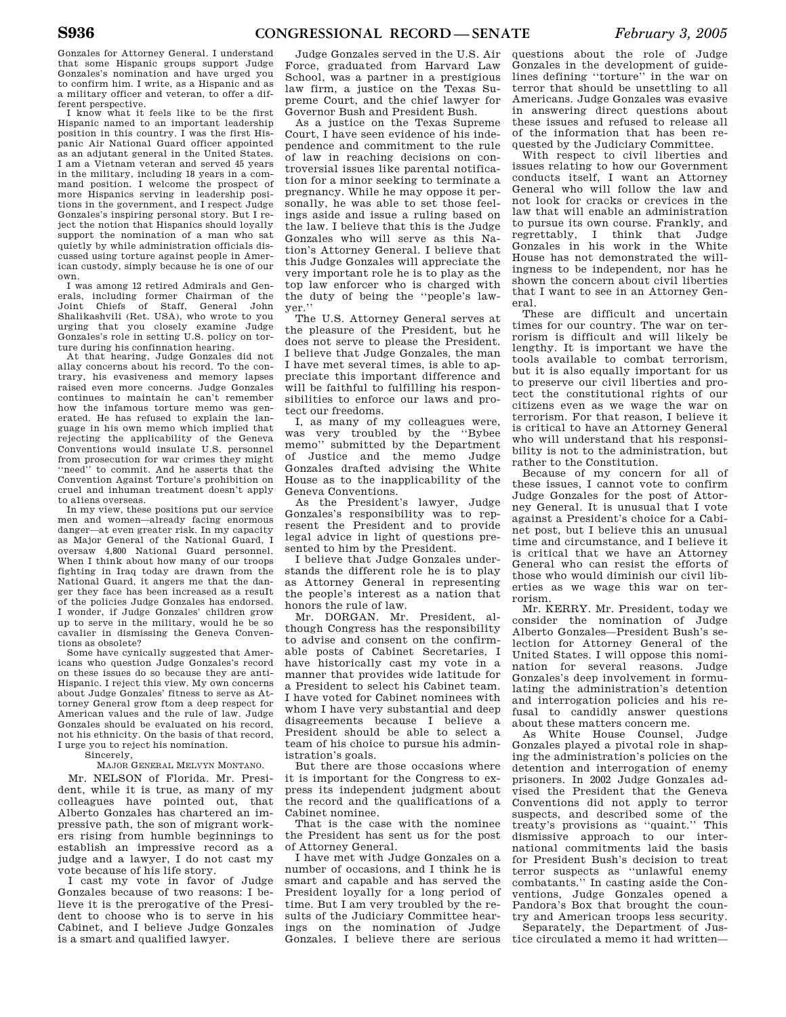Gonzales for Attorney General. I understand that some Hispanic groups support Judge Gonzales's nomination and have urged you to confirm him. I write, as a Hispanic and as a military officer and veteran, to offer a different perspective.

I know what it feels like to be the first Hispanic named to an important leadership position in this country. I was the first Hispanic Air Nationa1 Guard officer appointed as an adjutant general in the United States. I am a Vietnam veteran and served 45 years in the military, including 18 years in a command position. I welcome the prospect of more Hispanics serving in leadership positions in the government, and I respect Judge Gonzales's inspiring personal story. But I reject the notion that Hispanics should loyally support the nomination of a man who sat quietly by while administration officials discussed using torture against people in American custody, simply because he is one of our own.

I was among 12 retired Admirals and Generals, including former Chairman of the Joint Chiefs of Staff, General John Shalikashvili (Ret. USA), who wrote to you urging that you closely examine Judge Gonzales's role in setting U.S. policy on torture during his confinnation hearing.

At that hearing, Judge Gonzales did not allay concerns about his record. To the contrary, his evasiveness and memory lapses raised even more concerns. Judge Gonzales continues to maintain he can't remember how the infamous torture memo was generated. He has refused to explain the language in his own memo which implied that rejecting the applicability of the Geneva Conventions would insulate U.S. personnel from prosecution for war crimes they might ''need'' to commit. And he asserts that the Convention Against Torture's prohibition on cruel and inhuman treatment doesn't apply to a1iens overseas.

In my view, these positions put our service men and women—already facing enormous danger—at even greater risk. In my capacity as Major General of the National Guard, I oversaw 4,800 National Guard personnel. When I think about how many of our troops fighting in Iraq today are drawn from the National Guard, it angers me that the danger they face has been increased as a resuIt of the policies Judge Gonzales has endorsed. I wonder, if Judge Gonzales' children grow up to serve in the military, would he be so cavalier in dismissing the Geneva Conventions as obsolete?

Some have cynically suggested that Americans who question Judge Gonzales's record on these issues do so because they are anti-Hispanic. I reject this view. My own concerns about Judge Gonzales' fitness to serve as Attorney General grow ftom a deep respect for American values and the rule of law. Judge Gonzales should be evaluated on his record, not his ethnicity. On the basis of that record, I urge you to reject his nomination.

Sincerely,

#### MAJOR GENERAL MELVYN MONTANO.

Mr. NELSON of Florida. Mr. President, while it is true, as many of my colleagues have pointed out, that Alberto Gonzales has chartered an impressive path, the son of migrant workers rising from humble beginnings to establish an impressive record as a judge and a lawyer, I do not cast my vote because of his life story.

I cast my vote in favor of Judge Gonzales because of two reasons: I believe it is the prerogative of the President to choose who is to serve in his Cabinet, and I believe Judge Gonzales is a smart and qualified lawyer.

Judge Gonzales served in the U.S. Air Force, graduated from Harvard Law School, was a partner in a prestigious law firm, a justice on the Texas Supreme Court, and the chief lawyer for Governor Bush and President Bush.

As a justice on the Texas Supreme Court, I have seen evidence of his independence and commitment to the rule of law in reaching decisions on controversial issues like parental notification for a minor seeking to terminate a pregnancy. While he may oppose it personally, he was able to set those feelings aside and issue a ruling based on the law. I believe that this is the Judge Gonzales who will serve as this Nation's Attorney General. I believe that this Judge Gonzales will appreciate the very important role he is to play as the top law enforcer who is charged with the duty of being the ''people's lawyer.''

The U.S. Attorney General serves at the pleasure of the President, but he does not serve to please the President. I believe that Judge Gonzales, the man I have met several times, is able to appreciate this important difference and will be faithful to fulfilling his responsibilities to enforce our laws and protect our freedoms.

I, as many of my colleagues were, was very troubled by the ''Bybee memo'' submitted by the Department of Justice and the memo Judge Gonzales drafted advising the White House as to the inapplicability of the Geneva Conventions.

As the President's lawyer, Judge Gonzales's responsibility was to represent the President and to provide legal advice in light of questions presented to him by the President.

I believe that Judge Gonzales understands the different role he is to play as Attorney General in representing the people's interest as a nation that honors the rule of law.

Mr. DORGAN. Mr. President, although Congress has the responsibility to advise and consent on the confirmable posts of Cabinet Secretaries, I have historically cast my vote in a manner that provides wide latitude for a President to select his Cabinet team. I have voted for Cabinet nominees with whom I have very substantial and deep disagreements because I believe a President should be able to select a team of his choice to pursue his administration's goals.

But there are those occasions where it is important for the Congress to express its independent judgment about the record and the qualifications of a Cabinet nominee.

That is the case with the nominee the President has sent us for the post of Attorney General.

I have met with Judge Gonzales on a number of occasions, and I think he is smart and capable and has served the President loyally for a long period of time. But I am very troubled by the results of the Judiciary Committee hearings on the nomination of Judge Gonzales. I believe there are serious

questions about the role of Judge Gonzales in the development of guidelines defining ''torture'' in the war on terror that should be unsettling to all Americans. Judge Gonzales was evasive in answering direct questions about these issues and refused to release all of the information that has been requested by the Judiciary Committee.

With respect to civil liberties and issues relating to how our Government conducts itself, I want an Attorney General who will follow the law and not look for cracks or crevices in the law that will enable an administration to pursue its own course. Frankly, and regrettably, I think that Judge Gonzales in his work in the White House has not demonstrated the willingness to be independent, nor has he shown the concern about civil liberties that I want to see in an Attorney General.

These are difficult and uncertain times for our country. The war on terrorism is difficult and will likely be lengthy. It is important we have the tools available to combat terrorism, but it is also equally important for us to preserve our civil liberties and protect the constitutional rights of our citizens even as we wage the war on terrorism. For that reason, I believe it is critical to have an Attorney General who will understand that his responsibility is not to the administration, but rather to the Constitution.

Because of my concern for all of these issues, I cannot vote to confirm Judge Gonzales for the post of Attorney General. It is unusual that I vote against a President's choice for a Cabinet post, but I believe this an unusual time and circumstance, and I believe it is critical that we have an Attorney General who can resist the efforts of those who would diminish our civil liberties as we wage this war on terrorism.

Mr. KERRY. Mr. President, today we consider the nomination of Judge Alberto Gonzales—President Bush's selection for Attorney General of the United States. I will oppose this nomination for several reasons. Judge Gonzales's deep involvement in formulating the administration's detention and interrogation policies and his refusal to candidly answer questions about these matters concern me.

As White House Counsel, Judge Gonzales played a pivotal role in shaping the administration's policies on the detention and interrogation of enemy prisoners. In 2002 Judge Gonzales advised the President that the Geneva Conventions did not apply to terror suspects, and described some of the treaty's provisions as ''quaint.'' This dismissive approach to our international commitments laid the basis for President Bush's decision to treat terror suspects as ''unlawful enemy combatants.'' In casting aside the Conventions, Judge Gonzales opened a Pandora's Box that brought the country and American troops less security.

Separately, the Department of Justice circulated a memo it had written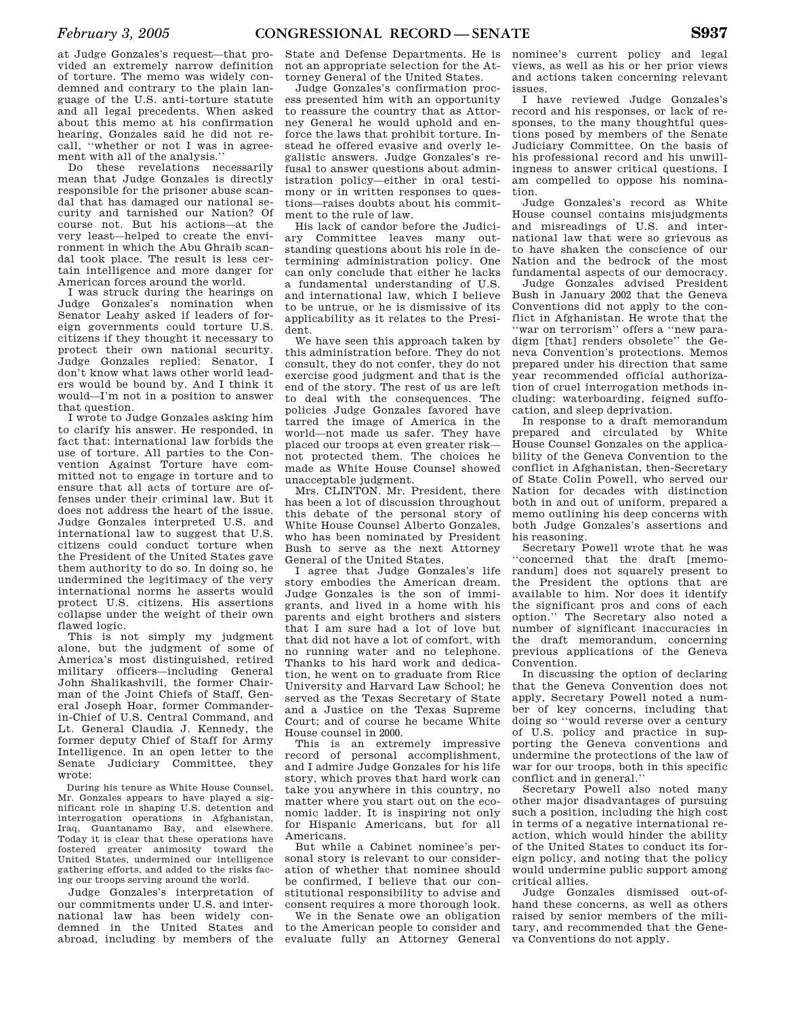at Judge Gonzales's request—that provided an extremely narrow definition of torture. The memo was widely condemned and contrary to the plain language of the U.S. anti-torture statute and all legal precedents. When asked about this memo at his confirmation hearing, Gonzales said he did not recall, ''whether or not I was in agreement with all of the analysis.''

Do these revelations necessarily mean that Judge Gonzales is directly responsible for the prisoner abuse scandal that has damaged our national security and tarnished our Nation? Of course not. But his actions—at the very least—helped to create the environment in which the Abu Ghraib scandal took place. The result is less certain intelligence and more danger for American forces around the world.

I was struck during the hearings on Judge Gonzales's nomination when Senator Leahy asked if leaders of foreign governments could torture U.S. citizens if they thought it necessary to protect their own national security. Judge Gonzales replied: Senator, I don't know what laws other world leaders would be bound by. And I think it would—I'm not in a position to answer that question.

I wrote to Judge Gonzales asking him to clarify his answer. He responded, in fact that: international law forbids the use of torture. All parties to the Convention Against Torture have committed not to engage in torture and to ensure that all acts of torture are offenses under their criminal law. But it does not address the heart of the issue. Judge Gonzales interpreted U.S. and international law to suggest that U.S. citizens could conduct torture when the President of the United States gave them authority to do so. In doing so, he undermined the legitimacy of the very international norms he asserts would protect U.S. citizens. His assertions collapse under the weight of their own flawed logic.

This is not simply my judgment alone, but the judgment of some of America's most distinguished, retired military officers—including General John Shalikashvili, the former Chairman of the Joint Chiefs of Staff, General Joseph Hoar, former Commanderin-Chief of U.S. Central Command, and Lt. General Claudia J. Kennedy, the former deputy Chief of Staff for Army Intelligence. In an open letter to the Senate Judiciary Committee, they wrote:

During his tenure as White House Counsel, Mr. Gonzales appears to have played a significant role in shaping U.S. detention and interrogation operations in Afghanistan, Iraq, Guantanamo Bay, and elsewhere. Today it is clear that these operations have fostered greater animosity toward the United States, undermined our intelligence gathering efforts, and added to the risks facing our troops serving around the world.

Judge Gonzales's interpretation of our commitments under U.S. and international law has been widely condemned in the United States and abroad, including by members of the

State and Defense Departments. He is not an appropriate selection for the Attorney General of the United States.

Judge Gonzales's confirmation process presented him with an opportunity to reassure the country that as Attorney General he would uphold and enforce the laws that prohibit torture. Instead he offered evasive and overly legalistic answers. Judge Gonzales's refusal to answer questions about administration policy—either in oral testimony or in written responses to questions—raises doubts about his commitment to the rule of law.

His lack of candor before the Judiciary Committee leaves many outstanding questions about his role in determining administration policy. One can only conclude that either he lacks a fundamental understanding of U.S. and international law, which I believe to be untrue, or he is dismissive of its applicability as it relates to the President.

We have seen this approach taken by this administration before. They do not consult, they do not confer, they do not exercise good judgment and that is the end of the story. The rest of us are left to deal with the consequences. The policies Judge Gonzales favored have tarred the image of America in the world—not made us safer. They have placed our troops at even greater risk not protected them. The choices he made as White House Counsel showed unacceptable judgment.

Mrs. CLINTON. Mr. President, there has been a lot of discussion throughout this debate of the personal story of White House Counsel Alberto Gonzales, who has been nominated by President Bush to serve as the next Attorney General of the United States.

I agree that Judge Gonzales's life story embodies the American dream. Judge Gonzales is the son of immigrants, and lived in a home with his parents and eight brothers and sisters that I am sure had a lot of love but that did not have a lot of comfort, with no running water and no telephone. Thanks to his hard work and dedication, he went on to graduate from Rice University and Harvard Law School; he served as the Texas Secretary of State and a Justice on the Texas Supreme Court; and of course he became White House counsel in 2000.

This is an extremely impressive record of personal accomplishment, and I admire Judge Gonzales for his life story, which proves that hard work can take you anywhere in this country, no matter where you start out on the economic ladder. It is inspiring not only for Hispanic Americans, but for all Americans.

But while a Cabinet nominee's personal story is relevant to our consideration of whether that nominee should be confirmed, I believe that our constitutional responsibility to advise and consent requires a more thorough look.

We in the Senate owe an obligation to the American people to consider and evaluate fully an Attorney General nominee's current policy and legal views, as well as his or her prior views and actions taken concerning relevant issues.

I have reviewed Judge Gonzales's record and his responses, or lack of responses, to the many thoughtful questions posed by members of the Senate Judiciary Committee. On the basis of his professional record and his unwillingness to answer critical questions, I am compelled to oppose his nomination.

Judge Gonzales's record as White House counsel contains misjudgments and misreadings of U.S. and international law that were so grievous as to have shaken the conscience of our Nation and the bedrock of the most fundamental aspects of our democracy.

Judge Gonzales advised President Bush in January 2002 that the Geneva Conventions did not apply to the conflict in Afghanistan. He wrote that the ''war on terrorism'' offers a ''new paradigm [that] renders obsolete'' the Geneva Convention's protections. Memos prepared under his direction that same year recommended official authorization of cruel interrogation methods including: waterboarding, feigned suffocation, and sleep deprivation.

In response to a draft memorandum prepared and circulated by White House Counsel Gonzales on the applicability of the Geneva Convention to the conflict in Afghanistan, then-Secretary of State Colin Powell, who served our Nation for decades with distinction both in and out of uniform, prepared a memo outlining his deep concerns with both Judge Gonzales's assertions and his reasoning.

Secretary Powell wrote that he was ''concerned that the draft [memorandum] does not squarely present to the President the options that are available to him. Nor does it identify the significant pros and cons of each option.'' The Secretary also noted a number of significant inaccuracies in the draft memorandum, concerning previous applications of the Geneva Convention.

In discussing the option of declaring that the Geneva Convention does not apply, Secretary Powell noted a number of key concerns, including that doing so ''would reverse over a century of U.S. policy and practice in supporting the Geneva conventions and undermine the protections of the law of war for our troops, both in this specific conflict and in general.''

Secretary Powell also noted many other major disadvantages of pursuing such a position, including the high cost in terms of a negative international reaction, which would hinder the ability of the United States to conduct its foreign policy, and noting that the policy would undermine public support among critical allies.

Judge Gonzales dismissed out-ofhand these concerns, as well as others raised by senior members of the military, and recommended that the Geneva Conventions do not apply.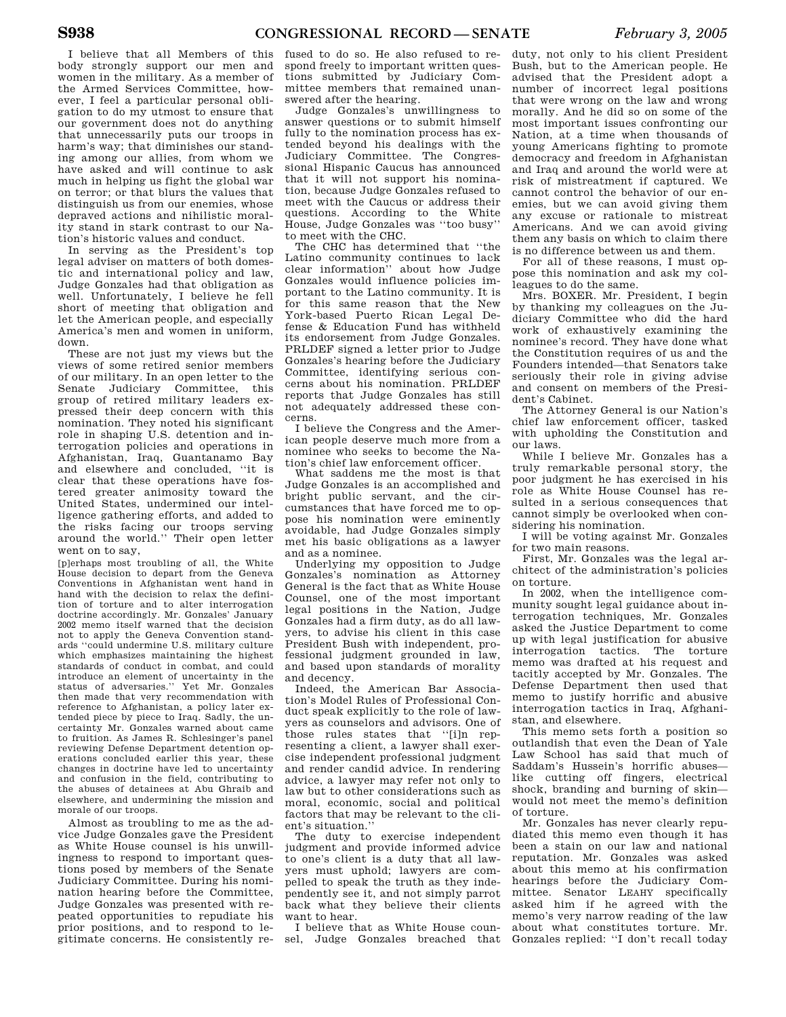I believe that all Members of this body strongly support our men and women in the military. As a member of the Armed Services Committee, however, I feel a particular personal obligation to do my utmost to ensure that our government does not do anything that unnecessarily puts our troops in harm's way; that diminishes our standing among our allies, from whom we have asked and will continue to ask much in helping us fight the global war on terror; or that blurs the values that distinguish us from our enemies, whose depraved actions and nihilistic morality stand in stark contrast to our Nation's historic values and conduct.

In serving as the President's top legal adviser on matters of both domestic and international policy and law, Judge Gonzales had that obligation as well. Unfortunately, I believe he fell short of meeting that obligation and let the American people, and especially America's men and women in uniform, down.

These are not just my views but the views of some retired senior members of our military. In an open letter to the Senate Judiciary Committee, this group of retired military leaders expressed their deep concern with this nomination. They noted his significant role in shaping U.S. detention and interrogation policies and operations in Afghanistan, Iraq, Guantanamo Bay and elsewhere and concluded, ''it is clear that these operations have fostered greater animosity toward the United States, undermined our intelligence gathering efforts, and added to the risks facing our troops serving around the world.'' Their open letter went on to say,

[p]erhaps most troubling of all, the White House decision to depart from the Geneva Conventions in Afghanistan went hand in hand with the decision to relax the definition of torture and to alter interrogation doctrine accordingly. Mr. Gonzales' January 2002 memo itself warned that the decision not to apply the Geneva Convention standards ''could undermine U.S. military culture which emphasizes maintaining the highest standards of conduct in combat, and could introduce an element of uncertainty in the status of adversaries.'' Yet Mr. Gonzales then made that very recommendation with reference to Afghanistan, a policy later extended piece by piece to Iraq. Sadly, the uncertainty Mr. Gonzales warned about came to fruition. As James R. Schlesinger's panel reviewing Defense Department detention operations concluded earlier this year, these changes in doctrine have led to uncertainty and confusion in the field, contributing to the abuses of detainees at Abu Ghraib and elsewhere, and undermining the mission and morale of our troops.

Almost as troubling to me as the advice Judge Gonzales gave the President as White House counsel is his unwillingness to respond to important questions posed by members of the Senate Judiciary Committee. During his nomination hearing before the Committee, Judge Gonzales was presented with repeated opportunities to repudiate his prior positions, and to respond to legitimate concerns. He consistently re-

fused to do so. He also refused to respond freely to important written questions submitted by Judiciary Committee members that remained unanswered after the hearing.

Judge Gonzales's unwillingness to answer questions or to submit himself fully to the nomination process has extended beyond his dealings with the Judiciary Committee. The Congressional Hispanic Caucus has announced that it will not support his nomination, because Judge Gonzales refused to meet with the Caucus or address their questions. According to the White House, Judge Gonzales was ''too busy'' to meet with the CHC.

The CHC has determined that ''the Latino community continues to lack clear information'' about how Judge Gonzales would influence policies important to the Latino community. It is for this same reason that the New York-based Puerto Rican Legal Defense & Education Fund has withheld its endorsement from Judge Gonzales. PRLDEF signed a letter prior to Judge Gonzales's hearing before the Judiciary Committee, identifying serious concerns about his nomination. PRLDEF reports that Judge Gonzales has still not adequately addressed these concerns.

I believe the Congress and the American people deserve much more from a nominee who seeks to become the Nation's chief law enforcement officer.

What saddens me the most is that Judge Gonzales is an accomplished and bright public servant, and the circumstances that have forced me to oppose his nomination were eminently avoidable, had Judge Gonzales simply met his basic obligations as a lawyer and as a nominee.

Underlying my opposition to Judge Gonzales's nomination as Attorney General is the fact that as White House Counsel, one of the most important legal positions in the Nation, Judge Gonzales had a firm duty, as do all lawyers, to advise his client in this case President Bush with independent, professional judgment grounded in law, and based upon standards of morality and decency.

Indeed, the American Bar Association's Model Rules of Professional Conduct speak explicitly to the role of lawyers as counselors and advisors. One of those rules states that ''[i]n representing a client, a lawyer shall exercise independent professional judgment and render candid advice. In rendering advice, a lawyer may refer not only to law but to other considerations such as moral, economic, social and political factors that may be relevant to the client's situation.''

The duty to exercise independent judgment and provide informed advice to one's client is a duty that all lawyers must uphold; lawyers are compelled to speak the truth as they independently see it, and not simply parrot back what they believe their clients want to hear.

I believe that as White House counsel, Judge Gonzales breached that

duty, not only to his client President Bush, but to the American people. He advised that the President adopt a number of incorrect legal positions that were wrong on the law and wrong morally. And he did so on some of the most important issues confronting our Nation, at a time when thousands of young Americans fighting to promote democracy and freedom in Afghanistan and Iraq and around the world were at risk of mistreatment if captured. We cannot control the behavior of our enemies, but we can avoid giving them any excuse or rationale to mistreat Americans. And we can avoid giving them any basis on which to claim there is no difference between us and them.

For all of these reasons, I must oppose this nomination and ask my colleagues to do the same.

Mrs. BOXER. Mr. President, I begin by thanking my colleagues on the Judiciary Committee who did the hard work of exhaustively examining the nominee's record. They have done what the Constitution requires of us and the Founders intended—that Senators take seriously their role in giving advise and consent on members of the President's Cabinet.

The Attorney General is our Nation's chief law enforcement officer, tasked with upholding the Constitution and our laws.

While I believe Mr. Gonzales has a truly remarkable personal story, the poor judgment he has exercised in his role as White House Counsel has resulted in a serious consequences that cannot simply be overlooked when considering his nomination.

I will be voting against Mr. Gonzales for two main reasons.

First, Mr. Gonzales was the legal architect of the administration's policies on torture.

In 2002, when the intelligence community sought legal guidance about interrogation techniques, Mr. Gonzales asked the Justice Department to come up with legal justification for abusive interrogation tactics. The torture memo was drafted at his request and tacitly accepted by Mr. Gonzales. The Defense Department then used that memo to justify horrific and abusive interrogation tactics in Iraq, Afghanistan, and elsewhere.

This memo sets forth a position so outlandish that even the Dean of Yale Law School has said that much of Saddam's Hussein's horrific abuses like cutting off fingers, electrical shock, branding and burning of skin would not meet the memo's definition of torture.

Mr. Gonzales has never clearly repudiated this memo even though it has been a stain on our law and national reputation. Mr. Gonzales was asked about this memo at his confirmation hearings before the Judiciary Committee. Senator LEAHY specifically asked him if he agreed with the memo's very narrow reading of the law about what constitutes torture. Mr. Gonzales replied: ''I don't recall today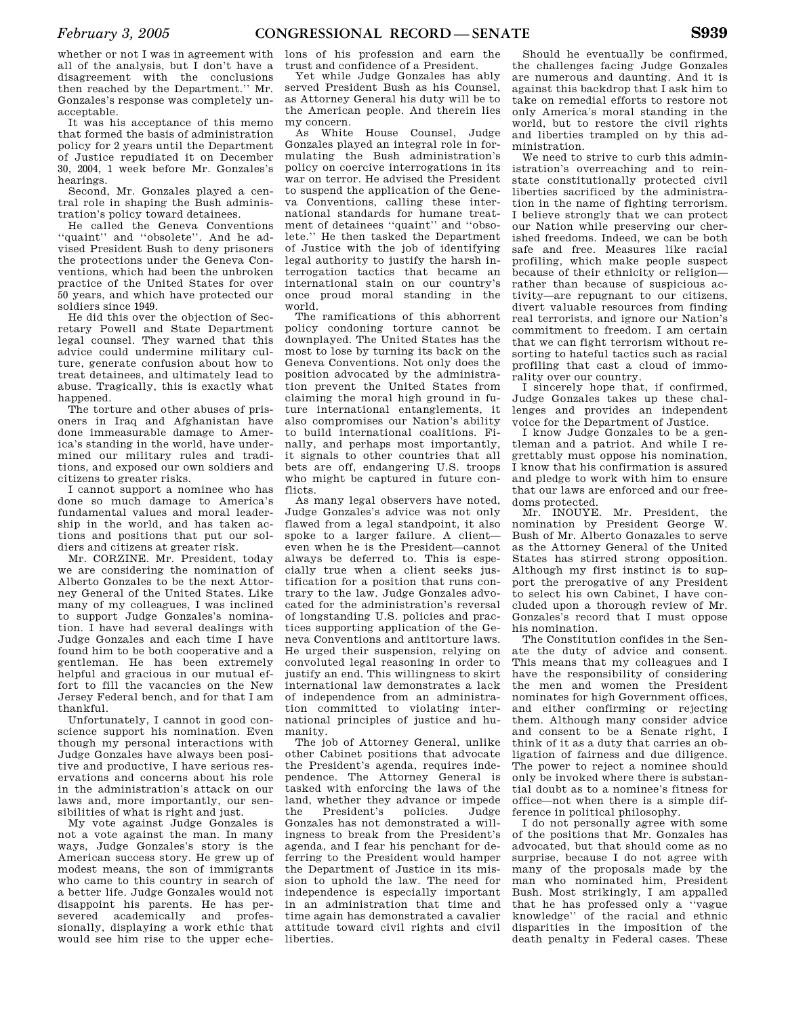whether or not I was in agreement with all of the analysis, but I don't have a disagreement with the conclusions then reached by the Department.'' Mr. Gonzales's response was completely unacceptable.

It was his acceptance of this memo that formed the basis of administration policy for 2 years until the Department of Justice repudiated it on December 30, 2004, 1 week before Mr. Gonzales's hearings.

Second, Mr. Gonzales played a central role in shaping the Bush administration's policy toward detainees.

He called the Geneva Conventions ''quaint'' and ''obsolete''. And he advised President Bush to deny prisoners the protections under the Geneva Conventions, which had been the unbroken practice of the United States for over 50 years, and which have protected our soldiers since 1949.

He did this over the objection of Secretary Powell and State Department legal counsel. They warned that this advice could undermine military culture, generate confusion about how to treat detainees, and ultimately lead to abuse. Tragically, this is exactly what happened.

The torture and other abuses of prisoners in Iraq and Afghanistan have done immeasurable damage to America's standing in the world, have undermined our military rules and traditions, and exposed our own soldiers and citizens to greater risks.

I cannot support a nominee who has done so much damage to America's fundamental values and moral leadership in the world, and has taken actions and positions that put our soldiers and citizens at greater risk.

Mr. CORZINE. Mr. President, today we are considering the nomination of Alberto Gonzales to be the next Attorney General of the United States. Like many of my colleagues, I was inclined to support Judge Gonzales's nomination. I have had several dealings with Judge Gonzales and each time I have found him to be both cooperative and a gentleman. He has been extremely helpful and gracious in our mutual effort to fill the vacancies on the New Jersey Federal bench, and for that I am thankful.

Unfortunately, I cannot in good conscience support his nomination. Even though my personal interactions with Judge Gonzales have always been positive and productive, I have serious reservations and concerns about his role in the administration's attack on our laws and, more importantly, our sensibilities of what is right and just.

My vote against Judge Gonzales is not a vote against the man. In many ways, Judge Gonzales's story is the American success story. He grew up of modest means, the son of immigrants who came to this country in search of a better life. Judge Gonzales would not disappoint his parents. He has persevered academically and professionally, displaying a work ethic that would see him rise to the upper eche-

lons of his profession and earn the trust and confidence of a President.

Yet while Judge Gonzales has ably served President Bush as his Counsel, as Attorney General his duty will be to the American people. And therein lies my concern.

As White House Counsel, Judge Gonzales played an integral role in formulating the Bush administration's policy on coercive interrogations in its war on terror. He advised the President to suspend the application of the Geneva Conventions, calling these international standards for humane treatment of detainees ''quaint'' and ''obsolete.'' He then tasked the Department of Justice with the job of identifying legal authority to justify the harsh interrogation tactics that became an international stain on our country's once proud moral standing in the world.

The ramifications of this abhorrent policy condoning torture cannot be downplayed. The United States has the most to lose by turning its back on the Geneva Conventions. Not only does the position advocated by the administration prevent the United States from claiming the moral high ground in future international entanglements, it also compromises our Nation's ability to build international coalitions. Finally, and perhaps most importantly, it signals to other countries that all bets are off, endangering U.S. troops who might be captured in future conflicts.

As many legal observers have noted, Judge Gonzales's advice was not only flawed from a legal standpoint, it also spoke to a larger failure. A client even when he is the President—cannot always be deferred to. This is especially true when a client seeks justification for a position that runs contrary to the law. Judge Gonzales advocated for the administration's reversal of longstanding U.S. policies and practices supporting application of the Geneva Conventions and antitorture laws. He urged their suspension, relying on convoluted legal reasoning in order to justify an end. This willingness to skirt international law demonstrates a lack of independence from an administration committed to violating international principles of justice and humanity.

The job of Attorney General, unlike other Cabinet positions that advocate the President's agenda, requires independence. The Attorney General is tasked with enforcing the laws of the land, whether they advance or impede the President's policies. Judge Gonzales has not demonstrated a willingness to break from the President's agenda, and I fear his penchant for deferring to the President would hamper the Department of Justice in its mission to uphold the law. The need for independence is especially important in an administration that time and time again has demonstrated a cavalier attitude toward civil rights and civil liberties.

Should he eventually be confirmed, the challenges facing Judge Gonzales are numerous and daunting. And it is against this backdrop that I ask him to take on remedial efforts to restore not only America's moral standing in the world, but to restore the civil rights and liberties trampled on by this administration.

We need to strive to curb this administration's overreaching and to reinstate constitutionally protected civil liberties sacrificed by the administration in the name of fighting terrorism. I believe strongly that we can protect our Nation while preserving our cherished freedoms. Indeed, we can be both safe and free. Measures like racial profiling, which make people suspect because of their ethnicity or religion rather than because of suspicious activity—are repugnant to our citizens, divert valuable resources from finding real terrorists, and ignore our Nation's commitment to freedom. I am certain that we can fight terrorism without resorting to hateful tactics such as racial profiling that cast a cloud of immorality over our country.

I sincerely hope that, if confirmed, Judge Gonzales takes up these challenges and provides an independent voice for the Department of Justice.

I know Judge Gonzales to be a gentleman and a patriot. And while I regrettably must oppose his nomination, I know that his confirmation is assured and pledge to work with him to ensure that our laws are enforced and our freedoms protected.

Mr. INOUYE. Mr. President, the nomination by President George W. Bush of Mr. Alberto Gonazales to serve as the Attorney General of the United States has stirred strong opposition. Although my first instinct is to support the prerogative of any President to select his own Cabinet, I have concluded upon a thorough review of Mr. Gonzales's record that I must oppose his nomination.

The Constitution confides in the Senate the duty of advice and consent. This means that my colleagues and I have the responsibility of considering the men and women the President nominates for high Government offices, and either confirming or rejecting them. Although many consider advice and consent to be a Senate right, I think of it as a duty that carries an obligation of fairness and due diligence. The power to reject a nominee should only be invoked where there is substantial doubt as to a nominee's fitness for office—not when there is a simple difference in political philosophy.

I do not personally agree with some of the positions that Mr. Gonzales has advocated, but that should come as no surprise, because I do not agree with many of the proposals made by the man who nominated him, President Bush. Most strikingly, I am appalled that he has professed only a ''vague knowledge'' of the racial and ethnic disparities in the imposition of the death penalty in Federal cases. These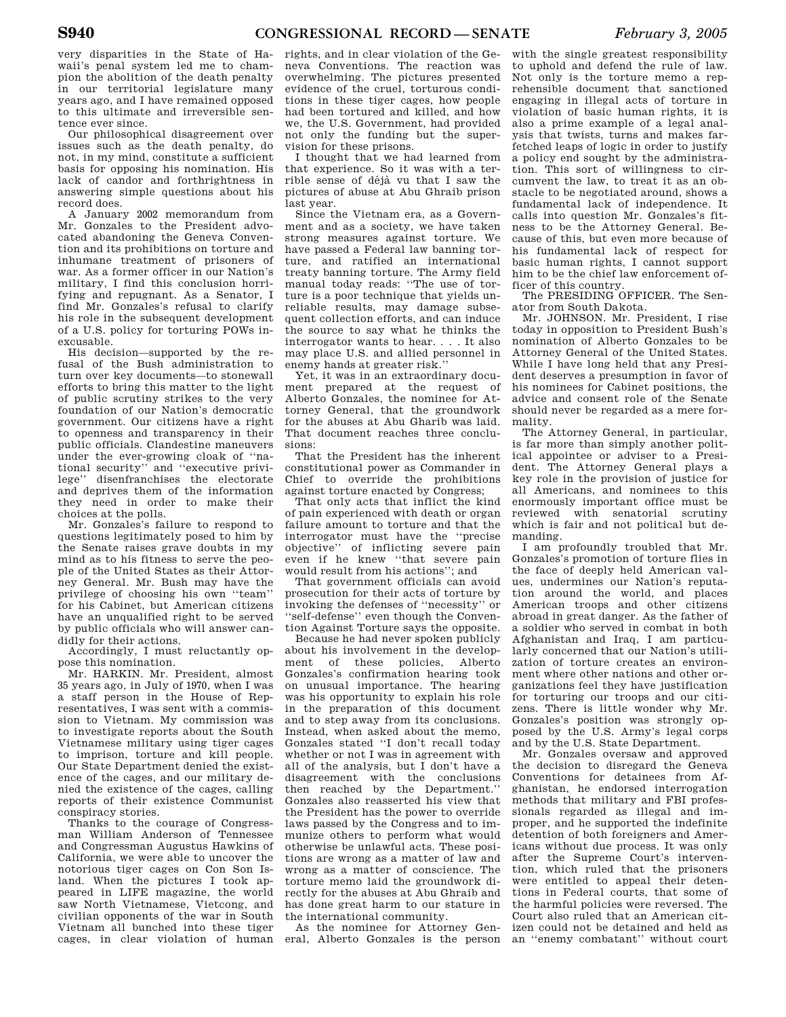very disparities in the State of Hawaii's penal system led me to champion the abolition of the death penalty in our territorial legislature many years ago, and I have remained opposed to this ultimate and irreversible sentence ever since.

Our philosophical disagreement over issues such as the death penalty, do not, in my mind, constitute a sufficient basis for opposing his nomination. His lack of candor and forthrightness in answering simple questions about his record does.

A January 2002 memorandum from Mr. Gonzales to the President advocated abandoning the Geneva Convention and its prohibitions on torture and inhumane treatment of prisoners of war. As a former officer in our Nation's military, I find this conclusion horrifying and repugnant. As a Senator, I find Mr. Gonzales's refusal to clarify his role in the subsequent development of a U.S. policy for torturing POWs inexcusable.

His decision—supported by the refusal of the Bush administration to turn over key documents—to stonewall efforts to bring this matter to the light of public scrutiny strikes to the very foundation of our Nation's democratic government. Our citizens have a right to openness and transparency in their public officials. Clandestine maneuvers under the ever-growing cloak of ''national security'' and ''executive privilege'' disenfranchises the electorate and deprives them of the information they need in order to make their choices at the polls.

Mr. Gonzales's failure to respond to questions legitimately posed to him by the Senate raises grave doubts in my mind as to his fitness to serve the people of the United States as their Attorney General. Mr. Bush may have the privilege of choosing his own ''team'' for his Cabinet, but American citizens have an unqualified right to be served by public officials who will answer candidly for their actions.

Accordingly, I must reluctantly oppose this nomination.

Mr. HARKIN. Mr. President, almost 35 years ago, in July of 1970, when I was a staff person in the House of Representatives, I was sent with a commission to Vietnam. My commission was to investigate reports about the South Vietnamese military using tiger cages to imprison, torture and kill people. Our State Department denied the existence of the cages, and our military denied the existence of the cages, calling reports of their existence Communist conspiracy stories.

Thanks to the courage of Congressman William Anderson of Tennessee and Congressman Augustus Hawkins of California, we were able to uncover the notorious tiger cages on Con Son Island. When the pictures I took appeared in LIFE magazine, the world saw North Vietnamese, Vietcong, and civilian opponents of the war in South Vietnam all bunched into these tiger cages, in clear violation of human

rights, and in clear violation of the Geneva Conventions. The reaction was overwhelming. The pictures presented evidence of the cruel, torturous conditions in these tiger cages, how people had been tortured and killed, and how we, the U.S. Government, had provided not only the funding but the supervision for these prisons.

I thought that we had learned from that experience. So it was with a terrible sense of déjà vu that I saw the pictures of abuse at Abu Ghraib prison last year.

Since the Vietnam era, as a Government and as a society, we have taken strong measures against torture. We have passed a Federal law banning torture, and ratified an international treaty banning torture. The Army field manual today reads: ''The use of torture is a poor technique that yields unreliable results, may damage subsequent collection efforts, and can induce the source to say what he thinks the interrogator wants to hear. . . . It also may place U.S. and allied personnel in enemy hands at greater risk.''

Yet, it was in an extraordinary document prepared at the request of Alberto Gonzales, the nominee for Attorney General, that the groundwork for the abuses at Abu Gharib was laid. That document reaches three conclusions:

That the President has the inherent constitutional power as Commander in Chief to override the prohibitions against torture enacted by Congress;

That only acts that inflict the kind of pain experienced with death or organ failure amount to torture and that the interrogator must have the ''precise objective'' of inflicting severe pain even if he knew ''that severe pain would result from his actions''; and

That government officials can avoid prosecution for their acts of torture by invoking the defenses of ''necessity'' or ''self-defense'' even though the Convention Against Torture says the opposite.

Because he had never spoken publicly about his involvement in the development of these policies, Alberto Gonzales's confirmation hearing took on unusual importance. The hearing was his opportunity to explain his role in the preparation of this document and to step away from its conclusions. Instead, when asked about the memo, Gonzales stated ''I don't recall today whether or not I was in agreement with all of the analysis, but I don't have a disagreement with the conclusions then reached by the Department.'' Gonzales also reasserted his view that the President has the power to override laws passed by the Congress and to immunize others to perform what would otherwise be unlawful acts. These positions are wrong as a matter of law and wrong as a matter of conscience. The torture memo laid the groundwork directly for the abuses at Abu Ghraib and has done great harm to our stature in the international community.

As the nominee for Attorney General, Alberto Gonzales is the person

with the single greatest responsibility to uphold and defend the rule of law. Not only is the torture memo a reprehensible document that sanctioned engaging in illegal acts of torture in violation of basic human rights, it is also a prime example of a legal analysis that twists, turns and makes farfetched leaps of logic in order to justify a policy end sought by the administration. This sort of willingness to circumvent the law, to treat it as an obstacle to be negotiated around, shows a fundamental lack of independence. It calls into question Mr. Gonzales's fitness to be the Attorney General. Because of this, but even more because of his fundamental lack of respect for basic human rights, I cannot support him to be the chief law enforcement officer of this country.

The PRESIDING OFFICER. The Senator from South Dakota.

Mr. JOHNSON. Mr. President, I rise today in opposition to President Bush's nomination of Alberto Gonzales to be Attorney General of the United States. While I have long held that any President deserves a presumption in favor of his nominees for Cabinet positions, the advice and consent role of the Senate should never be regarded as a mere formality.

The Attorney General, in particular, is far more than simply another political appointee or adviser to a President. The Attorney General plays a key role in the provision of justice for all Americans, and nominees to this enormously important office must be reviewed with senatorial scrutiny which is fair and not political but demanding.

I am profoundly troubled that Mr. Gonzales's promotion of torture flies in the face of deeply held American values, undermines our Nation's reputation around the world, and places American troops and other citizens abroad in great danger. As the father of a soldier who served in combat in both Afghanistan and Iraq, I am particularly concerned that our Nation's utilization of torture creates an environment where other nations and other organizations feel they have justification for torturing our troops and our citizens. There is little wonder why Mr. Gonzales's position was strongly opposed by the U.S. Army's legal corps and by the U.S. State Department.

Mr. Gonzales oversaw and approved the decision to disregard the Geneva Conventions for detainees from Afghanistan, he endorsed interrogation methods that military and FBI professionals regarded as illegal and improper, and he supported the indefinite detention of both foreigners and Americans without due process. It was only after the Supreme Court's intervention, which ruled that the prisoners were entitled to appeal their detentions in Federal courts, that some of the harmful policies were reversed. The Court also ruled that an American citizen could not be detained and held as an ''enemy combatant'' without court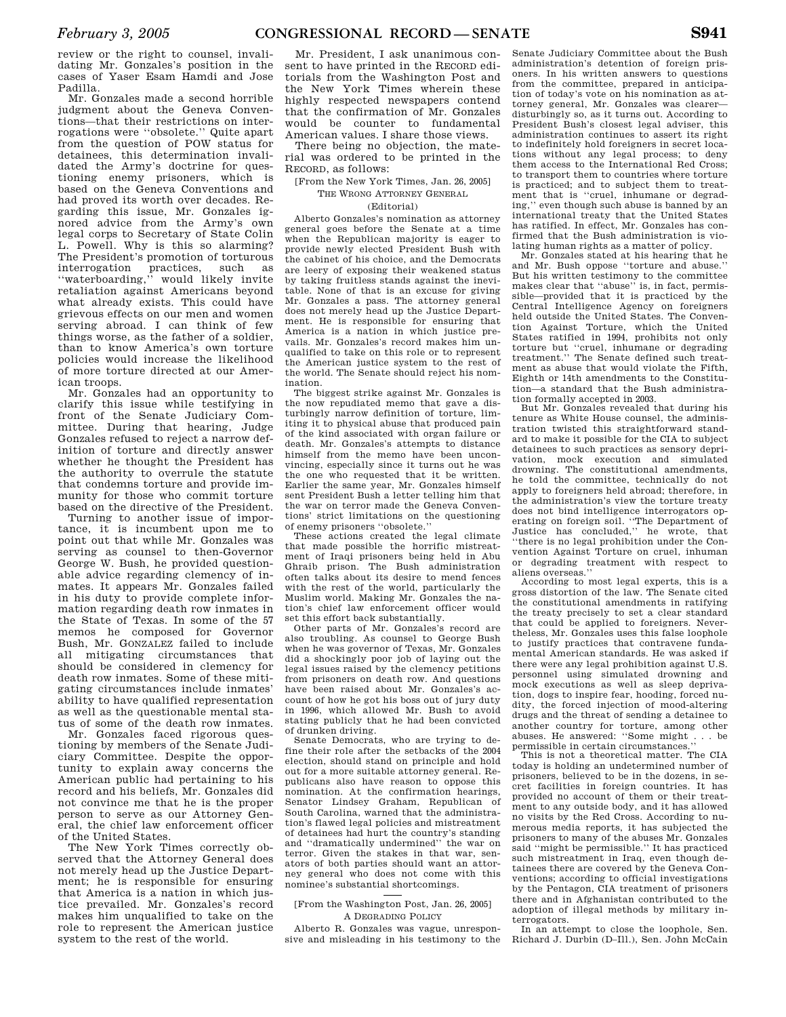Mr. Gonzales made a second horrible judgment about the Geneva Conventions—that their restrictions on interrogations were ''obsolete.'' Quite apart from the question of POW status for detainees, this determination invalidated the Army's doctrine for questioning enemy prisoners, which is based on the Geneva Conventions and had proved its worth over decades. Regarding this issue, Mr. Gonzales ignored advice from the Army's own legal corps to Secretary of State Colin L. Powell. Why is this so alarming? The President's promotion of torturous interrogation practices, such as ''waterboarding,'' would likely invite retaliation against Americans beyond what already exists. This could have grievous effects on our men and women serving abroad. I can think of few things worse, as the father of a soldier, than to know America's own torture policies would increase the likelihood of more torture directed at our American troops.

Mr. Gonzales had an opportunity to clarify this issue while testifying in front of the Senate Judiciary Committee. During that hearing, Judge Gonzales refused to reject a narrow definition of torture and directly answer whether he thought the President has the authority to overrule the statute that condemns torture and provide immunity for those who commit torture based on the directive of the President.

Turning to another issue of importance, it is incumbent upon me to point out that while Mr. Gonzales was serving as counsel to then-Governor George W. Bush, he provided questionable advice regarding clemency of inmates. It appears Mr. Gonzales failed in his duty to provide complete information regarding death row inmates in the State of Texas. In some of the 57 memos he composed for Governor Bush, Mr. GONZALEZ failed to include all mitigating circumstances that should be considered in clemency for death row inmates. Some of these mitigating circumstances include inmates' ability to have qualified representation as well as the questionable mental status of some of the death row inmates.

Mr. Gonzales faced rigorous questioning by members of the Senate Judiciary Committee. Despite the opportunity to explain away concerns the American public had pertaining to his record and his beliefs, Mr. Gonzales did not convince me that he is the proper person to serve as our Attorney General, the chief law enforcement officer of the United States.

The New York Times correctly observed that the Attorney General does not merely head up the Justice Department; he is responsible for ensuring that America is a nation in which justice prevailed. Mr. Gonzales's record makes him unqualified to take on the role to represent the American justice system to the rest of the world.

Mr. President, I ask unanimous consent to have printed in the RECORD editorials from the Washington Post and the New York Times wherein these highly respected newspapers contend that the confirmation of Mr. Gonzales would be counter to fundamental American values. I share those views.

There being no objection, the material was ordered to be printed in the RECORD, as follows:

[From the New York Times, Jan. 26, 2005]

#### THE WRONG ATTORNEY GENERAL (Editorial)

Alberto Gonzales's nomination as attorney general goes before the Senate at a time when the Republican majority is eager to provide newly elected President Bush with the cabinet of his choice, and the Democrats are leery of exposing their weakened status by taking fruitless stands against the inevitable. None of that is an excuse for giving Mr. Gonzales a pass. The attorney general does not merely head up the Justice Department. He is responsible for ensuring that America is a nation in which justice prevails. Mr. Gonzales's record makes him unqualified to take on this role or to represent the American justice system to the rest of the world. The Senate should reject his nomination.

The biggest strike against Mr. Gonzales is the now repudiated memo that gave a disturbingly narrow definition of torture, limiting it to physical abuse that produced pain of the kind associated with organ failure or death. Mr. Gonzales's attempts to distance himself from the memo have been unconvincing, especially since it turns out he was the one who requested that it be written. Earlier the same year, Mr. Gonzales himself sent President Bush a letter telling him that the war on terror made the Geneva Conventions' strict limitations on the questioning of enemy prisoners ''obsolete.''

These actions created the legal climate that made possible the horrific mistreatment of Iraqi prisoners being held in Abu Ghraib prison. The Bush administration often talks about its desire to mend fences with the rest of the world, particularly the Muslim world. Making Mr. Gonzales the nation's chief law enforcement officer would set this effort back substantially. Other parts of Mr. Gonzales's record are

also troubling. As counsel to George Bush when he was governor of Texas, Mr. Gonzales did a shockingly poor job of laying out the legal issues raised by the clemency petitions from prisoners on death row. And questions have been raised about Mr. Gonzales's account of how he got his boss out of jury duty in 1996, which allowed Mr. Bush to avoid stating publicly that he had been convicted of drunken driving.

Senate Democrats, who are trying to define their role after the setbacks of the 2004 election, should stand on principle and hold out for a more suitable attorney general. Republicans also have reason to oppose this nomination. At the confirmation hearings, Senator Lindsey Graham, Republican of South Carolina, warned that the administration's flawed legal policies and mistreatment of detainees had hurt the country's standing and ''dramatically undermined'' the war on terror. Given the stakes in that war, senators of both parties should want an attorney general who does not come with this nominee's substantial shortcomings.

#### [From the Washington Post, Jan. 26, 2005] A DEGRADING POLICY

Alberto R. Gonzales was vague, unresponsive and misleading in his testimony to the

Senate Judiciary Committee about the Bush administration's detention of foreign prisoners. In his written answers to questions from the committee, prepared in anticipation of today's vote on his nomination as attorney general, Mr. Gonzales was clearer disturbingly so, as it turns out. According to President Bush's closest legal adviser, this administration continues to assert its right to indefinitely hold foreigners in secret locations without any legal process; to deny them access to the International Red Cross; to transport them to countries where torture is practiced; and to subject them to treatment that is ''cruel, inhumane or degrading,'' even though such abuse is banned by an international treaty that the United States has ratified. In effect, Mr. Gonzales has confirmed that the Bush administration is vio-

lating human rights as a matter of policy. Mr. Gonzales stated at his hearing that he and Mr. Bush oppose ''torture and abuse.'' But his written testimony to the committee makes clear that "abuse" is, in fact, permissible—provided that it is practiced by the Central Intelligence Agency on foreigners held outside the United States. The Convention Against Torture, which the United States ratified in 1994, prohibits not only torture but ''cruel, inhumane or degrading treatment.'' The Senate defined such treatment as abuse that would violate the Fifth, Eighth or 14th amendments to the Constitution—a standard that the Bush administration formally accepted in 2003.

But Mr. Gonzales revealed that during his tenure as White House counsel, the administration twisted this straightforward standard to make it possible for the CIA to subject detainees to such practices as sensory deprivation, mock execution and simulated drowning. The constitutional amendments, he told the committee, technically do not apply to foreigners held abroad; therefore, in the administration's view the torture treaty does not bind intelligence interrogators operating on foreign soil. ''The Department of Justice has concluded,'' he wrote, that ''there is no legal prohibition under the Convention Against Torture on cruel, inhuman or degrading treatment with respect to aliens overseas.''

According to most legal experts, this is a gross distortion of the law. The Senate cited the constitutional amendments in ratifying the treaty precisely to set a clear standard that could be applied to foreigners. Nevertheless, Mr. Gonzales uses this false loophole to justify practices that contravene fundamental American standards. He was asked if there were any legal prohibition against U.S. personnel using simulated drowning and mock executions as well as sleep deprivation, dogs to inspire fear, hooding, forced nudity, the forced injection of mood-altering drugs and the threat of sending a detainee to another country for torture, among other abuses. He answered: ''Some might . . . be permissible in certain circumstances.''

This is not a theoretical matter. The CIA today is holding an undetermined number of prisoners, believed to be in the dozens, in secret facilities in foreign countries. It has provided no account of them or their treatment to any outside body, and it has allowed no visits by the Red Cross. According to numerous media reports, it has subjected the prisoners to many of the abuses Mr. Gonzales said ''might be permissible.'' It has practiced such mistreatment in Iraq, even though detainees there are covered by the Geneva Conventions; according to official investigations by the Pentagon, CIA treatment of prisoners there and in Afghanistan contributed to the adoption of illegal methods by military interrogators.

In an attempt to close the loophole, Sen. Richard J. Durbin (D–Ill.), Sen. John McCain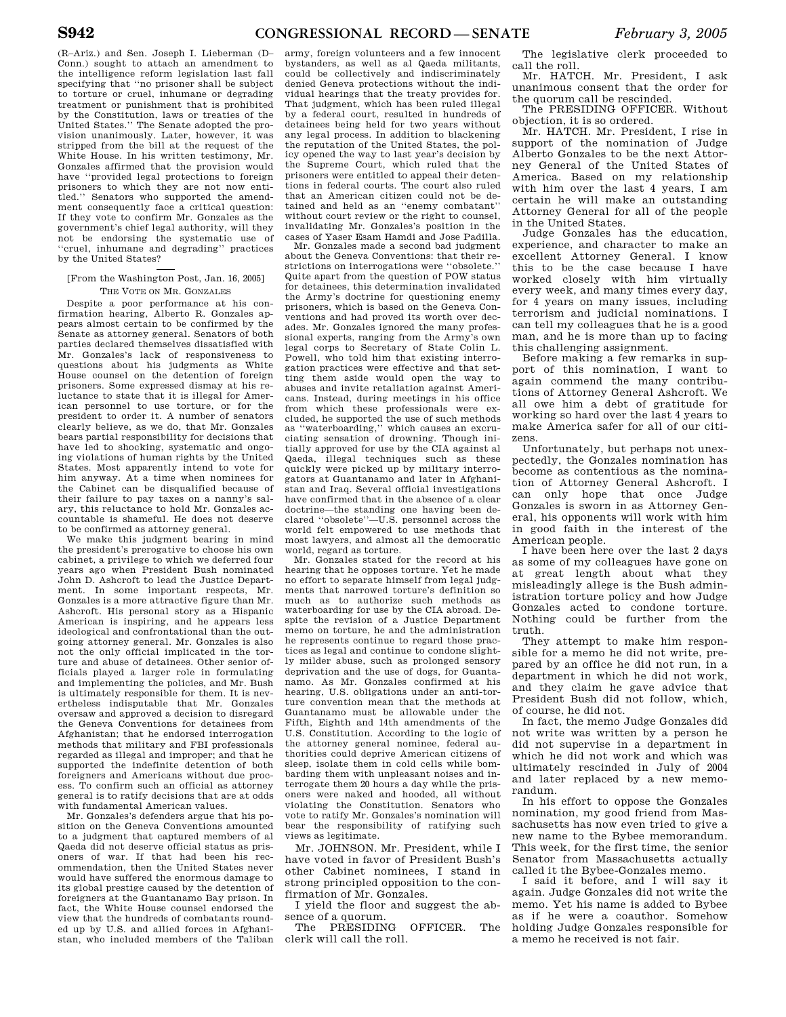(R–Ariz.) and Sen. Joseph I. Lieberman (D– Conn.) sought to attach an amendment to the intelligence reform legislation last fall specifying that ''no prisoner shall be subject to torture or cruel, inhumane or degrading treatment or punishment that is prohibited by the Constitution, laws or treaties of the United States.'' The Senate adopted the provision unanimously. Later, however, it was stripped from the bill at the request of the White House. In his written testimony, Mr. Gonzales affirmed that the provision would have ''provided legal protections to foreign prisoners to which they are not now entitled.'' Senators who supported the amendment consequently face a critical question: If they vote to confirm Mr. Gonzales as the government's chief legal authority, will they not be endorsing the systematic use of 'cruel, inhumane and degrading'' practices by the United States?

## [From the Washington Post, Jan. 16, 2005] THE VOTE ON MR. GONZALES

Despite a poor performance at his confirmation hearing, Alberto R. Gonzales appears almost certain to be confirmed by the Senate as attorney general. Senators of both parties declared themselves dissatisfied with Mr. Gonzales's lack of responsiveness to questions about his judgments as White House counsel on the detention of foreign prisoners. Some expressed dismay at his reluctance to state that it is illegal for American personnel to use torture, or for the president to order it. A number of senators clearly believe, as we do, that Mr. Gonzales bears partial responsibility for decisions that have led to shocking, systematic and ongoing violations of human rights by the United States. Most apparently intend to vote for him anyway. At a time when nominees for the Cabinet can be disqualified because of their failure to pay taxes on a nanny's salary, this reluctance to hold Mr. Gonzales accountable is shameful. He does not deserve to be confirmed as attorney general.

We make this judgment bearing in mind the president's prerogative to choose his own cabinet, a privilege to which we deferred four years ago when President Bush nominated John D. Ashcroft to lead the Justice Department. In some important respects, Mr. Gonzales is a more attractive figure than Mr. Ashcroft. His personal story as a Hispanic American is inspiring, and he appears less ideological and confrontational than the outgoing attorney general. Mr. Gonzales is also not the only official implicated in the torture and abuse of detainees. Other senior officials played a larger role in formulating and implementing the policies, and Mr. Bush is ultimately responsible for them. It is nevertheless indisputable that Mr. Gonzales oversaw and approved a decision to disregard the Geneva Conventions for detainees from Afghanistan; that he endorsed interrogation methods that military and FBI professionals regarded as illegal and improper; and that he supported the indefinite detention of both foreigners and Americans without due process. To confirm such an official as attorney general is to ratify decisions that are at odds with fundamental American values.

Mr. Gonzales's defenders argue that his position on the Geneva Conventions amounted to a judgment that captured members of al Qaeda did not deserve official status as prisoners of war. If that had been his recommendation, then the United States never would have suffered the enormous damage to its global prestige caused by the detention of foreigners at the Guantanamo Bay prison. In fact, the White House counsel endorsed the view that the hundreds of combatants rounded up by U.S. and allied forces in Afghanistan, who included members of the Taliban

army, foreign volunteers and a few innocent bystanders, as well as al Qaeda militants, could be collectively and indiscriminately denied Geneva protections without the individual hearings that the treaty provides for. That judgment, which has been ruled illegal by a federal court, resulted in hundreds of detainees being held for two years without any legal process. In addition to blackening the reputation of the United States, the policy opened the way to last year's decision by the Supreme Court, which ruled that the prisoners were entitled to appeal their detentions in federal courts. The court also ruled that an American citizen could not be detained and held as an ''enemy combatant'' without court review or the right to counsel, invalidating Mr. Gonzales's position in the cases of Yaser Esam Hamdi and Jose Padilla.

Mr. Gonzales made a second bad judgment about the Geneva Conventions: that their restrictions on interrogations were ''obsolete.'' Quite apart from the question of POW status for detainees, this determination invalidated the Army's doctrine for questioning enemy prisoners, which is based on the Geneva Conventions and had proved its worth over decades. Mr. Gonzales ignored the many professional experts, ranging from the Army's own legal corps to Secretary of State Colin L. Powell, who told him that existing interrogation practices were effective and that setting them aside would open the way to abuses and invite retaliation against Americans. Instead, during meetings in his office from which these professionals were excluded, he supported the use of such methods as ''waterboarding,'' which causes an excruciating sensation of drowning. Though initially approved for use by the CIA against al Qaeda, illegal techniques such as these quickly were picked up by military interrogators at Guantanamo and later in Afghanistan and Iraq. Several official investigations have confirmed that in the absence of a clear doctrine—the standing one having been de-clared ''obsolete''—U.S. personnel across the world felt empowered to use methods that most lawyers, and almost all the democratic world, regard as torture.

Mr. Gonzales stated for the record at his hearing that he opposes torture. Yet he made no effort to separate himself from legal judgments that narrowed torture's definition so much as to authorize such methods as waterboarding for use by the CIA abroad. Despite the revision of a Justice Department memo on torture, he and the administration he represents continue to regard those practices as legal and continue to condone slightly milder abuse, such as prolonged sensory deprivation and the use of dogs, for Guantanamo. As Mr. Gonzales confirmed at his hearing, U.S. obligations under an anti-torture convention mean that the methods at Guantanamo must be allowable under the Fifth, Eighth and 14th amendments of the U.S. Constitution. According to the logic of the attorney general nominee, federal authorities could deprive American citizens of sleep, isolate them in cold cells while bombarding them with unpleasant noises and interrogate them 20 hours a day while the prisoners were naked and hooded, all without violating the Constitution. Senators who vote to ratify Mr. Gonzales's nomination will bear the responsibility of ratifying such views as legitimate.

Mr. JOHNSON. Mr. President, while I have voted in favor of President Bush's other Cabinet nominees, I stand in strong principled opposition to the confirmation of Mr. Gonzales.

I yield the floor and suggest the absence of a quorum.

The PRESIDING OFFICER. The clerk will call the roll.

The legislative clerk proceeded to call the roll.

Mr. HATCH. Mr. President, I ask unanimous consent that the order for the quorum call be rescinded.

The PRESIDING OFFICER. Without objection, it is so ordered.

Mr. HATCH. Mr. President, I rise in support of the nomination of Judge Alberto Gonzales to be the next Attorney General of the United States of America. Based on my relationship with him over the last 4 years, I am certain he will make an outstanding Attorney General for all of the people in the United States.

Judge Gonzales has the education, experience, and character to make an excellent Attorney General. I know this to be the case because I have worked closely with him virtually every week, and many times every day, for 4 years on many issues, including terrorism and judicial nominations. I can tell my colleagues that he is a good man, and he is more than up to facing this challenging assignment.

Before making a few remarks in support of this nomination, I want to again commend the many contributions of Attorney General Ashcroft. We all owe him a debt of gratitude for working so hard over the last 4 years to make America safer for all of our citizens.

Unfortunately, but perhaps not unexpectedly, the Gonzales nomination has become as contentious as the nomination of Attorney General Ashcroft. I can only hope that once Judge Gonzales is sworn in as Attorney General, his opponents will work with him in good faith in the interest of the American people.

I have been here over the last 2 days as some of my colleagues have gone on at great length about what they misleadingly allege is the Bush administration torture policy and how Judge Gonzales acted to condone torture. Nothing could be further from the truth.

They attempt to make him responsible for a memo he did not write, prepared by an office he did not run, in a department in which he did not work, and they claim he gave advice that President Bush did not follow, which, of course, he did not.

In fact, the memo Judge Gonzales did not write was written by a person he did not supervise in a department in which he did not work and which was ultimately rescinded in July of 2004 and later replaced by a new memorandum.

In his effort to oppose the Gonzales nomination, my good friend from Massachusetts has now even tried to give a new name to the Bybee memorandum. This week, for the first time, the senior Senator from Massachusetts actually called it the Bybee-Gonzales memo.

I said it before, and I will say it again. Judge Gonzales did not write the memo. Yet his name is added to Bybee as if he were a coauthor. Somehow holding Judge Gonzales responsible for a memo he received is not fair.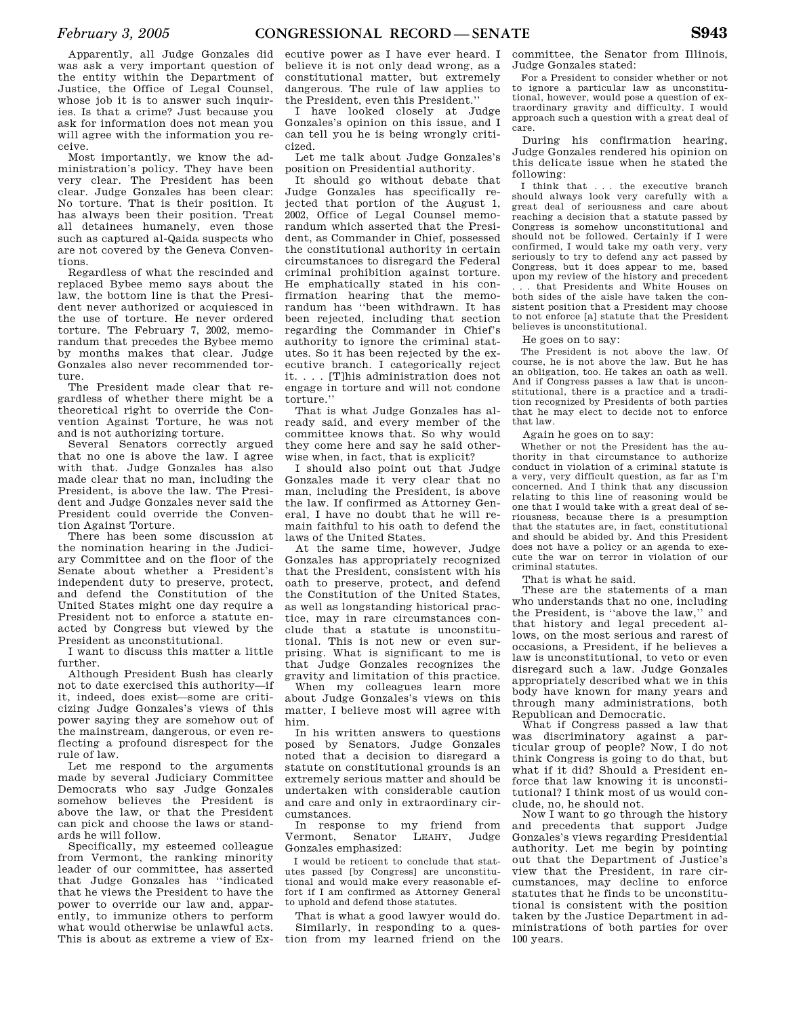Apparently, all Judge Gonzales did was ask a very important question of the entity within the Department of Justice, the Office of Legal Counsel, whose job it is to answer such inquiries. Is that a crime? Just because you ask for information does not mean you will agree with the information you receive.

Most importantly, we know the administration's policy. They have been very clear. The President has been clear. Judge Gonzales has been clear: No torture. That is their position. It has always been their position. Treat all detainees humanely, even those such as captured al-Qaida suspects who are not covered by the Geneva Conventions.

Regardless of what the rescinded and replaced Bybee memo says about the law, the bottom line is that the President never authorized or acquiesced in the use of torture. He never ordered torture. The February 7, 2002, memorandum that precedes the Bybee memo by months makes that clear. Judge Gonzales also never recommended torture.

The President made clear that regardless of whether there might be a theoretical right to override the Convention Against Torture, he was not and is not authorizing torture.

Several Senators correctly argued that no one is above the law. I agree with that. Judge Gonzales has also made clear that no man, including the President, is above the law. The President and Judge Gonzales never said the President could override the Convention Against Torture.

There has been some discussion at the nomination hearing in the Judiciary Committee and on the floor of the Senate about whether a President's independent duty to preserve, protect, and defend the Constitution of the United States might one day require a President not to enforce a statute enacted by Congress but viewed by the President as unconstitutional.

I want to discuss this matter a little further.

Although President Bush has clearly not to date exercised this authority—if it, indeed, does exist—some are criticizing Judge Gonzales's views of this power saying they are somehow out of the mainstream, dangerous, or even reflecting a profound disrespect for the rule of law.

Let me respond to the arguments made by several Judiciary Committee Democrats who say Judge Gonzales somehow believes the President is above the law, or that the President can pick and choose the laws or standards he will follow.

Specifically, my esteemed colleague from Vermont, the ranking minority leader of our committee, has asserted that Judge Gonzales has ''indicated that he views the President to have the power to override our law and, apparently, to immunize others to perform what would otherwise be unlawful acts. This is about as extreme a view of Ex-

ecutive power as I have ever heard. I believe it is not only dead wrong, as a constitutional matter, but extremely dangerous. The rule of law applies to the President, even this President.''

I have looked closely at Judge Gonzales's opinion on this issue, and I can tell you he is being wrongly criticized.

Let me talk about Judge Gonzales's position on Presidential authority.

It should go without debate that Judge Gonzales has specifically rejected that portion of the August 1, 2002, Office of Legal Counsel memorandum which asserted that the President, as Commander in Chief, possessed the constitutional authority in certain circumstances to disregard the Federal criminal prohibition against torture. He emphatically stated in his confirmation hearing that the memorandum has ''been withdrawn. It has been rejected, including that section regarding the Commander in Chief's authority to ignore the criminal statutes. So it has been rejected by the executive branch. I categorically reject it. . . . [T]his administration does not engage in torture and will not condone torture.''

That is what Judge Gonzales has already said, and every member of the committee knows that. So why would they come here and say he said otherwise when, in fact, that is explicit?

I should also point out that Judge Gonzales made it very clear that no man, including the President, is above the law. If confirmed as Attorney General, I have no doubt that he will remain faithful to his oath to defend the laws of the United States.

At the same time, however, Judge Gonzales has appropriately recognized that the President, consistent with his oath to preserve, protect, and defend the Constitution of the United States, as well as longstanding historical practice, may in rare circumstances conclude that a statute is unconstitutional. This is not new or even surprising. What is significant to me is that Judge Gonzales recognizes the gravity and limitation of this practice.

When my colleagues learn more about Judge Gonzales's views on this matter, I believe most will agree with him.

In his written answers to questions posed by Senators, Judge Gonzales noted that a decision to disregard a statute on constitutional grounds is an extremely serious matter and should be undertaken with considerable caution and care and only in extraordinary circumstances.

In response to my friend from Vermont, Senator LEAHY, Judge Gonzales emphasized:

I would be reticent to conclude that statutes passed [by Congress] are unconstitutional and would make every reasonable effort if I am confirmed as Attorney General to uphold and defend those statutes.

That is what a good lawyer would do. Similarly, in responding to a question from my learned friend on the

committee, the Senator from Illinois, Judge Gonzales stated:

For a President to consider whether or not to ignore a particular law as unconstitutional, however, would pose a question of extraordinary gravity and difficulty. I would approach such a question with a great deal of care.

During his confirmation hearing, Judge Gonzales rendered his opinion on this delicate issue when he stated the following:

I think that . . . the executive branch should always look very carefully with a great deal of seriousness and care about reaching a decision that a statute passed by Congress is somehow unconstitutional and should not be followed. Certainly if I were confirmed, I would take my oath very, very seriously to try to defend any act passed by Congress, but it does appear to me, based upon my review of the history and precedent that Presidents and White Houses on both sides of the aisle have taken the consistent position that a President may choose to not enforce [a] statute that the President believes is unconstitutional.

He goes on to say:

The President is not above the law. Of course, he is not above the law. But he has an obligation, too. He takes an oath as well. And if Congress passes a law that is unconstitutional, there is a practice and a tradition recognized by Presidents of both parties that he may elect to decide not to enforce that law.

Again he goes on to say:

Whether or not the President has the authority in that circumstance to authorize conduct in violation of a criminal statute is a very, very difficult question, as far as I'm concerned. And I think that any discussion relating to this line of reasoning would be one that I would take with a great deal of seriousness, because there is a presumption that the statutes are, in fact, constitutional and should be abided by. And this President does not have a policy or an agenda to execute the war on terror in violation of our criminal statutes.

That is what he said.

These are the statements of a man who understands that no one, including the President, is ''above the law,'' and that history and legal precedent allows, on the most serious and rarest of occasions, a President, if he believes a law is unconstitutional, to veto or even disregard such a law. Judge Gonzales appropriately described what we in this body have known for many years and through many administrations, both Republican and Democratic.

What if Congress passed a law that was discriminatory against a particular group of people? Now, I do not think Congress is going to do that, but what if it did? Should a President enforce that law knowing it is unconstitutional? I think most of us would conclude, no, he should not.

Now I want to go through the history and precedents that support Judge Gonzales's views regarding Presidential authority. Let me begin by pointing out that the Department of Justice's view that the President, in rare circumstances, may decline to enforce statutes that he finds to be unconstitutional is consistent with the position taken by the Justice Department in administrations of both parties for over 100 years.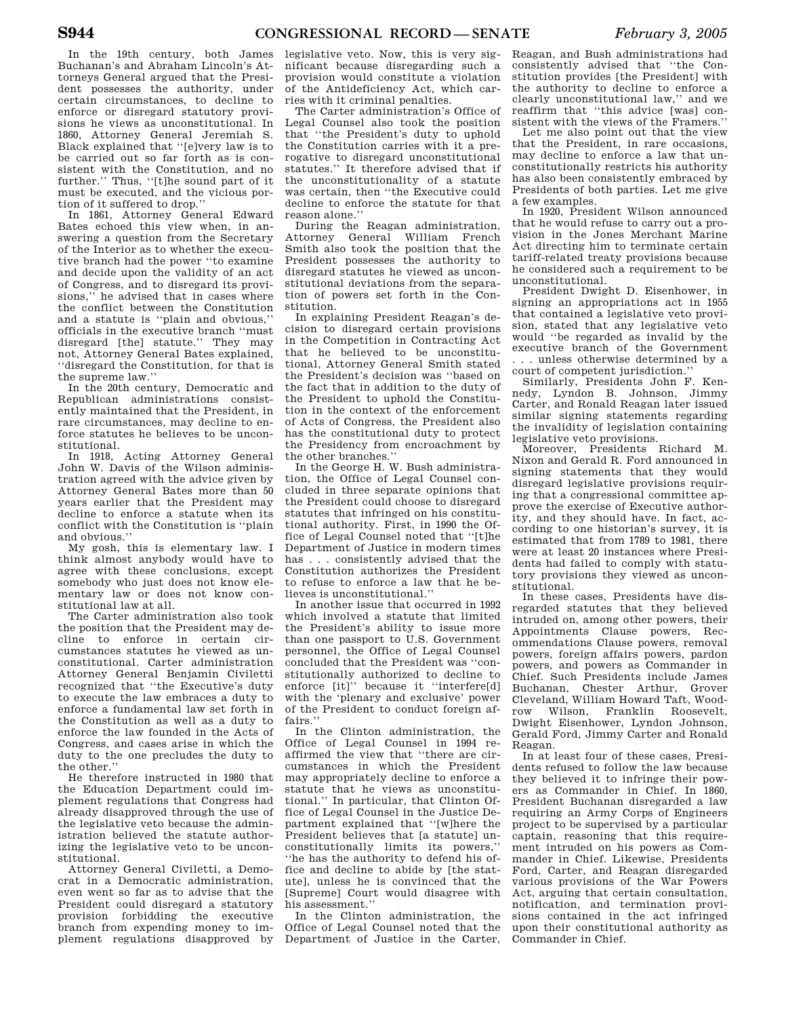In the 19th century, both James Buchanan's and Abraham Lincoln's Attorneys General argued that the President possesses the authority, under certain circumstances, to decline to enforce or disregard statutory provisions he views as unconstitutional. In 1860, Attorney General Jeremiah S. Black explained that ''[e]very law is to be carried out so far forth as is consistent with the Constitution, and no further.'' Thus, ''[t]he sound part of it must be executed, and the vicious portion of it suffered to drop.''

In 1861, Attorney General Edward Bates echoed this view when, in answering a question from the Secretary of the Interior as to whether the executive branch had the power ''to examine and decide upon the validity of an act of Congress, and to disregard its provisions,'' he advised that in cases where the conflict between the Constitution and a statute is ''plain and obvious,'' officials in the executive branch ''must disregard [the] statute.'' They may not, Attorney General Bates explained, ''disregard the Constitution, for that is the supreme law.''

In the 20th century, Democratic and Republican administrations consistently maintained that the President, in rare circumstances, may decline to enforce statutes he believes to be unconstitutional.

In 1918, Acting Attorney General John W. Davis of the Wilson administration agreed with the advice given by Attorney General Bates more than 50 years earlier that the President may decline to enforce a statute when its conflict with the Constitution is ''plain and obvious.''

My gosh, this is elementary law. I think almost anybody would have to agree with these conclusions, except somebody who just does not know elementary law or does not know constitutional law at all.

The Carter administration also took the position that the President may decline to enforce in certain circumstances statutes he viewed as unconstitutional. Carter administration Attorney General Benjamin Civiletti recognized that ''the Executive's duty to execute the law embraces a duty to enforce a fundamental law set forth in the Constitution as well as a duty to enforce the law founded in the Acts of Congress, and cases arise in which the duty to the one precludes the duty to the other.''

He therefore instructed in 1980 that the Education Department could implement regulations that Congress had already disapproved through the use of the legislative veto because the administration believed the statute authorizing the legislative veto to be unconstitutional.

Attorney General Civiletti, a Democrat in a Democratic administration, even went so far as to advise that the President could disregard a statutory provision forbidding the executive branch from expending money to implement regulations disapproved by

legislative veto. Now, this is very significant because disregarding such a provision would constitute a violation of the Antideficiency Act, which carries with it criminal penalties.

The Carter administration's Office of Legal Counsel also took the position that ''the President's duty to uphold the Constitution carries with it a prerogative to disregard unconstitutional statutes.'' It therefore advised that if the unconstitutionality of a statute was certain, then ''the Executive could decline to enforce the statute for that reason alone.''

During the Reagan administration, Attorney General William French Smith also took the position that the President possesses the authority to disregard statutes he viewed as unconstitutional deviations from the separation of powers set forth in the Constitution.

In explaining President Reagan's decision to disregard certain provisions in the Competition in Contracting Act that he believed to be unconstitutional, Attorney General Smith stated the President's decision was ''based on the fact that in addition to the duty of the President to uphold the Constitution in the context of the enforcement of Acts of Congress, the President also has the constitutional duty to protect the Presidency from encroachment by the other branches.''

In the George H. W. Bush administration, the Office of Legal Counsel concluded in three separate opinions that the President could choose to disregard statutes that infringed on his constitutional authority. First, in 1990 the Office of Legal Counsel noted that ''[t]he Department of Justice in modern times has . . . consistently advised that the Constitution authorizes the President to refuse to enforce a law that he believes is unconstitutional.''

In another issue that occurred in 1992 which involved a statute that limited the President's ability to issue more than one passport to U.S. Government personnel, the Office of Legal Counsel concluded that the President was ''constitutionally authorized to decline to enforce [it]" because it "interfere[d] with the 'plenary and exclusive' power of the President to conduct foreign affairs.''

In the Clinton administration, the Office of Legal Counsel in 1994 reaffirmed the view that ''there are circumstances in which the President may appropriately decline to enforce a statute that he views as unconstitutional.'' In particular, that Clinton Office of Legal Counsel in the Justice Department explained that ''[w]here the President believes that [a statute] unconstitutionally limits its powers,'' ''he has the authority to defend his office and decline to abide by [the statute], unless he is convinced that the [Supreme] Court would disagree with his assessment.''

In the Clinton administration, the Office of Legal Counsel noted that the Department of Justice in the Carter,

Reagan, and Bush administrations had consistently advised that ''the Constitution provides [the President] with the authority to decline to enforce a clearly unconstitutional law,'' and we reaffirm that ''this advice [was] consistent with the views of the Framers.''

Let me also point out that the view that the President, in rare occasions, may decline to enforce a law that unconstitutionally restricts his authority has also been consistently embraced by Presidents of both parties. Let me give a few examples.

In 1920, President Wilson announced that he would refuse to carry out a provision in the Jones Merchant Marine Act directing him to terminate certain tariff-related treaty provisions because he considered such a requirement to be unconstitutional.

President Dwight D. Eisenhower, in signing an appropriations act in 1955 that contained a legislative veto provision, stated that any legislative veto would ''be regarded as invalid by the executive branch of the Government . . . unless otherwise determined by a court of competent jurisdiction.''

Similarly, Presidents John F. Kennedy, Lyndon B. Johnson, Jimmy Carter, and Ronald Reagan later issued similar signing statements regarding the invalidity of legislation containing legislative veto provisions.

Moreover, Presidents Richard M. Nixon and Gerald R. Ford announced in signing statements that they would disregard legislative provisions requiring that a congressional committee approve the exercise of Executive authority, and they should have. In fact, according to one historian's survey, it is estimated that from 1789 to 1981, there were at least 20 instances where Presidents had failed to comply with statutory provisions they viewed as unconstitutional.

In these cases, Presidents have disregarded statutes that they believed intruded on, among other powers, their Appointments Clause powers, Recommendations Clause powers, removal powers, foreign affairs powers, pardon powers, and powers as Commander in Chief. Such Presidents include James Buchanan, Chester Arthur, Grover Cleveland, William Howard Taft, Woodrow Wilson, Franklin Roosevelt, Dwight Eisenhower, Lyndon Johnson, Gerald Ford, Jimmy Carter and Ronald Reagan.

In at least four of these cases, Presidents refused to follow the law because they believed it to infringe their powers as Commander in Chief. In 1860, President Buchanan disregarded a law requiring an Army Corps of Engineers project to be supervised by a particular captain, reasoning that this requirement intruded on his powers as Commander in Chief. Likewise, Presidents Ford, Carter, and Reagan disregarded various provisions of the War Powers Act, arguing that certain consultation, notification, and termination provisions contained in the act infringed upon their constitutional authority as Commander in Chief.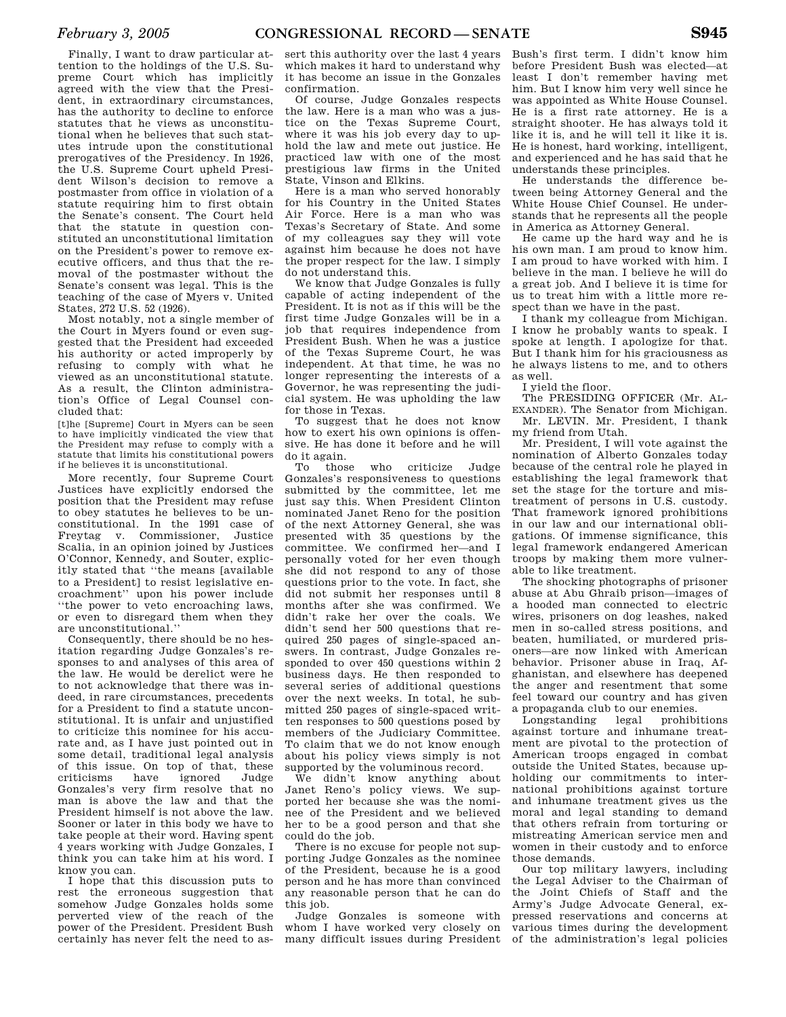Finally, I want to draw particular attention to the holdings of the U.S. Supreme Court which has implicitly agreed with the view that the President, in extraordinary circumstances, has the authority to decline to enforce statutes that he views as unconstitutional when he believes that such statutes intrude upon the constitutional prerogatives of the Presidency. In 1926, the U.S. Supreme Court upheld President Wilson's decision to remove a postmaster from office in violation of a statute requiring him to first obtain the Senate's consent. The Court held that the statute in question constituted an unconstitutional limitation on the President's power to remove executive officers, and thus that the removal of the postmaster without the Senate's consent was legal. This is the teaching of the case of Myers v. United States, 272 U.S. 52 (1926).

Most notably, not a single member of the Court in Myers found or even suggested that the President had exceeded his authority or acted improperly by refusing to comply with what he viewed as an unconstitutional statute. As a result, the Clinton administration's Office of Legal Counsel concluded that:

[t]he [Supreme] Court in Myers can be seen to have implicitly vindicated the view that the President may refuse to comply with a statute that limits his constitutional powers if he believes it is unconstitutional.

More recently, four Supreme Court Justices have explicitly endorsed the position that the President may refuse to obey statutes he believes to be unconstitutional. In the 1991 case of Freytag v. Commissioner, Justice Scalia, in an opinion joined by Justices O'Connor, Kennedy, and Souter, explicitly stated that ''the means [available to a President] to resist legislative encroachment'' upon his power include ''the power to veto encroaching laws, or even to disregard them when they are unconstitutional.''

Consequently, there should be no hesitation regarding Judge Gonzales's responses to and analyses of this area of the law. He would be derelict were he to not acknowledge that there was indeed, in rare circumstances, precedents for a President to find a statute unconstitutional. It is unfair and unjustified to criticize this nominee for his accurate and, as I have just pointed out in some detail, traditional legal analysis of this issue. On top of that, these<br>criticisms have ignored Judge criticisms have ignored Judge Gonzales's very firm resolve that no man is above the law and that the President himself is not above the law. Sooner or later in this body we have to take people at their word. Having spent 4 years working with Judge Gonzales, I think you can take him at his word. I know you can.

I hope that this discussion puts to rest the erroneous suggestion that somehow Judge Gonzales holds some perverted view of the reach of the power of the President. President Bush certainly has never felt the need to as-

sert this authority over the last 4 years which makes it hard to understand why it has become an issue in the Gonzales confirmation.

Of course, Judge Gonzales respects the law. Here is a man who was a justice on the Texas Supreme Court, where it was his job every day to uphold the law and mete out justice. He practiced law with one of the most prestigious law firms in the United State, Vinson and Elkins.

Here is a man who served honorably for his Country in the United States Air Force. Here is a man who was Texas's Secretary of State. And some of my colleagues say they will vote against him because he does not have the proper respect for the law. I simply do not understand this.

We know that Judge Gonzales is fully capable of acting independent of the President. It is not as if this will be the first time Judge Gonzales will be in a job that requires independence from President Bush. When he was a justice of the Texas Supreme Court, he was independent. At that time, he was no longer representing the interests of a Governor, he was representing the judicial system. He was upholding the law for those in Texas.

To suggest that he does not know how to exert his own opinions is offensive. He has done it before and he will do it again.

To those who criticize Judge Gonzales's responsiveness to questions submitted by the committee, let me just say this. When President Clinton nominated Janet Reno for the position of the next Attorney General, she was presented with 35 questions by the committee. We confirmed her—and I personally voted for her even though she did not respond to any of those questions prior to the vote. In fact, she did not submit her responses until 8 months after she was confirmed. We didn't rake her over the coals. We didn't send her 500 questions that required 250 pages of single-spaced answers. In contrast, Judge Gonzales responded to over 450 questions within 2 business days. He then responded to several series of additional questions over the next weeks. In total, he submitted 250 pages of single-spaced written responses to 500 questions posed by members of the Judiciary Committee. To claim that we do not know enough about his policy views simply is not supported by the voluminous record.

We didn't know anything about Janet Reno's policy views. We supported her because she was the nominee of the President and we believed her to be a good person and that she could do the job.

There is no excuse for people not supporting Judge Gonzales as the nominee of the President, because he is a good person and he has more than convinced any reasonable person that he can do this job.

Judge Gonzales is someone with whom I have worked very closely on many difficult issues during President

Bush's first term. I didn't know him before President Bush was elected—at least I don't remember having met him. But I know him very well since he was appointed as White House Counsel. He is a first rate attorney. He is a straight shooter. He has always told it like it is, and he will tell it like it is. He is honest, hard working, intelligent, and experienced and he has said that he understands these principles.

He understands the difference between being Attorney General and the White House Chief Counsel. He understands that he represents all the people in America as Attorney General.

He came up the hard way and he is his own man. I am proud to know him. I am proud to have worked with him. I believe in the man. I believe he will do a great job. And I believe it is time for us to treat him with a little more respect than we have in the past.

I thank my colleague from Michigan. I know he probably wants to speak. I spoke at length. I apologize for that. But I thank him for his graciousness as he always listens to me, and to others as well.

I yield the floor.

The PRESIDING OFFICER (Mr. AL-EXANDER). The Senator from Michigan. Mr. LEVIN. Mr. President, I thank

my friend from Utah. Mr. President, I will vote against the nomination of Alberto Gonzales today because of the central role he played in establishing the legal framework that set the stage for the torture and mistreatment of persons in U.S. custody. That framework ignored prohibitions in our law and our international obligations. Of immense significance, this legal framework endangered American troops by making them more vulnerable to like treatment.

The shocking photographs of prisoner abuse at Abu Ghraib prison—images of a hooded man connected to electric wires, prisoners on dog leashes, naked men in so-called stress positions, and beaten, humiliated, or murdered prisoners—are now linked with American behavior. Prisoner abuse in Iraq, Afghanistan, and elsewhere has deepened the anger and resentment that some feel toward our country and has given a propaganda club to our enemies.

Longstanding legal prohibitions against torture and inhumane treatment are pivotal to the protection of American troops engaged in combat outside the United States, because upholding our commitments to international prohibitions against torture and inhumane treatment gives us the moral and legal standing to demand that others refrain from torturing or mistreating American service men and women in their custody and to enforce those demands.

Our top military lawyers, including the Legal Adviser to the Chairman of the Joint Chiefs of Staff and the Army's Judge Advocate General, expressed reservations and concerns at various times during the development of the administration's legal policies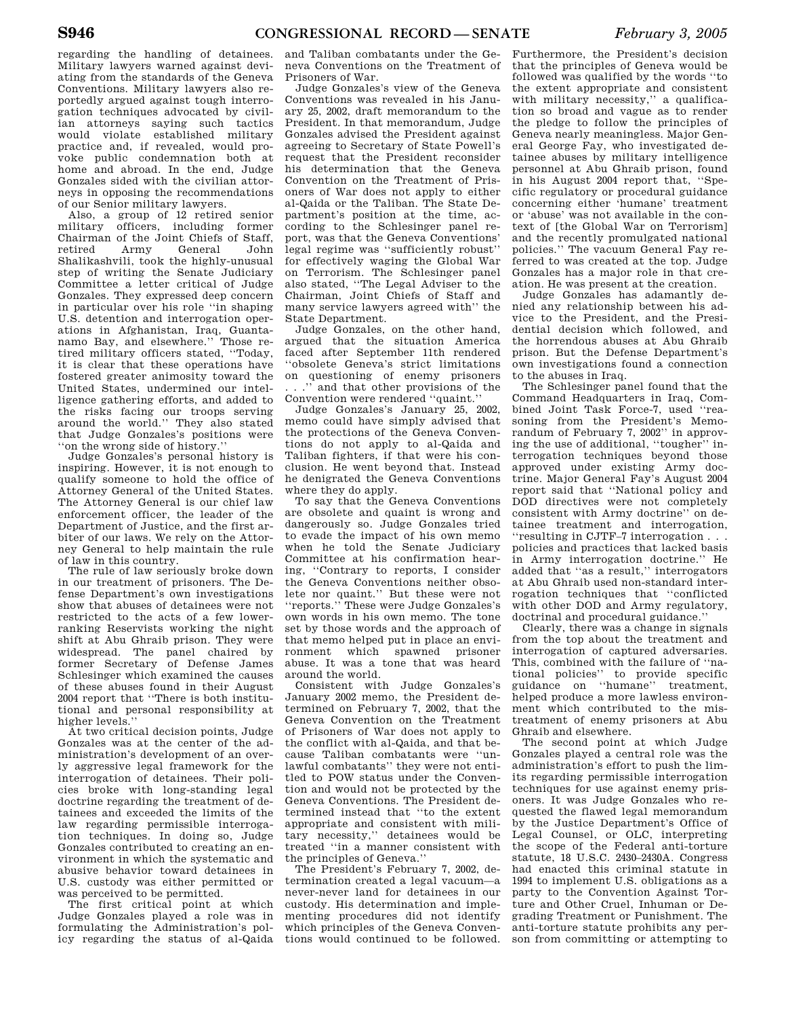regarding the handling of detainees. Military lawyers warned against deviating from the standards of the Geneva Conventions. Military lawyers also reportedly argued against tough interrogation techniques advocated by civilian attorneys saying such tactics would violate established military practice and, if revealed, would provoke public condemnation both at home and abroad. In the end, Judge Gonzales sided with the civilian attorneys in opposing the recommendations of our Senior military lawyers.

Also, a group of 12 retired senior military officers, including former Chairman of the Joint Chiefs of Staff, retired Army General John Shalikashvili, took the highly-unusual step of writing the Senate Judiciary Committee a letter critical of Judge Gonzales. They expressed deep concern in particular over his role ''in shaping U.S. detention and interrogation operations in Afghanistan, Iraq, Guantanamo Bay, and elsewhere.'' Those retired military officers stated, ''Today, it is clear that these operations have fostered greater animosity toward the United States, undermined our intelligence gathering efforts, and added to the risks facing our troops serving around the world.'' They also stated that Judge Gonzales's positions were ''on the wrong side of history.''

Judge Gonzales's personal history is inspiring. However, it is not enough to qualify someone to hold the office of Attorney General of the United States. The Attorney General is our chief law enforcement officer, the leader of the Department of Justice, and the first arbiter of our laws. We rely on the Attorney General to help maintain the rule of law in this country.

The rule of law seriously broke down in our treatment of prisoners. The Defense Department's own investigations show that abuses of detainees were not restricted to the acts of a few lowerranking Reservists working the night shift at Abu Ghraib prison. They were widespread. The panel chaired by former Secretary of Defense James Schlesinger which examined the causes of these abuses found in their August 2004 report that ''There is both institutional and personal responsibility at higher levels.''

At two critical decision points, Judge Gonzales was at the center of the administration's development of an overly aggressive legal framework for the interrogation of detainees. Their policies broke with long-standing legal doctrine regarding the treatment of detainees and exceeded the limits of the law regarding permissible interrogation techniques. In doing so, Judge Gonzales contributed to creating an environment in which the systematic and abusive behavior toward detainees in U.S. custody was either permitted or was perceived to be permitted.

The first critical point at which Judge Gonzales played a role was in formulating the Administration's policy regarding the status of al-Qaida

and Taliban combatants under the Geneva Conventions on the Treatment of Prisoners of War.

Judge Gonzales's view of the Geneva Conventions was revealed in his January 25, 2002, draft memorandum to the President. In that memorandum, Judge Gonzales advised the President against agreeing to Secretary of State Powell's request that the President reconsider his determination that the Geneva Convention on the Treatment of Prisoners of War does not apply to either al-Qaida or the Taliban. The State Department's position at the time, according to the Schlesinger panel report, was that the Geneva Conventions' legal regime was ''sufficiently robust'' for effectively waging the Global War on Terrorism. The Schlesinger panel also stated, ''The Legal Adviser to the Chairman, Joint Chiefs of Staff and many service lawyers agreed with'' the State Department.

Judge Gonzales, on the other hand, argued that the situation America faced after September 11th rendered ''obsolete Geneva's strict limitations on questioning of enemy prisoners ...'' and that other provisions of the Convention were rendered ''quaint.''

Judge Gonzales's January 25, 2002, memo could have simply advised that the protections of the Geneva Conventions do not apply to al-Qaida and Taliban fighters, if that were his conclusion. He went beyond that. Instead he denigrated the Geneva Conventions where they do apply.

To say that the Geneva Conventions are obsolete and quaint is wrong and dangerously so. Judge Gonzales tried to evade the impact of his own memo when he told the Senate Judiciary Committee at his confirmation hearing, ''Contrary to reports, I consider the Geneva Conventions neither obsolete nor quaint.'' But these were not ''reports.'' These were Judge Gonzales's own words in his own memo. The tone set by those words and the approach of that memo helped put in place an environment which spawned prisoner abuse. It was a tone that was heard around the world.

Consistent with Judge Gonzales's January 2002 memo, the President determined on February 7, 2002, that the Geneva Convention on the Treatment of Prisoners of War does not apply to the conflict with al-Qaida, and that because Taliban combatants were ''unlawful combatants'' they were not entitled to POW status under the Convention and would not be protected by the Geneva Conventions. The President determined instead that ''to the extent appropriate and consistent with military necessity,'' detainees would be treated ''in a manner consistent with the principles of Geneva.''

The President's February 7, 2002, determination created a legal vacuum—a never-never land for detainees in our custody. His determination and implementing procedures did not identify which principles of the Geneva Conventions would continued to be followed.

Furthermore, the President's decision that the principles of Geneva would be followed was qualified by the words ''to the extent appropriate and consistent with military necessity," a qualification so broad and vague as to render the pledge to follow the principles of Geneva nearly meaningless. Major General George Fay, who investigated detainee abuses by military intelligence personnel at Abu Ghraib prison, found in his August 2004 report that, ''Specific regulatory or procedural guidance concerning either 'humane' treatment or 'abuse' was not available in the context of [the Global War on Terrorism] and the recently promulgated national policies.'' The vacuum General Fay referred to was created at the top. Judge Gonzales has a major role in that creation. He was present at the creation.

Judge Gonzales has adamantly denied any relationship between his advice to the President, and the Presidential decision which followed, and the horrendous abuses at Abu Ghraib prison. But the Defense Department's own investigations found a connection to the abuses in Iraq.

The Schlesinger panel found that the Command Headquarters in Iraq, Combined Joint Task Force-7, used ''reasoning from the President's Memorandum of February 7, 2002'' in approving the use of additional, ''tougher'' interrogation techniques beyond those approved under existing Army doctrine. Major General Fay's August 2004 report said that ''National policy and DOD directives were not completely consistent with Army doctrine'' on detainee treatment and interrogation, ''resulting in CJTF–7 interrogation . . . policies and practices that lacked basis in Army interrogation doctrine.'' He added that ''as a result,'' interrogators at Abu Ghraib used non-standard interrogation techniques that ''conflicted with other DOD and Army regulatory, doctrinal and procedural guidance.''

Clearly, there was a change in signals from the top about the treatment and interrogation of captured adversaries. This, combined with the failure of ''national policies'' to provide specific guidance on ''humane'' treatment, helped produce a more lawless environment which contributed to the mistreatment of enemy prisoners at Abu Ghraib and elsewhere.

The second point at which Judge Gonzales played a central role was the administration's effort to push the limits regarding permissible interrogation techniques for use against enemy prisoners. It was Judge Gonzales who requested the flawed legal memorandum by the Justice Department's Office of Legal Counsel, or OLC, interpreting the scope of the Federal anti-torture statute, 18 U.S.C. 2430–2430A. Congress had enacted this criminal statute in 1994 to implement U.S. obligations as a party to the Convention Against Torture and Other Cruel, Inhuman or Degrading Treatment or Punishment. The anti-torture statute prohibits any person from committing or attempting to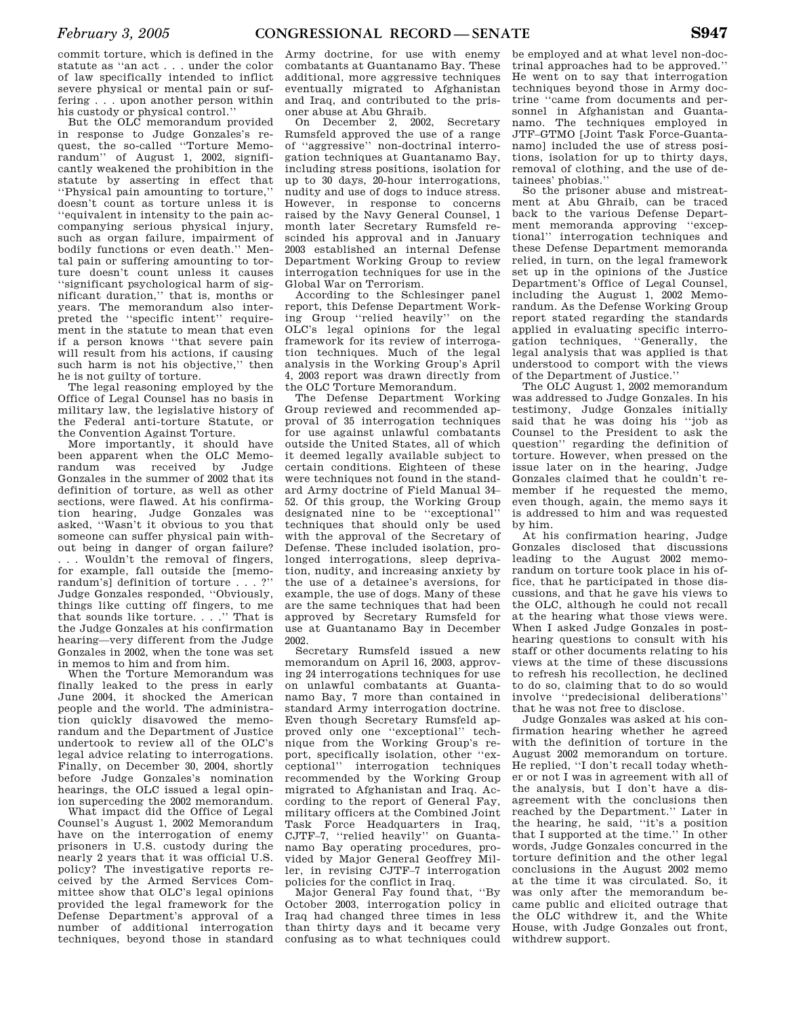commit torture, which is defined in the statute as ''an act . . . under the color of law specifically intended to inflict severe physical or mental pain or suffering . . . upon another person within his custody or physical control.''

But the OLC memorandum provided in response to Judge Gonzales's request, the so-called ''Torture Memorandum'' of August 1, 2002, significantly weakened the prohibition in the statute by asserting in effect that ''Physical pain amounting to torture,'' doesn't count as torture unless it is ''equivalent in intensity to the pain accompanying serious physical injury, such as organ failure, impairment of bodily functions or even death.'' Mental pain or suffering amounting to torture doesn't count unless it causes ''significant psychological harm of significant duration,'' that is, months or years. The memorandum also interpreted the ''specific intent'' requirement in the statute to mean that even if a person knows ''that severe pain will result from his actions, if causing such harm is not his objective,'' then he is not guilty of torture.

The legal reasoning employed by the Office of Legal Counsel has no basis in military law, the legislative history of the Federal anti-torture Statute, or the Convention Against Torture.

More importantly, it should have been apparent when the OLC Memorandum was received by Judge Gonzales in the summer of 2002 that its definition of torture, as well as other sections, were flawed. At his confirmation hearing, Judge Gonzales was asked, ''Wasn't it obvious to you that someone can suffer physical pain without being in danger of organ failure? . . . Wouldn't the removal of fingers, for example, fall outside the [memorandum's] definition of torture . . . ?'' Judge Gonzales responded, ''Obviously, things like cutting off fingers, to me that sounds like torture. . . .'' That is the Judge Gonzales at his confirmation hearing—very different from the Judge Gonzales in 2002, when the tone was set in memos to him and from him.

When the Torture Memorandum was finally leaked to the press in early June 2004, it shocked the American people and the world. The administration quickly disavowed the memorandum and the Department of Justice undertook to review all of the OLC's legal advice relating to interrogations. Finally, on December 30, 2004, shortly before Judge Gonzales's nomination hearings, the OLC issued a legal opinion superceding the 2002 memorandum.

What impact did the Office of Legal Counsel's August 1, 2002 Memorandum have on the interrogation of enemy prisoners in U.S. custody during the nearly 2 years that it was official U.S. policy? The investigative reports received by the Armed Services Committee show that OLC's legal opinions provided the legal framework for the Defense Department's approval of a number of additional interrogation techniques, beyond those in standard

Army doctrine, for use with enemy combatants at Guantanamo Bay. These additional, more aggressive techniques eventually migrated to Afghanistan and Iraq, and contributed to the prisoner abuse at Abu Ghraib.

On December 2, 2002, Secretary Rumsfeld approved the use of a range of ''aggressive'' non-doctrinal interrogation techniques at Guantanamo Bay, including stress positions, isolation for up to 30 days, 20-hour interrogations, nudity and use of dogs to induce stress. However, in response to concerns raised by the Navy General Counsel, 1 month later Secretary Rumsfeld rescinded his approval and in January 2003 established an internal Defense Department Working Group to review interrogation techniques for use in the Global War on Terrorism.

According to the Schlesinger panel report, this Defense Department Working Group ''relied heavily'' on the OLC's legal opinions for the legal framework for its review of interrogation techniques. Much of the legal analysis in the Working Group's April 4, 2003 report was drawn directly from the OLC Torture Memorandum.

The Defense Department Working Group reviewed and recommended approval of 35 interrogation techniques for use against unlawful combatants outside the United States, all of which it deemed legally available subject to certain conditions. Eighteen of these were techniques not found in the standard Army doctrine of Field Manual 34– 52. Of this group, the Working Group designated nine to be ''exceptional'' techniques that should only be used with the approval of the Secretary of Defense. These included isolation, prolonged interrogations, sleep deprivation, nudity, and increasing anxiety by the use of a detainee's aversions, for example, the use of dogs. Many of these are the same techniques that had been approved by Secretary Rumsfeld for use at Guantanamo Bay in December 2002.

Secretary Rumsfeld issued a new memorandum on April 16, 2003, approving 24 interrogations techniques for use on unlawful combatants at Guantanamo Bay, 7 more than contained in standard Army interrogation doctrine. Even though Secretary Rumsfeld approved only one ''exceptional'' technique from the Working Group's report, specifically isolation, other ''exceptional'' interrogation techniques recommended by the Working Group migrated to Afghanistan and Iraq. According to the report of General Fay, military officers at the Combined Joint Task Force Headquarters in Iraq, CJTF–7, ''relied heavily'' on Guantanamo Bay operating procedures, provided by Major General Geoffrey Miller, in revising CJTF–7 interrogation policies for the conflict in Iraq.

Major General Fay found that, ''By October 2003, interrogation policy in Iraq had changed three times in less than thirty days and it became very confusing as to what techniques could

be employed and at what level non-doctrinal approaches had to be approved.'' He went on to say that interrogation techniques beyond those in Army doctrine ''came from documents and personnel in Afghanistan and Guantanamo. The techniques employed in JTF–GTMO [Joint Task Force-Guantanamo] included the use of stress positions, isolation for up to thirty days, removal of clothing, and the use of detainees' phobias.''

So the prisoner abuse and mistreatment at Abu Ghraib, can be traced back to the various Defense Department memoranda approving ''exceptional'' interrogation techniques and these Defense Department memoranda relied, in turn, on the legal framework set up in the opinions of the Justice Department's Office of Legal Counsel, including the August 1, 2002 Memorandum. As the Defense Working Group report stated regarding the standards applied in evaluating specific interrogation techniques, ''Generally, the legal analysis that was applied is that understood to comport with the views of the Department of Justice.''

The OLC August 1, 2002 memorandum was addressed to Judge Gonzales. In his testimony, Judge Gonzales initially said that he was doing his ''job as Counsel to the President to ask the question'' regarding the definition of torture. However, when pressed on the issue later on in the hearing, Judge Gonzales claimed that he couldn't remember if he requested the memo, even though, again, the memo says it is addressed to him and was requested by him.

At his confirmation hearing, Judge Gonzales disclosed that discussions leading to the August 2002 memorandum on torture took place in his office, that he participated in those discussions, and that he gave his views to the OLC, although he could not recall at the hearing what those views were. When I asked Judge Gonzales in posthearing questions to consult with his staff or other documents relating to his views at the time of these discussions to refresh his recollection, he declined to do so, claiming that to do so would involve ''predecisional deliberations'' that he was not free to disclose.

Judge Gonzales was asked at his confirmation hearing whether he agreed with the definition of torture in the August 2002 memorandum on torture. He replied, ''I don't recall today whether or not I was in agreement with all of the analysis, but I don't have a disagreement with the conclusions then reached by the Department.'' Later in the hearing, he said, ''it's a position that I supported at the time." In other words, Judge Gonzales concurred in the torture definition and the other legal conclusions in the August 2002 memo at the time it was circulated. So, it was only after the memorandum became public and elicited outrage that the OLC withdrew it, and the White House, with Judge Gonzales out front, withdrew support.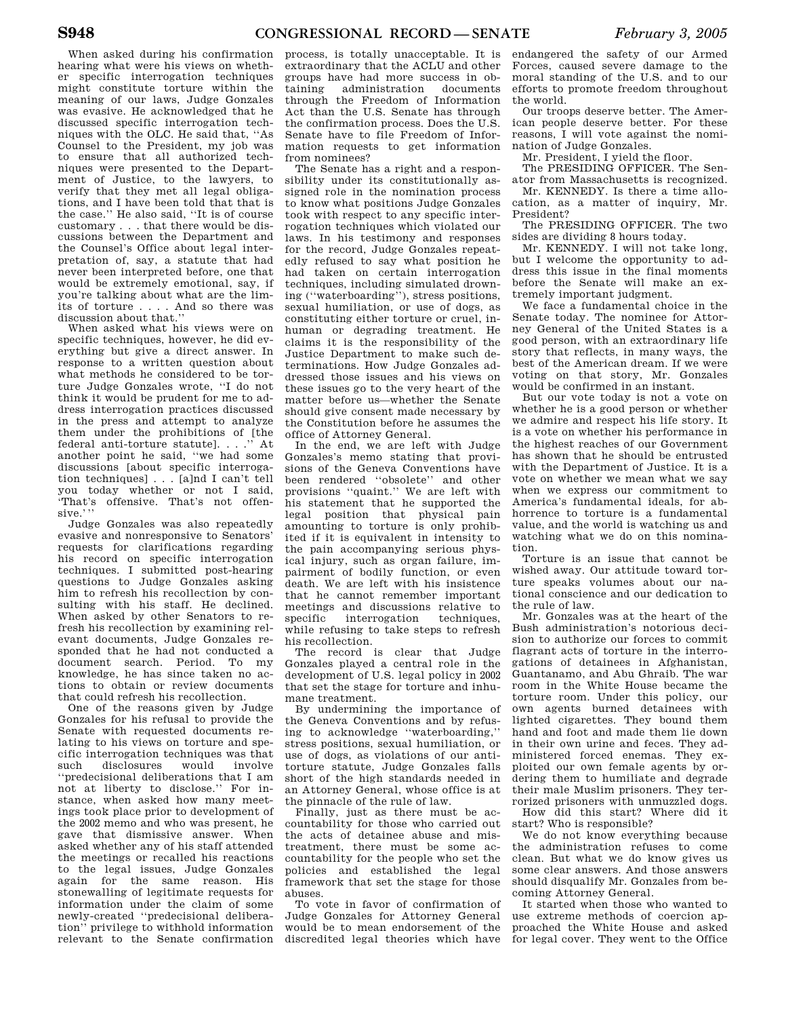When asked during his confirmation hearing what were his views on whether specific interrogation techniques might constitute torture within the meaning of our laws, Judge Gonzales was evasive. He acknowledged that he discussed specific interrogation techniques with the OLC. He said that, ''As Counsel to the President, my job was to ensure that all authorized techniques were presented to the Department of Justice, to the lawyers, to verify that they met all legal obligations, and I have been told that that is the case.'' He also said, ''It is of course customary . . . that there would be discussions between the Department and the Counsel's Office about legal interpretation of, say, a statute that had never been interpreted before, one that would be extremely emotional, say, if you're talking about what are the limits of torture . . . . And so there was discussion about that.''

When asked what his views were on specific techniques, however, he did everything but give a direct answer. In response to a written question about what methods he considered to be torture Judge Gonzales wrote, ''I do not think it would be prudent for me to address interrogation practices discussed in the press and attempt to analyze them under the prohibitions of [the federal anti-torture statute]. . . .'' At another point he said, ''we had some discussions [about specific interrogation techniques] . . . [a]nd I can't tell you today whether or not I said, 'That's offensive. That's not offensive.'''

Judge Gonzales was also repeatedly evasive and nonresponsive to Senators' requests for clarifications regarding his record on specific interrogation techniques. I submitted post-hearing questions to Judge Gonzales asking him to refresh his recollection by consulting with his staff. He declined. When asked by other Senators to refresh his recollection by examining relevant documents, Judge Gonzales responded that he had not conducted a document search. Period. To my knowledge, he has since taken no actions to obtain or review documents that could refresh his recollection.

One of the reasons given by Judge Gonzales for his refusal to provide the Senate with requested documents relating to his views on torture and specific interrogation techniques was that such disclosures would involve ''predecisional deliberations that I am not at liberty to disclose.'' For instance, when asked how many meetings took place prior to development of the 2002 memo and who was present, he gave that dismissive answer. When asked whether any of his staff attended the meetings or recalled his reactions to the legal issues, Judge Gonzales again for the same reason. His stonewalling of legitimate requests for information under the claim of some newly-created ''predecisional deliberation'' privilege to withhold information relevant to the Senate confirmation

process, is totally unacceptable. It is extraordinary that the ACLU and other groups have had more success in obtaining administration documents through the Freedom of Information Act than the U.S. Senate has through the confirmation process. Does the U.S. Senate have to file Freedom of Information requests to get information from nominees?

The Senate has a right and a responsibility under its constitutionally assigned role in the nomination process to know what positions Judge Gonzales took with respect to any specific interrogation techniques which violated our laws. In his testimony and responses for the record, Judge Gonzales repeatedly refused to say what position he had taken on certain interrogation techniques, including simulated drowning (''waterboarding''), stress positions, sexual humiliation, or use of dogs, as constituting either torture or cruel, inhuman or degrading treatment. He claims it is the responsibility of the Justice Department to make such determinations. How Judge Gonzales addressed those issues and his views on these issues go to the very heart of the matter before us—whether the Senate should give consent made necessary by the Constitution before he assumes the office of Attorney General.

In the end, we are left with Judge Gonzales's memo stating that provisions of the Geneva Conventions have been rendered ''obsolete'' and other provisions ''quaint.'' We are left with his statement that he supported the legal position that physical pain amounting to torture is only prohibited if it is equivalent in intensity to the pain accompanying serious physical injury, such as organ failure, impairment of bodily function, or even death. We are left with his insistence that he cannot remember important meetings and discussions relative to<br>specific interrogation techniques. specific interrogation while refusing to take steps to refresh his recollection.

The record is clear that Judge Gonzales played a central role in the development of U.S. legal policy in 2002 that set the stage for torture and inhumane treatment.

By undermining the importance of the Geneva Conventions and by refusing to acknowledge ''waterboarding,'' stress positions, sexual humiliation, or use of dogs, as violations of our antitorture statute, Judge Gonzales falls short of the high standards needed in an Attorney General, whose office is at the pinnacle of the rule of law.

Finally, just as there must be accountability for those who carried out the acts of detainee abuse and mistreatment, there must be some accountability for the people who set the policies and established the legal framework that set the stage for those abuses.

To vote in favor of confirmation of Judge Gonzales for Attorney General would be to mean endorsement of the discredited legal theories which have

endangered the safety of our Armed Forces, caused severe damage to the moral standing of the U.S. and to our efforts to promote freedom throughout the world.

Our troops deserve better. The American people deserve better. For these reasons, I will vote against the nomination of Judge Gonzales.

Mr. President, I yield the floor.

The PRESIDING OFFICER. The Senator from Massachusetts is recognized.

Mr. KENNEDY. Is there a time allocation, as a matter of inquiry, Mr. President?

The PRESIDING OFFICER. The two sides are dividing 8 hours today.

Mr. KENNEDY. I will not take long, but I welcome the opportunity to address this issue in the final moments before the Senate will make an extremely important judgment.

We face a fundamental choice in the Senate today. The nominee for Attorney General of the United States is a good person, with an extraordinary life story that reflects, in many ways, the best of the American dream. If we were voting on that story, Mr. Gonzales would be confirmed in an instant.

But our vote today is not a vote on whether he is a good person or whether we admire and respect his life story. It is a vote on whether his performance in the highest reaches of our Government has shown that he should be entrusted with the Department of Justice. It is a vote on whether we mean what we say when we express our commitment to America's fundamental ideals, for abhorrence to torture is a fundamental value, and the world is watching us and watching what we do on this nomination.

Torture is an issue that cannot be wished away. Our attitude toward torture speaks volumes about our national conscience and our dedication to the rule of law.

Mr. Gonzales was at the heart of the Bush administration's notorious decision to authorize our forces to commit flagrant acts of torture in the interrogations of detainees in Afghanistan, Guantanamo, and Abu Ghraib. The war room in the White House became the torture room. Under this policy, our own agents burned detainees with lighted cigarettes. They bound them hand and foot and made them lie down in their own urine and feces. They administered forced enemas. They exploited our own female agents by ordering them to humiliate and degrade their male Muslim prisoners. They terrorized prisoners with unmuzzled dogs.

How did this start? Where did it start? Who is responsible?

We do not know everything because the administration refuses to come clean. But what we do know gives us some clear answers. And those answers should disqualify Mr. Gonzales from becoming Attorney General.

It started when those who wanted to use extreme methods of coercion approached the White House and asked for legal cover. They went to the Office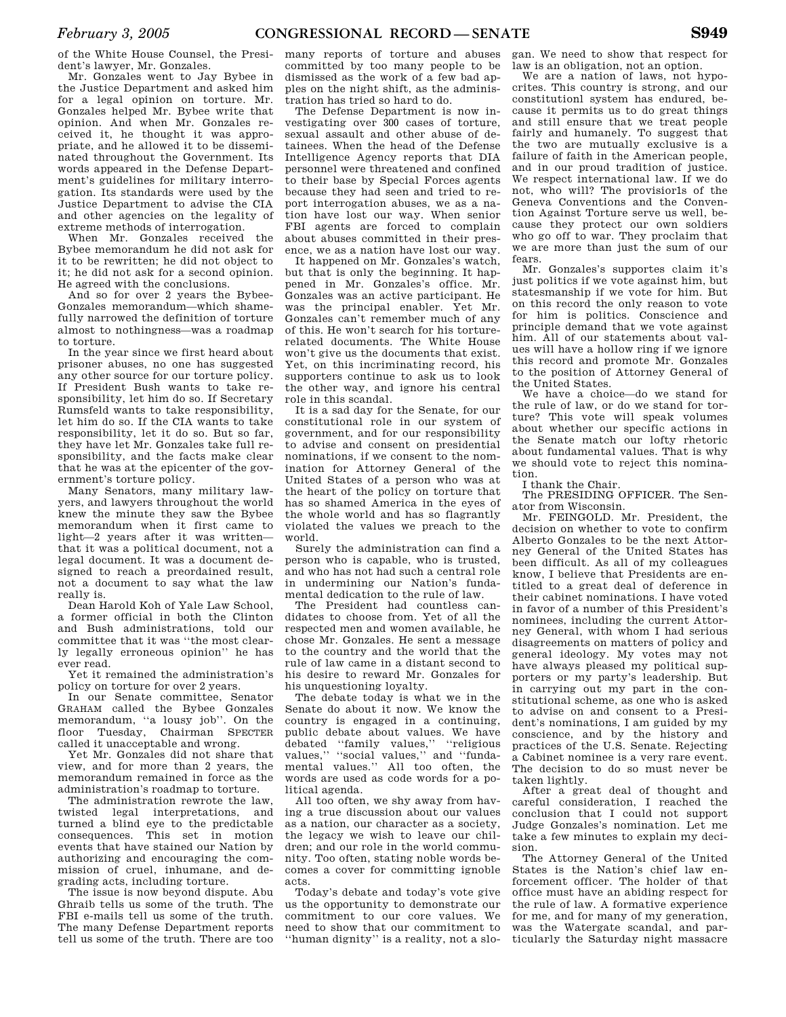of the White House Counsel, the President's lawyer, Mr. Gonzales.

Mr. Gonzales went to Jay Bybee in the Justice Department and asked him for a legal opinion on torture. Mr. Gonzales helped Mr. Bybee write that opinion. And when Mr. Gonzales received it, he thought it was appropriate, and he allowed it to be disseminated throughout the Government. Its words appeared in the Defense Department's guidelines for military interrogation. Its standards were used by the Justice Department to advise the CIA and other agencies on the legality of extreme methods of interrogation.

When Mr. Gonzales received the Bybee memorandum he did not ask for it to be rewritten; he did not object to it; he did not ask for a second opinion. He agreed with the conclusions.

And so for over 2 years the Bybee-Gonzales memorandum—which shamefully narrowed the definition of torture almost to nothingness—was a roadmap to torture.

In the year since we first heard about prisoner abuses, no one has suggested any other source for our torture policy. If President Bush wants to take responsibility, let him do so. If Secretary Rumsfeld wants to take responsibility, let him do so. If the CIA wants to take responsibility, let it do so. But so far, they have let Mr. Gonzales take full responsibility, and the facts make clear that he was at the epicenter of the government's torture policy.

Many Senators, many military lawyers, and lawyers throughout the world knew the minute they saw the Bybee memorandum when it first came to light—2 years after it was written that it was a political document, not a legal document. It was a document designed to reach a preordained result, not a document to say what the law really is.

Dean Harold Koh of Yale Law School, a former official in both the Clinton and Bush administrations, told our committee that it was ''the most clearly legally erroneous opinion'' he has ever read.

Yet it remained the administration's policy on torture for over 2 years.

In our Senate committee, Senator GRAHAM called the Bybee Gonzales memorandum, ''a lousy job''. On the floor Tuesday, Chairman SPECTER called it unacceptable and wrong.

Yet Mr. Gonzales did not share that view, and for more than 2 years, the memorandum remained in force as the administration's roadmap to torture.

The administration rewrote the law, twisted legal interpretations, and turned a blind eye to the predictable consequences. This set in motion events that have stained our Nation by authorizing and encouraging the commission of cruel, inhumane, and degrading acts, including torture.

The issue is now beyond dispute. Abu Ghraib tells us some of the truth. The FBI e-mails tell us some of the truth. The many Defense Department reports tell us some of the truth. There are too many reports of torture and abuses committed by too many people to be dismissed as the work of a few bad apples on the night shift, as the administration has tried so hard to do.

The Defense Department is now investigating over 300 cases of torture, sexual assault and other abuse of detainees. When the head of the Defense Intelligence Agency reports that DIA personnel were threatened and confined to their base by Special Forces agents because they had seen and tried to report interrogation abuses, we as a nation have lost our way. When senior FBI agents are forced to complain about abuses committed in their presence, we as a nation have lost our way.

It happened on Mr. Gonzales's watch, but that is only the beginning. It happened in Mr. Gonzales's office. Mr. Gonzales was an active participant. He was the principal enabler. Yet Mr. Gonzales can't remember much of any of this. He won't search for his torturerelated documents. The White House won't give us the documents that exist. Yet, on this incriminating record, his supporters continue to ask us to look the other way, and ignore his central role in this scandal.

It is a sad day for the Senate, for our constitutional role in our system of government, and for our responsibility to advise and consent on presidential nominations, if we consent to the nomination for Attorney General of the United States of a person who was at the heart of the policy on torture that has so shamed America in the eyes of the whole world and has so flagrantly violated the values we preach to the world.

Surely the administration can find a person who is capable, who is trusted, and who has not had such a central role in undermining our Nation's fundamental dedication to the rule of law.

The President had countless candidates to choose from. Yet of all the respected men and women available, he chose Mr. Gonzales. He sent a message to the country and the world that the rule of law came in a distant second to his desire to reward Mr. Gonzales for his unquestioning loyalty.

The debate today is what we in the Senate do about it now. We know the country is engaged in a continuing, public debate about values. We have debated ''family values,'' ''religious values," "social values," and "fundamental values.'' All too often, the words are used as code words for a political agenda.

All too often, we shy away from having a true discussion about our values as a nation, our character as a society, the legacy we wish to leave our children; and our role in the world community. Too often, stating noble words becomes a cover for committing ignoble acts.

Today's debate and today's vote give us the opportunity to demonstrate our commitment to our core values. We need to show that our commitment to ''human dignity'' is a reality, not a slo-

gan. We need to show that respect for law is an obligation, not an option.

We are a nation of laws, not hypocrites. This country is strong, and our constitutionl system has endured, because it permits us to do great things and still ensure that we treat people fairly and humanely. To suggest that the two are mutually exclusive is a failure of faith in the American people, and in our proud tradition of justice. We respect international law. If we do not, who will? The provisior1s of the Geneva Conventions and the Convention Against Torture serve us well, because they protect our own soldiers who go off to war. They proclaim that we are more than just the sum of our fears.

Mr. Gonzales's supportes claim it's just politics if we vote against him, but statesmanship if we vote for him. But on this record the only reason to vote for him is politics. Conscience and principle demand that we vote against him. All of our statements about values will have a hollow ring if we ignore this record and promote Mr. Gonzales to the position of Attorney General of the United States.

We have a choice—do we stand for the rule of law, or do we stand for torture? This vote will speak volumes about whether our specific actions in the Senate match our lofty rhetoric about fundamental values. That is why we should vote to reject this nomination.

I thank the Chair.

The PRESIDING OFFICER. The Senator from Wisconsin.

Mr. FEINGOLD. Mr. President, the decision on whether to vote to confirm Alberto Gonzales to be the next Attorney General of the United States has been difficult. As all of my colleagues know, I believe that Presidents are entitled to a great deal of deference in their cabinet nominations. I have voted in favor of a number of this President's nominees, including the current Attorney General, with whom I had serious disagreements on matters of policy and general ideology. My votes may not have always pleased my political supporters or my party's leadership. But in carrying out my part in the constitutional scheme, as one who is asked to advise on and consent to a President's nominations, I am guided by my conscience, and by the history and practices of the U.S. Senate. Rejecting a Cabinet nominee is a very rare event. The decision to do so must never be taken lightly.

After a great deal of thought and careful consideration, I reached the conclusion that I could not support Judge Gonzales's nomination. Let me take a few minutes to explain my decision.

The Attorney General of the United States is the Nation's chief law enforcement officer. The holder of that office must have an abiding respect for the rule of law. A formative experience for me, and for many of my generation, was the Watergate scandal, and particularly the Saturday night massacre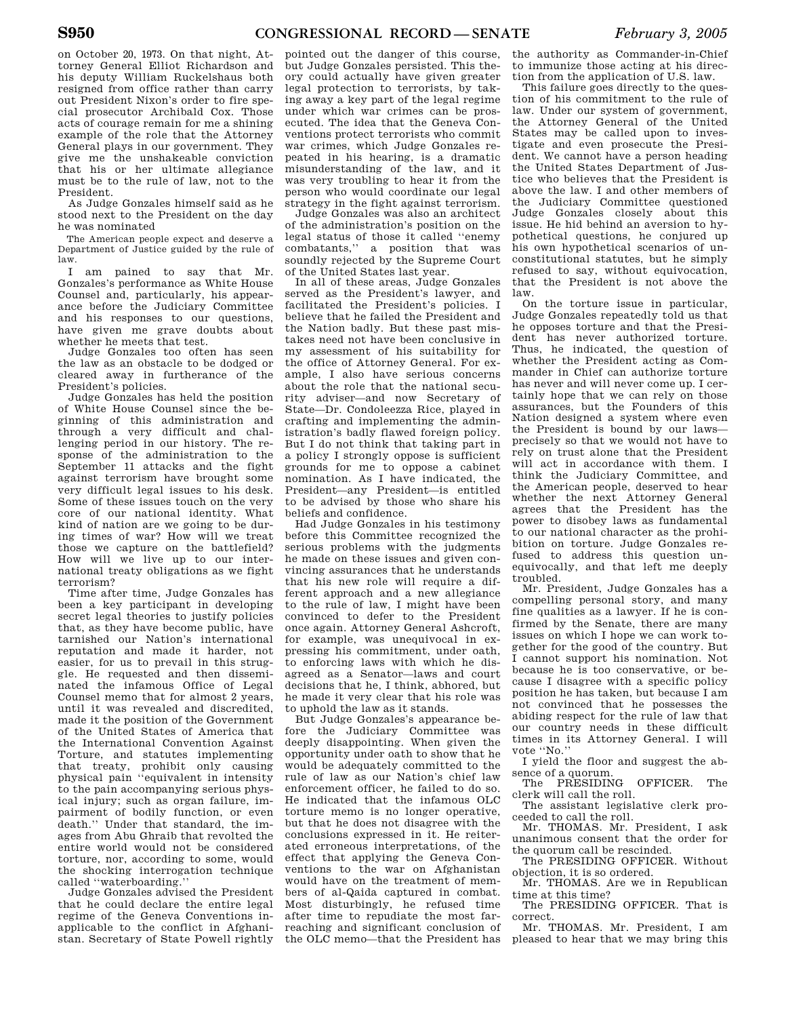on October 20, 1973. On that night, Attorney General Elliot Richardson and his deputy William Ruckelshaus both resigned from office rather than carry out President Nixon's order to fire special prosecutor Archibald Cox. Those acts of courage remain for me a shining example of the role that the Attorney General plays in our government. They give me the unshakeable conviction that his or her ultimate allegiance must be to the rule of law, not to the President.

As Judge Gonzales himself said as he stood next to the President on the day he was nominated

The American people expect and deserve a Department of Justice guided by the rule of law.

I am pained to say that Mr. Gonzales's performance as White House Counsel and, particularly, his appearance before the Judiciary Committee and his responses to our questions, have given me grave doubts about whether he meets that test.

Judge Gonzales too often has seen the law as an obstacle to be dodged or cleared away in furtherance of the President's policies.

Judge Gonzales has held the position of White House Counsel since the beginning of this administration and through a very difficult and challenging period in our history. The response of the administration to the September 11 attacks and the fight against terrorism have brought some very difficult legal issues to his desk. Some of these issues touch on the very core of our national identity. What kind of nation are we going to be during times of war? How will we treat those we capture on the battlefield? How will we live up to our international treaty obligations as we fight terrorism?

Time after time, Judge Gonzales has been a key participant in developing secret legal theories to justify policies that, as they have become public, have tarnished our Nation's international reputation and made it harder, not easier, for us to prevail in this struggle. He requested and then disseminated the infamous Office of Legal Counsel memo that for almost 2 years, until it was revealed and discredited, made it the position of the Government of the United States of America that the International Convention Against Torture, and statutes implementing that treaty, prohibit only causing physical pain ''equivalent in intensity to the pain accompanying serious physical injury; such as organ failure, impairment of bodily function, or even death.'' Under that standard, the images from Abu Ghraib that revolted the entire world would not be considered torture, nor, according to some, would the shocking interrogation technique called ''waterboarding.''

Judge Gonzales advised the President that he could declare the entire legal regime of the Geneva Conventions inapplicable to the conflict in Afghanistan. Secretary of State Powell rightly

pointed out the danger of this course, but Judge Gonzales persisted. This theory could actually have given greater legal protection to terrorists, by taking away a key part of the legal regime under which war crimes can be prosecuted. The idea that the Geneva Conventions protect terrorists who commit war crimes, which Judge Gonzales repeated in his hearing, is a dramatic misunderstanding of the law, and it was very troubling to hear it from the person who would coordinate our legal strategy in the fight against terrorism.

Judge Gonzales was also an architect of the administration's position on the legal status of those it called ''enemy combatants,'' a position that was soundly rejected by the Supreme Court of the United States last year.

In all of these areas, Judge Gonzales served as the President's lawyer, and facilitated the President's policies. I believe that he failed the President and the Nation badly. But these past mistakes need not have been conclusive in my assessment of his suitability for the office of Attorney General. For example, I also have serious concerns about the role that the national security adviser—and now Secretary of State—Dr. Condoleezza Rice, played in crafting and implementing the administration's badly flawed foreign policy. But I do not think that taking part in a policy I strongly oppose is sufficient grounds for me to oppose a cabinet nomination. As I have indicated, the President—any President—is entitled to be advised by those who share his beliefs and confidence.

Had Judge Gonzales in his testimony before this Committee recognized the serious problems with the judgments he made on these issues and given convincing assurances that he understands that his new role will require a different approach and a new allegiance to the rule of law, I might have been convinced to defer to the President once again. Attorney General Ashcroft, for example, was unequivocal in expressing his commitment, under oath, to enforcing laws with which he disagreed as a Senator—laws and court decisions that he, I think, abhored, but he made it very clear that his role was to uphold the law as it stands.

But Judge Gonzales's appearance before the Judiciary Committee was deeply disappointing. When given the opportunity under oath to show that he would be adequately committed to the rule of law as our Nation's chief law enforcement officer, he failed to do so. He indicated that the infamous OLC torture memo is no longer operative, but that he does not disagree with the conclusions expressed in it. He reiterated erroneous interpretations, of the effect that applying the Geneva Conventions to the war on Afghanistan would have on the treatment of members of al-Qaida captured in combat. Most disturbingly, he refused time after time to repudiate the most farreaching and significant conclusion of the OLC memo—that the President has

the authority as Commander-in-Chief to immunize those acting at his direction from the application of U.S. law.

This failure goes directly to the question of his commitment to the rule of law. Under our system of government, the Attorney General of the United States may be called upon to investigate and even prosecute the President. We cannot have a person heading the United States Department of Justice who believes that the President is above the law. I and other members of the Judiciary Committee questioned Judge Gonzales closely about this issue. He hid behind an aversion to hypothetical questions, he conjured up his own hypothetical scenarios of unconstitutional statutes, but he simply refused to say, without equivocation, that the President is not above the law.

On the torture issue in particular, Judge Gonzales repeatedly told us that he opposes torture and that the President has never authorized torture. Thus, he indicated, the question of whether the President acting as Commander in Chief can authorize torture has never and will never come up. I certainly hope that we can rely on those assurances, but the Founders of this Nation designed a system where even the President is bound by our laws precisely so that we would not have to rely on trust alone that the President will act in accordance with them. I think the Judiciary Committee, and the American people, deserved to hear whether the next Attorney General agrees that the President has the power to disobey laws as fundamental to our national character as the prohibition on torture. Judge Gonzales refused to address this question unequivocally, and that left me deeply troubled.

Mr. President, Judge Gonzales has a compelling personal story, and many fine qualities as a lawyer. If he is confirmed by the Senate, there are many issues on which I hope we can work together for the good of the country. But I cannot support his nomination. Not because he is too conservative, or because I disagree with a specific policy position he has taken, but because I am not convinced that he possesses the abiding respect for the rule of law that our country needs in these difficult times in its Attorney General. I will vote ''No.''

I yield the floor and suggest the ab-

sence of a quorum.<br>The PRESIDING OFFICER. The clerk will call the roll.

The assistant legislative clerk proceeded to call the roll.

Mr. THOMAS. Mr. President, I ask unanimous consent that the order for the quorum call be rescinded.

The PRESIDING OFFICER. Without objection, it is so ordered.

Mr. THOMAS. Are we in Republican time at this time?

The PRESIDING OFFICER. That is correct.

Mr. THOMAS. Mr. President, I am pleased to hear that we may bring this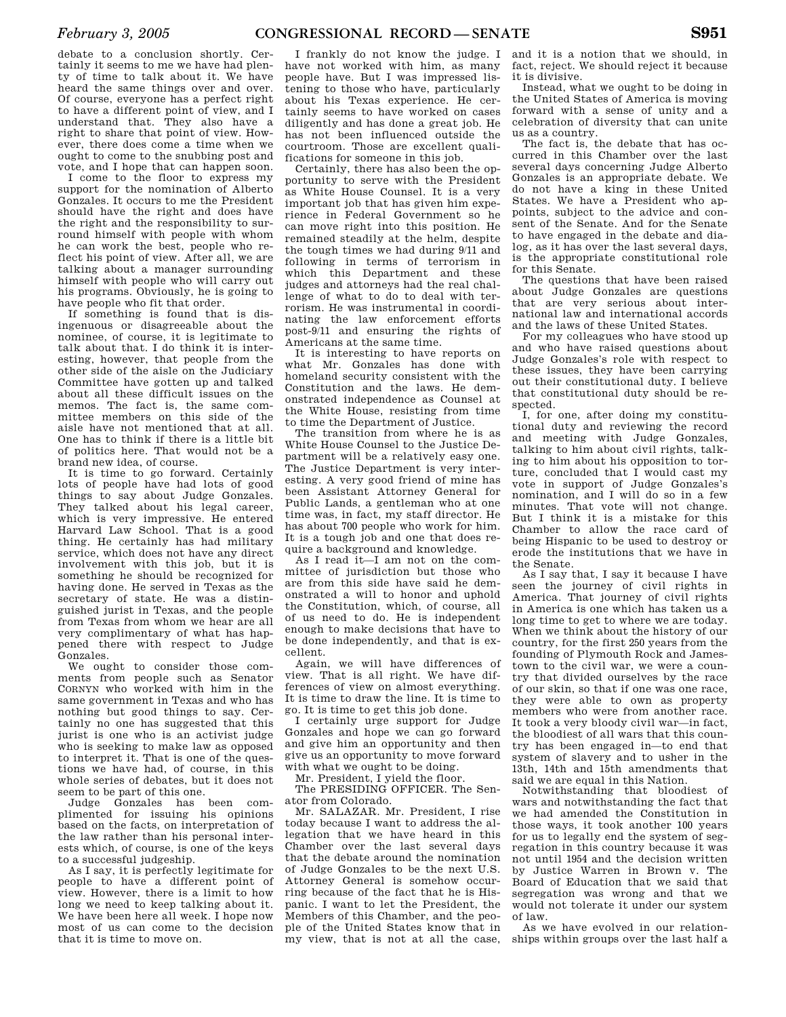debate to a conclusion shortly. Certainly it seems to me we have had plenty of time to talk about it. We have heard the same things over and over. Of course, everyone has a perfect right to have a different point of view, and I understand that. They also have a right to share that point of view. However, there does come a time when we ought to come to the snubbing post and vote, and I hope that can happen soon.

I come to the floor to express my support for the nomination of Alberto Gonzales. It occurs to me the President should have the right and does have the right and the responsibility to surround himself with people with whom he can work the best, people who reflect his point of view. After all, we are talking about a manager surrounding himself with people who will carry out his programs. Obviously, he is going to have people who fit that order.

If something is found that is disingenuous or disagreeable about the nominee, of course, it is legitimate to talk about that. I do think it is interesting, however, that people from the other side of the aisle on the Judiciary Committee have gotten up and talked about all these difficult issues on the memos. The fact is, the same committee members on this side of the aisle have not mentioned that at all. One has to think if there is a little bit of politics here. That would not be a brand new idea, of course.

It is time to go forward. Certainly lots of people have had lots of good things to say about Judge Gonzales. They talked about his legal career, which is very impressive. He entered Harvard Law School. That is a good thing. He certainly has had military service, which does not have any direct involvement with this job, but it is something he should be recognized for having done. He served in Texas as the secretary of state. He was a distinguished jurist in Texas, and the people from Texas from whom we hear are all very complimentary of what has happened there with respect to Judge Gonzales.

We ought to consider those comments from people such as Senator CORNYN who worked with him in the same government in Texas and who has nothing but good things to say. Certainly no one has suggested that this jurist is one who is an activist judge who is seeking to make law as opposed to interpret it. That is one of the questions we have had, of course, in this whole series of debates, but it does not seem to be part of this one.

Judge Gonzales has been complimented for issuing his opinions based on the facts, on interpretation of the law rather than his personal interests which, of course, is one of the keys to a successful judgeship.

As I say, it is perfectly legitimate for people to have a different point of view. However, there is a limit to how long we need to keep talking about it. We have been here all week. I hope now most of us can come to the decision that it is time to move on.

I frankly do not know the judge. I have not worked with him, as many people have. But I was impressed listening to those who have, particularly about his Texas experience. He certainly seems to have worked on cases diligently and has done a great job. He has not been influenced outside the courtroom. Those are excellent qualifications for someone in this job.

Certainly, there has also been the opportunity to serve with the President as White House Counsel. It is a very important job that has given him experience in Federal Government so he can move right into this position. He remained steadily at the helm, despite the tough times we had during 9/11 and following in terms of terrorism in which this Department and these judges and attorneys had the real challenge of what to do to deal with terrorism. He was instrumental in coordinating the law enforcement efforts post-9/11 and ensuring the rights of Americans at the same time.

It is interesting to have reports on what Mr. Gonzales has done with homeland security consistent with the Constitution and the laws. He demonstrated independence as Counsel at the White House, resisting from time to time the Department of Justice.

The transition from where he is as White House Counsel to the Justice Department will be a relatively easy one. The Justice Department is very interesting. A very good friend of mine has been Assistant Attorney General for Public Lands, a gentleman who at one time was, in fact, my staff director. He has about 700 people who work for him. It is a tough job and one that does require a background and knowledge.

As I read it—I am not on the committee of jurisdiction but those who are from this side have said he demonstrated a will to honor and uphold the Constitution, which, of course, all of us need to do. He is independent enough to make decisions that have to be done independently, and that is excellent.

Again, we will have differences of view. That is all right. We have differences of view on almost everything. It is time to draw the line. It is time to go. It is time to get this job done.

I certainly urge support for Judge Gonzales and hope we can go forward and give him an opportunity and then give us an opportunity to move forward with what we ought to be doing.

Mr. President, I yield the floor.

The PRESIDING OFFICER. The Senator from Colorado.

Mr. SALAZAR. Mr. President, I rise today because I want to address the allegation that we have heard in this Chamber over the last several days that the debate around the nomination of Judge Gonzales to be the next U.S. Attorney General is somehow occurring because of the fact that he is Hispanic. I want to let the President, the Members of this Chamber, and the people of the United States know that in my view, that is not at all the case,

and it is a notion that we should, in fact, reject. We should reject it because it is divisive.

Instead, what we ought to be doing in the United States of America is moving forward with a sense of unity and a celebration of diversity that can unite us as a country.

The fact is, the debate that has occurred in this Chamber over the last several days concerning Judge Alberto Gonzales is an appropriate debate. We do not have a king in these United States. We have a President who appoints, subject to the advice and consent of the Senate. And for the Senate to have engaged in the debate and dialog, as it has over the last several days, is the appropriate constitutional role for this Senate.

The questions that have been raised about Judge Gonzales are questions that are very serious about international law and international accords and the laws of these United States.

For my colleagues who have stood up and who have raised questions about Judge Gonzales's role with respect to these issues, they have been carrying out their constitutional duty. I believe that constitutional duty should be respected.

I, for one, after doing my constitutional duty and reviewing the record and meeting with Judge Gonzales, talking to him about civil rights, talking to him about his opposition to torture, concluded that I would cast my vote in support of Judge Gonzales's nomination, and I will do so in a few minutes. That vote will not change. But I think it is a mistake for this Chamber to allow the race card of being Hispanic to be used to destroy or erode the institutions that we have in the Senate.

As I say that, I say it because I have seen the journey of civil rights in America. That journey of civil rights in America is one which has taken us a long time to get to where we are today. When we think about the history of our country, for the first 250 years from the founding of Plymouth Rock and Jamestown to the civil war, we were a country that divided ourselves by the race of our skin, so that if one was one race, they were able to own as property members who were from another race. It took a very bloody civil war—in fact, the bloodiest of all wars that this country has been engaged in—to end that system of slavery and to usher in the 13th, 14th and 15th amendments that said we are equal in this Nation.

Notwithstanding that bloodiest of wars and notwithstanding the fact that we had amended the Constitution in those ways, it took another 100 years for us to legally end the system of segregation in this country because it was not until 1954 and the decision written by Justice Warren in Brown v. The Board of Education that we said that segregation was wrong and that we would not tolerate it under our system of law.

As we have evolved in our relationships within groups over the last half a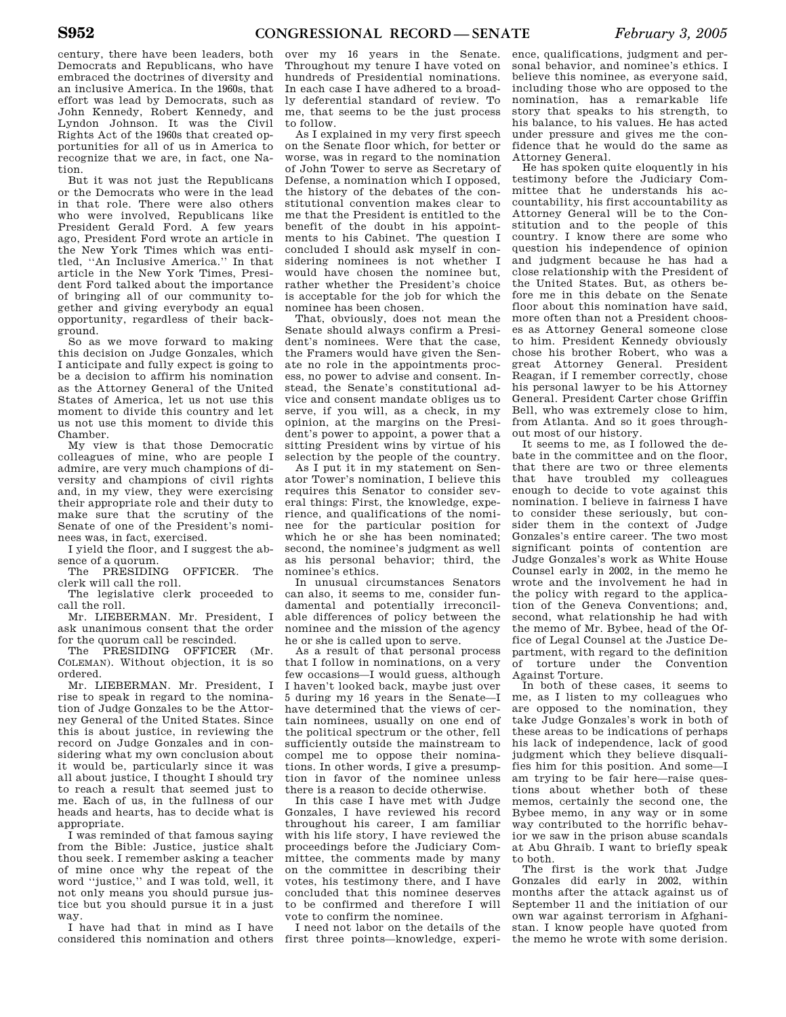century, there have been leaders, both Democrats and Republicans, who have embraced the doctrines of diversity and an inclusive America. In the 1960s, that effort was lead by Democrats, such as John Kennedy, Robert Kennedy, and Lyndon Johnson. It was the Civil Rights Act of the 1960s that created opportunities for all of us in America to recognize that we are, in fact, one Nation.

But it was not just the Republicans or the Democrats who were in the lead in that role. There were also others who were involved, Republicans like President Gerald Ford. A few years ago, President Ford wrote an article in the New York Times which was entitled, ''An Inclusive America.'' In that article in the New York Times, President Ford talked about the importance of bringing all of our community together and giving everybody an equal opportunity, regardless of their background.

So as we move forward to making this decision on Judge Gonzales, which I anticipate and fully expect is going to be a decision to affirm his nomination as the Attorney General of the United States of America, let us not use this moment to divide this country and let us not use this moment to divide this Chamber.

My view is that those Democratic colleagues of mine, who are people I admire, are very much champions of diversity and champions of civil rights and, in my view, they were exercising their appropriate role and their duty to make sure that the scrutiny of the Senate of one of the President's nominees was, in fact, exercised.

I yield the floor, and I suggest the absence of a quorum.

The PRESIDING OFFICER. The clerk will call the roll.

The legislative clerk proceeded to call the roll.

Mr. LIEBERMAN. Mr. President, I ask unanimous consent that the order for the quorum call be rescinded.

The PRESIDING OFFICER (Mr. COLEMAN). Without objection, it is so ordered.

Mr. LIEBERMAN. Mr. President, I rise to speak in regard to the nomination of Judge Gonzales to be the Attorney General of the United States. Since this is about justice, in reviewing the record on Judge Gonzales and in considering what my own conclusion about it would be, particularly since it was all about justice, I thought I should try to reach a result that seemed just to me. Each of us, in the fullness of our heads and hearts, has to decide what is appropriate.

I was reminded of that famous saying from the Bible: Justice, justice shalt thou seek. I remember asking a teacher of mine once why the repeat of the word ''justice,'' and I was told, well, it not only means you should pursue justice but you should pursue it in a just way.

I have had that in mind as I have considered this nomination and others

over my 16 years in the Senate. Throughout my tenure I have voted on hundreds of Presidential nominations. In each case I have adhered to a broadly deferential standard of review. To me, that seems to be the just process to follow.

As I explained in my very first speech on the Senate floor which, for better or worse, was in regard to the nomination of John Tower to serve as Secretary of Defense, a nomination which I opposed. the history of the debates of the constitutional convention makes clear to me that the President is entitled to the benefit of the doubt in his appointments to his Cabinet. The question I concluded I should ask myself in considering nominees is not whether I would have chosen the nominee but, rather whether the President's choice is acceptable for the job for which the nominee has been chosen.

That, obviously, does not mean the Senate should always confirm a President's nominees. Were that the case, the Framers would have given the Senate no role in the appointments process, no power to advise and consent. Instead, the Senate's constitutional advice and consent mandate obliges us to serve, if you will, as a check, in my opinion, at the margins on the President's power to appoint, a power that a sitting President wins by virtue of his selection by the people of the country.

As I put it in my statement on Senator Tower's nomination, I believe this requires this Senator to consider several things: First, the knowledge, experience, and qualifications of the nominee for the particular position for which he or she has been nominated; second, the nominee's judgment as well as his personal behavior; third, the nominee's ethics.

In unusual circumstances Senators can also, it seems to me, consider fundamental and potentially irreconcilable differences of policy between the nominee and the mission of the agency he or she is called upon to serve.

As a result of that personal process that I follow in nominations, on a very few occasions—I would guess, although I haven't looked back, maybe just over 5 during my 16 years in the Senate—I have determined that the views of certain nominees, usually on one end of the political spectrum or the other, fell sufficiently outside the mainstream to compel me to oppose their nominations. In other words, I give a presumption in favor of the nominee unless there is a reason to decide otherwise.

In this case I have met with Judge Gonzales, I have reviewed his record throughout his career, I am familiar with his life story, I have reviewed the proceedings before the Judiciary Committee, the comments made by many on the committee in describing their votes, his testimony there, and I have concluded that this nominee deserves to be confirmed and therefore I will vote to confirm the nominee.

I need not labor on the details of the first three points—knowledge, experi-

ence, qualifications, judgment and personal behavior, and nominee's ethics. I believe this nominee, as everyone said, including those who are opposed to the nomination, has a remarkable life story that speaks to his strength, to his balance, to his values. He has acted under pressure and gives me the confidence that he would do the same as Attorney General.

He has spoken quite eloquently in his testimony before the Judiciary Committee that he understands his accountability, his first accountability as Attorney General will be to the Constitution and to the people of this country. I know there are some who question his independence of opinion and judgment because he has had a close relationship with the President of the United States. But, as others before me in this debate on the Senate floor about this nomination have said, more often than not a President chooses as Attorney General someone close to him. President Kennedy obviously chose his brother Robert, who was a great Attorney General. President Reagan, if I remember correctly, chose his personal lawyer to be his Attorney General. President Carter chose Griffin Bell, who was extremely close to him, from Atlanta. And so it goes throughout most of our history.

It seems to me, as I followed the debate in the committee and on the floor, that there are two or three elements that have troubled my colleagues enough to decide to vote against this nomination. I believe in fairness I have to consider these seriously, but consider them in the context of Judge Gonzales's entire career. The two most significant points of contention are Judge Gonzales's work as White House Counsel early in 2002, in the memo he wrote and the involvement he had in the policy with regard to the application of the Geneva Conventions; and, second, what relationship he had with the memo of Mr. Bybee, head of the Office of Legal Counsel at the Justice Department, with regard to the definition of torture under the Convention Against Torture.

In both of these cases, it seems to me, as I listen to my colleagues who are opposed to the nomination, they take Judge Gonzales's work in both of these areas to be indications of perhaps his lack of independence, lack of good judgment which they believe disqualifies him for this position. And some—I am trying to be fair here—raise questions about whether both of these memos, certainly the second one, the Bybee memo, in any way or in some way contributed to the horrific behavior we saw in the prison abuse scandals at Abu Ghraib. I want to briefly speak to both.

The first is the work that Judge Gonzales did early in 2002, within months after the attack against us of September 11 and the initiation of our own war against terrorism in Afghanistan. I know people have quoted from the memo he wrote with some derision.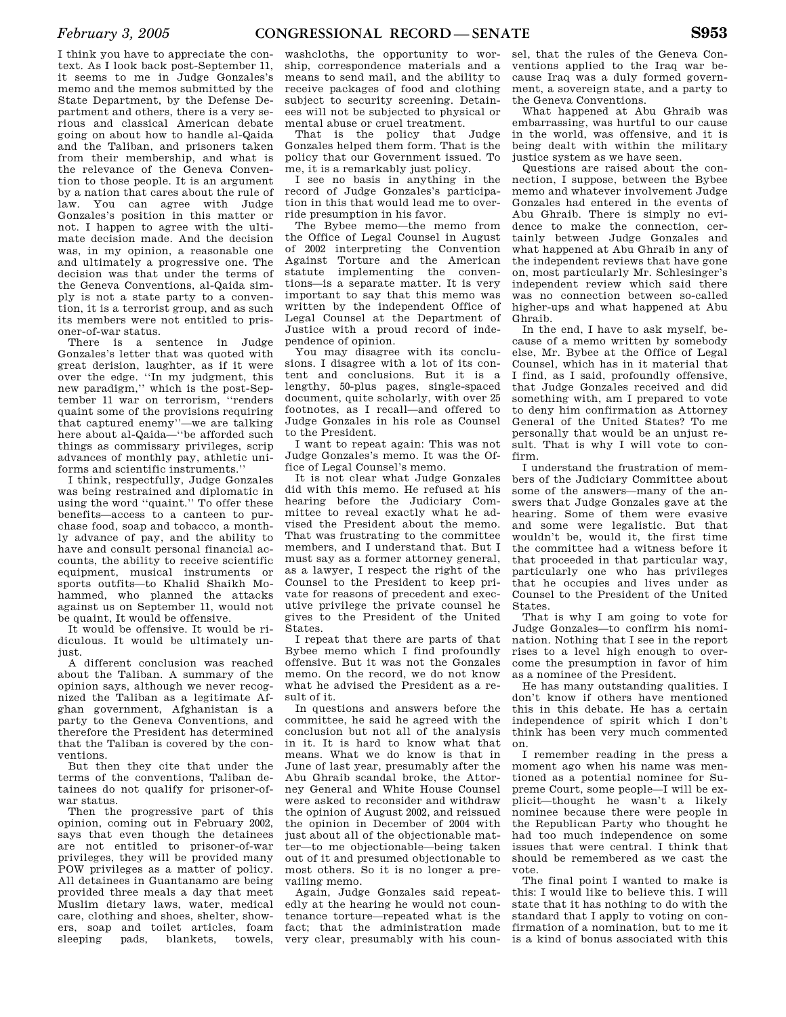I think you have to appreciate the context. As I look back post-September 11, it seems to me in Judge Gonzales's memo and the memos submitted by the State Department, by the Defense Department and others, there is a very serious and classical American debate going on about how to handle al-Qaida and the Taliban, and prisoners taken from their membership, and what is the relevance of the Geneva Convention to those people. It is an argument by a nation that cares about the rule of law. You can agree with Judge Gonzales's position in this matter or not. I happen to agree with the ultimate decision made. And the decision was, in my opinion, a reasonable one and ultimately a progressive one. The decision was that under the terms of the Geneva Conventions, al-Qaida simply is not a state party to a convention, it is a terrorist group, and as such its members were not entitled to prisoner-of-war status.

There is a sentence in Judge Gonzales's letter that was quoted with great derision, laughter, as if it were over the edge. ''In my judgment, this new paradigm,'' which is the post-September 11 war on terrorism, ''renders quaint some of the provisions requiring that captured enemy''—we are talking here about al-Qaida—''be afforded such things as commissary privileges, scrip advances of monthly pay, athletic uniforms and scientific instruments.''

I think, respectfully, Judge Gonzales was being restrained and diplomatic in using the word ''quaint.'' To offer these benefits—access to a canteen to purchase food, soap and tobacco, a monthly advance of pay, and the ability to have and consult personal financial accounts, the ability to receive scientific equipment, musical instruments or sports outfits—to Khalid Shaikh Mohammed, who planned the attacks against us on September 11, would not be quaint, It would be offensive.

It would be offensive. It would be ridiculous. It would be ultimately unjust.

A different conclusion was reached about the Taliban. A summary of the opinion says, although we never recognized the Taliban as a legitimate Afghan government, Afghanistan is a party to the Geneva Conventions, and therefore the President has determined that the Taliban is covered by the conventions.

But then they cite that under the terms of the conventions, Taliban detainees do not qualify for prisoner-ofwar status.

Then the progressive part of this opinion, coming out in February 2002, says that even though the detainees are not entitled to prisoner-of-war privileges, they will be provided many POW privileges as a matter of policy. All detainees in Guantanamo are being provided three meals a day that meet Muslim dietary laws, water, medical care, clothing and shoes, shelter, showers, soap and toilet articles, foam sleeping pads, blankets, towels,

washcloths, the opportunity to worship, correspondence materials and a means to send mail, and the ability to receive packages of food and clothing subject to security screening. Detainees will not be subjected to physical or mental abuse or cruel treatment.

That is the policy that Judge Gonzales helped them form. That is the policy that our Government issued. To me, it is a remarkably just policy.

I see no basis in anything in the record of Judge Gonzales's participation in this that would lead me to override presumption in his favor.

The Bybee memo—the memo from the Office of Legal Counsel in August of 2002 interpreting the Convention Against Torture and the American statute implementing the conventions—is a separate matter. It is very important to say that this memo was written by the independent Office of Legal Counsel at the Department of Justice with a proud record of independence of opinion.

You may disagree with its conclusions. I disagree with a lot of its content and conclusions. But it is a lengthy, 50-plus pages, single-spaced document, quite scholarly, with over 25 footnotes, as I recall—and offered to Judge Gonzales in his role as Counsel to the President.

I want to repeat again: This was not Judge Gonzales's memo. It was the Office of Legal Counsel's memo.

It is not clear what Judge Gonzales did with this memo. He refused at his hearing before the Judiciary Committee to reveal exactly what he advised the President about the memo. That was frustrating to the committee members, and I understand that. But I must say as a former attorney general, as a lawyer, I respect the right of the Counsel to the President to keep private for reasons of precedent and executive privilege the private counsel he gives to the President of the United States.

I repeat that there are parts of that Bybee memo which I find profoundly offensive. But it was not the Gonzales memo. On the record, we do not know what he advised the President as a result of it.

In questions and answers before the committee, he said he agreed with the conclusion but not all of the analysis in it. It is hard to know what that means. What we do know is that in June of last year, presumably after the Abu Ghraib scandal broke, the Attorney General and White House Counsel were asked to reconsider and withdraw the opinion of August 2002, and reissued the opinion in December of 2004 with just about all of the objectionable matter—to me objectionable—being taken out of it and presumed objectionable to most others. So it is no longer a prevailing memo.

Again, Judge Gonzales said repeatedly at the hearing he would not countenance torture—repeated what is the fact; that the administration made very clear, presumably with his coun-

sel, that the rules of the Geneva Conventions applied to the Iraq war because Iraq was a duly formed government, a sovereign state, and a party to the Geneva Conventions.

What happened at Abu Ghraib was embarrassing, was hurtful to our cause in the world, was offensive, and it is being dealt with within the military justice system as we have seen.

Questions are raised about the connection, I suppose, between the Bybee memo and whatever involvement Judge Gonzales had entered in the events of Abu Ghraib. There is simply no evidence to make the connection, certainly between Judge Gonzales and what happened at Abu Ghraib in any of the independent reviews that have gone on, most particularly Mr. Schlesinger's independent review which said there was no connection between so-called higher-ups and what happened at Abu Ghraib.

In the end, I have to ask myself, because of a memo written by somebody else, Mr. Bybee at the Office of Legal Counsel, which has in it material that I find, as I said, profoundly offensive, that Judge Gonzales received and did something with, am I prepared to vote to deny him confirmation as Attorney General of the United States? To me personally that would be an unjust result. That is why I will vote to confirm.

I understand the frustration of members of the Judiciary Committee about some of the answers—many of the answers that Judge Gonzales gave at the hearing. Some of them were evasive and some were legalistic. But that wouldn't be, would it, the first time the committee had a witness before it that proceeded in that particular way, particularly one who has privileges that he occupies and lives under as Counsel to the President of the United States.

That is why I am going to vote for Judge Gonzales—to confirm his nomination. Nothing that I see in the report rises to a level high enough to overcome the presumption in favor of him as a nominee of the President.

He has many outstanding qualities. I don't know if others have mentioned this in this debate. He has a certain independence of spirit which I don't think has been very much commented on.

I remember reading in the press a moment ago when his name was mentioned as a potential nominee for Supreme Court, some people—I will be explicit—thought he wasn't a likely nominee because there were people in the Republican Party who thought he had too much independence on some issues that were central. I think that should be remembered as we cast the vote.

The final point I wanted to make is this: I would like to believe this. I will state that it has nothing to do with the standard that I apply to voting on confirmation of a nomination, but to me it is a kind of bonus associated with this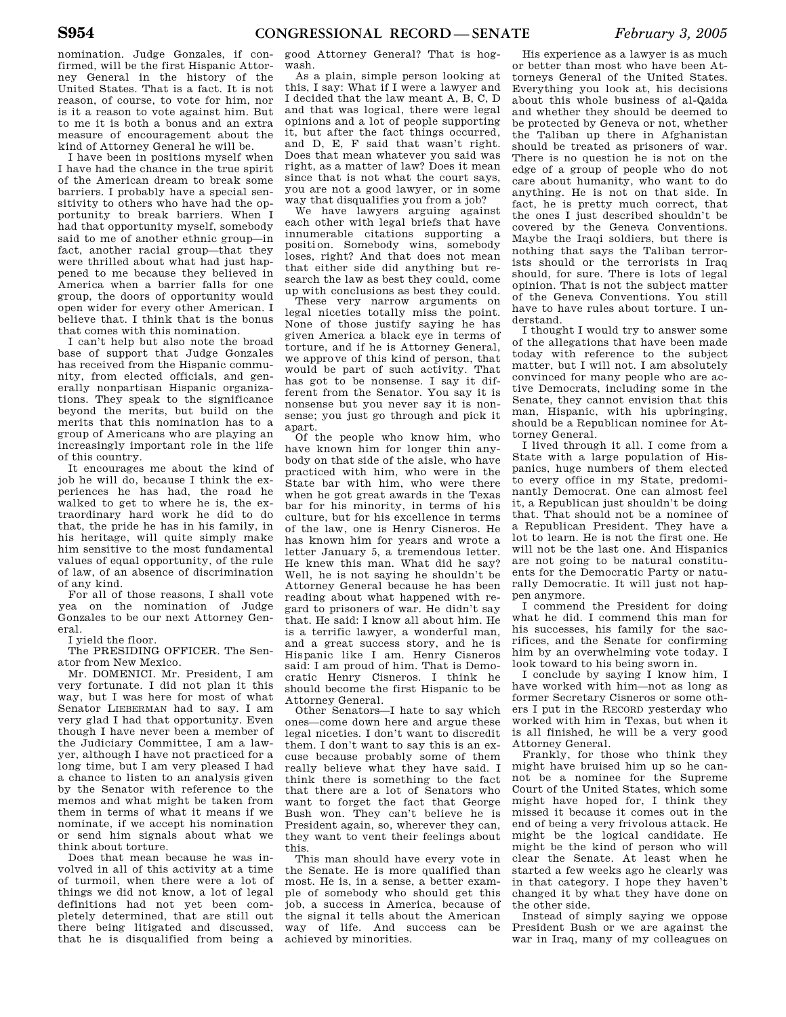nomination. Judge Gonzales, if confirmed, will be the first Hispanic Attorney General in the history of the United States. That is a fact. It is not reason, of course, to vote for him, nor is it a reason to vote against him. But to me it is both a bonus and an extra measure of encouragement about the kind of Attorney General he will be.

I have been in positions myself when I have had the chance in the true spirit of the American dream to break some barriers. I probably have a special sensitivity to others who have had the opportunity to break barriers. When I had that opportunity myself, somebody said to me of another ethnic group—in fact, another racial group—that they were thrilled about what had just happened to me because they believed in America when a barrier falls for one group, the doors of opportunity would open wider for every other American. I believe that. I think that is the bonus that comes with this nomination.

I can't help but also note the broad base of support that Judge Gonzales has received from the Hispanic community, from elected officials, and generally nonpartisan Hispanic organizations. They speak to the significance beyond the merits, but build on the merits that this nomination has to a group of Americans who are playing an increasingly important role in the life of this country.

It encourages me about the kind of job he will do, because I think the experiences he has had, the road he walked to get to where he is, the extraordinary hard work he did to do that, the pride he has in his family, in his heritage, will quite simply make him sensitive to the most fundamental values of equal opportunity, of the rule of law, of an absence of discrimination of any kind.

For all of those reasons, I shall vote yea on the nomination of Judge Gonzales to be our next Attorney General.

I yield the floor.

The PRESIDING OFFICER. The Senator from New Mexico.

Mr. DOMENICI. Mr. President, I am very fortunate. I did not plan it this way, but I was here for most of what Senator LIEBERMAN had to say. I am very glad I had that opportunity. Even though I have never been a member of the Judiciary Committee, I am a lawyer, although I have not practiced for a long time, but I am very pleased I had a chance to listen to an analysis given by the Senator with reference to the memos and what might be taken from them in terms of what it means if we nominate, if we accept his nomination or send him signals about what we think about torture.

Does that mean because he was involved in all of this activity at a time of turmoil, when there were a lot of things we did not know, a lot of legal definitions had not yet been completely determined, that are still out there being litigated and discussed, that he is disqualified from being a

good Attorney General? That is hogwash.

As a plain, simple person looking at this, I say: What if I were a lawyer and I decided that the law meant A, B, C, D and that was logical, there were legal opinions and a lot of people supporting it, but after the fact things occurred, and D, E, F said that wasn't right. Does that mean whatever you said was right, as a matter of law? Does it mean since that is not what the court says, you are not a good lawyer, or in some way that disqualifies you from a job?

We have lawyers arguing against each other with legal briefs that have innumerable citations supporting a position. Somebody wins, somebody loses, right? And that does not mean that either side did anything but research the law as best they could, come up with conclusions as best they could.

These very narrow arguments on legal niceties totally miss the point. None of those justify saying he has given America a black eye in terms of torture, and if he is Attorney General, we approve of this kind of person, that would be part of such activity. That has got to be nonsense. I say it different from the Senator. You say it is nonsense but you never say it is nonsense; you just go through and pick it apart.

Of the people who know him, who have known him for longer thin anybody on that side of the aisle, who have practiced with him, who were in the State bar with him, who were there when he got great awards in the Texas bar for his minority, in terms of his culture, but for his excellence in terms of the law, one is Henry Cisneros. He has known him for years and wrote a letter January 5, a tremendous letter. He knew this man. What did he say? Well, he is not saying he shouldn't be Attorney General because he has been reading about what happened with regard to prisoners of war. He didn't say that. He said: I know all about him. He is a terrific lawyer, a wonderful man, and a great success story, and he is Hispanic like I am. Henry Cisneros said: I am proud of him. That is Democratic Henry Cisneros. I think he should become the first Hispanic to be Attorney General.

Other Senators—I hate to say which ones—come down here and argue these legal niceties. I don't want to discredit them. I don't want to say this is an excuse because probably some of them really believe what they have said. I think there is something to the fact that there are a lot of Senators who want to forget the fact that George Bush won. They can't believe he is President again, so, wherever they can, they want to vent their feelings about this.

This man should have every vote in the Senate. He is more qualified than most. He is, in a sense, a better example of somebody who should get this job, a success in America, because of the signal it tells about the American way of life. And success can be achieved by minorities.

His experience as a lawyer is as much or better than most who have been Attorneys General of the United States. Everything you look at, his decisions about this whole business of al-Qaida and whether they should be deemed to be protected by Geneva or not, whether the Taliban up there in Afghanistan should be treated as prisoners of war. There is no question he is not on the edge of a group of people who do not care about humanity, who want to do anything. He is not on that side. In fact, he is pretty much correct, that the ones I just described shouldn't be covered by the Geneva Conventions. Maybe the Iraqi soldiers, but there is nothing that says the Taliban terrorists should or the terrorists in Iraq should, for sure. There is lots of legal opinion. That is not the subject matter of the Geneva Conventions. You still have to have rules about torture. I understand.

I thought I would try to answer some of the allegations that have been made today with reference to the subject matter, but I will not. I am absolutely convinced for many people who are active Democrats, including some in the Senate, they cannot envision that this man, Hispanic, with his upbringing, should be a Republican nominee for Attorney General.

I lived through it all. I come from a State with a large population of Hispanics, huge numbers of them elected to every office in my State, predominantly Democrat. One can almost feel it, a Republican just shouldn't be doing that. That should not be a nominee of a Republican President. They have a lot to learn. He is not the first one. He will not be the last one. And Hispanics are not going to be natural constituents for the Democratic Party or naturally Democratic. It will just not happen anymore.

I commend the President for doing what he did. I commend this man for his successes, his family for the sacrifices, and the Senate for confirming him by an overwhelming vote today. I look toward to his being sworn in.

I conclude by saying I know him, I have worked with him—not as long as former Secretary Cisneros or some others I put in the RECORD yesterday who worked with him in Texas, but when it is all finished, he will be a very good Attorney General.

Frankly, for those who think they might have bruised him up so he cannot be a nominee for the Supreme Court of the United States, which some might have hoped for, I think they missed it because it comes out in the end of being a very frivolous attack. He might be the logical candidate. He might be the kind of person who will clear the Senate. At least when he started a few weeks ago he clearly was in that category. I hope they haven't changed it by what they have done on the other side.

Instead of simply saying we oppose President Bush or we are against the war in Iraq, many of my colleagues on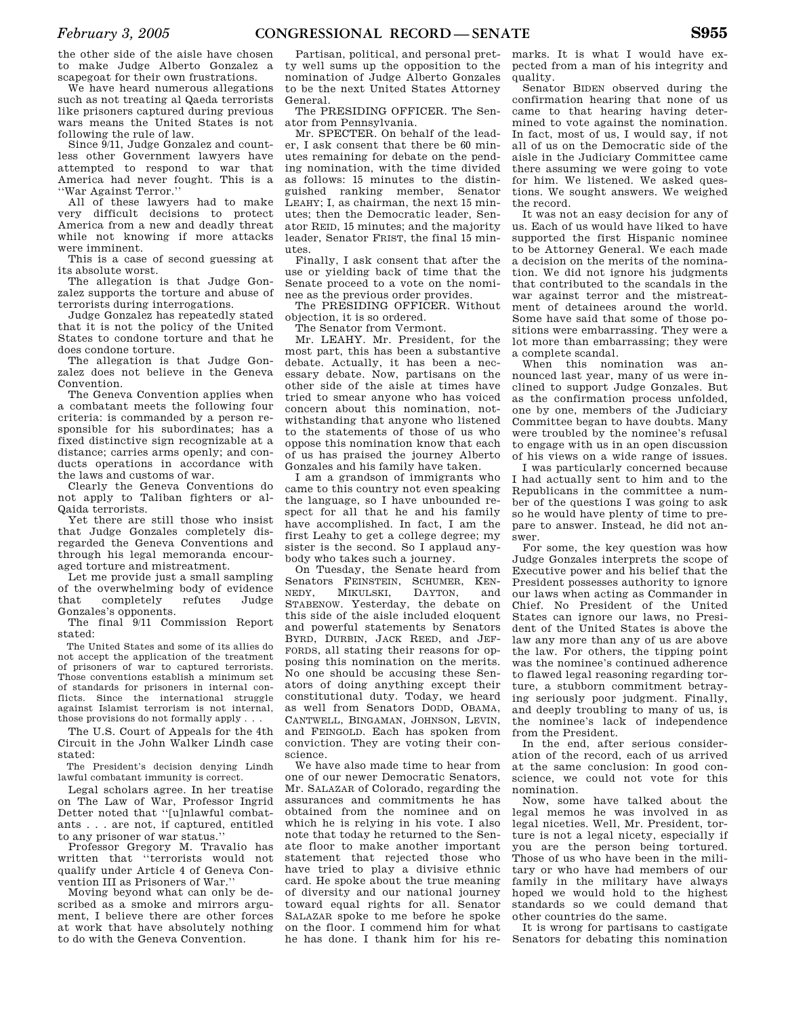the other side of the aisle have chosen to make Judge Alberto Gonzalez a scapegoat for their own frustrations.

We have heard numerous allegations such as not treating al Qaeda terrorists like prisoners captured during previous wars means the United States is not following the rule of law.

Since 9/11, Judge Gonzalez and countless other Government lawyers have attempted to respond to war that America had never fought. This is a ''War Against Terror.''

All of these lawyers had to make very difficult decisions to protect America from a new and deadly threat while not knowing if more attacks were imminent.

This is a case of second guessing at its absolute worst.

The allegation is that Judge Gonzalez supports the torture and abuse of terrorists during interrogations.

Judge Gonzalez has repeatedly stated that it is not the policy of the United States to condone torture and that he does condone torture.

The allegation is that Judge Gonzalez does not believe in the Geneva Convention.

The Geneva Convention applies when a combatant meets the following four criteria: is commanded by a person responsible for his subordinates; has a fixed distinctive sign recognizable at a distance; carries arms openly; and conducts operations in accordance with the laws and customs of war.

Clearly the Geneva Conventions do not apply to Taliban fighters or al-Qaida terrorists.

Yet there are still those who insist that Judge Gonzales completely disregarded the Geneva Conventions and through his legal memoranda encouraged torture and mistreatment.

Let me provide just a small sampling of the overwhelming body of evidence<br>that completely refutes Judge that completely refutes Gonzales's opponents.

The final 9/11 Commission Report stated:

The United States and some of its allies do not accept the application of the treatment of prisoners of war to captured terrorists. Those conventions establish a minimum set of standards for prisoners in internal conflicts. Since the international struggle against Islamist terrorism is not internal, those provisions do not formally apply . . .

The U.S. Court of Appeals for the 4th Circuit in the John Walker Lindh case stated:

The President's decision denying Lindh lawful combatant immunity is correct.

Legal scholars agree. In her treatise on The Law of War, Professor Ingrid Detter noted that ''[u]nlawful combatants . . . are not, if captured, entitled to any prisoner of war status.''

Professor Gregory M. Travalio has written that ''terrorists would not qualify under Article 4 of Geneva Convention III as Prisoners of War.''

Moving beyond what can only be described as a smoke and mirrors argument, I believe there are other forces at work that have absolutely nothing to do with the Geneva Convention.

Partisan, political, and personal pretty well sums up the opposition to the nomination of Judge Alberto Gonzales to be the next United States Attorney General.

The PRESIDING OFFICER. The Senator from Pennsylvania.

Mr. SPECTER. On behalf of the leader, I ask consent that there be 60 minutes remaining for debate on the pending nomination, with the time divided as follows: 15 minutes to the distinguished ranking member, Senator LEAHY; I, as chairman, the next 15 minutes; then the Democratic leader, Senator REID, 15 minutes; and the majority leader, Senator FRIST, the final 15 minutes.

Finally, I ask consent that after the use or yielding back of time that the Senate proceed to a vote on the nominee as the previous order provides.

The PRESIDING OFFICER. Without objection, it is so ordered.

The Senator from Vermont.

Mr. LEAHY. Mr. President, for the most part, this has been a substantive debate. Actually, it has been a necessary debate. Now, partisans on the other side of the aisle at times have tried to smear anyone who has voiced concern about this nomination, notwithstanding that anyone who listened to the statements of those of us who oppose this nomination know that each of us has praised the journey Alberto Gonzales and his family have taken.

I am a grandson of immigrants who came to this country not even speaking the language, so I have unbounded respect for all that he and his family have accomplished. In fact, I am the first Leahy to get a college degree; my sister is the second. So I applaud anybody who takes such a journey.

On Tuesday, the Senate heard from Senators FEINSTEIN, SCHUMER, KENNEDY, MIKULSKI, DAYTON, and NEDY, MIKULSKI, DAYTON, and STABENOW. Yesterday, the debate on this side of the aisle included eloquent and powerful statements by Senators BYRD, DURBIN, JACK REED, and JEF-FORDS, all stating their reasons for opposing this nomination on the merits. No one should be accusing these Senators of doing anything except their constitutional duty. Today, we heard as well from Senators DODD, OBAMA, CANTWELL, BINGAMAN, JOHNSON, LEVIN, and FEINGOLD. Each has spoken from conviction. They are voting their conscience.

We have also made time to hear from one of our newer Democratic Senators, Mr. SALAZAR of Colorado, regarding the assurances and commitments he has obtained from the nominee and on which he is relying in his vote. I also note that today he returned to the Senate floor to make another important statement that rejected those who have tried to play a divisive ethnic card. He spoke about the true meaning of diversity and our national journey toward equal rights for all. Senator SALAZAR spoke to me before he spoke on the floor. I commend him for what he has done. I thank him for his re-

marks. It is what I would have expected from a man of his integrity and quality.

Senator BIDEN observed during the confirmation hearing that none of us came to that hearing having determined to vote against the nomination. In fact, most of us, I would say, if not all of us on the Democratic side of the aisle in the Judiciary Committee came there assuming we were going to vote for him. We listened. We asked questions. We sought answers. We weighed the record.

It was not an easy decision for any of us. Each of us would have liked to have supported the first Hispanic nominee to be Attorney General. We each made a decision on the merits of the nomination. We did not ignore his judgments that contributed to the scandals in the war against terror and the mistreatment of detainees around the world. Some have said that some of those positions were embarrassing. They were a lot more than embarrassing; they were a complete scandal.

When this nomination was announced last year, many of us were inclined to support Judge Gonzales. But as the confirmation process unfolded, one by one, members of the Judiciary Committee began to have doubts. Many were troubled by the nominee's refusal to engage with us in an open discussion of his views on a wide range of issues.

I was particularly concerned because I had actually sent to him and to the Republicans in the committee a number of the questions I was going to ask so he would have plenty of time to prepare to answer. Instead, he did not answer.

For some, the key question was how Judge Gonzales interprets the scope of Executive power and his belief that the President possesses authority to ignore our laws when acting as Commander in Chief. No President of the United States can ignore our laws, no President of the United States is above the law any more than any of us are above the law. For others, the tipping point was the nominee's continued adherence to flawed legal reasoning regarding torture, a stubborn commitment betraying seriously poor judgment. Finally, and deeply troubling to many of us, is the nominee's lack of independence from the President.

In the end, after serious consideration of the record, each of us arrived at the same conclusion: In good conscience, we could not vote for this nomination.

Now, some have talked about the legal memos he was involved in as legal niceties. Well, Mr. President, torture is not a legal nicety, especially if you are the person being tortured. Those of us who have been in the military or who have had members of our family in the military have always hoped we would hold to the highest standards so we could demand that other countries do the same.

It is wrong for partisans to castigate Senators for debating this nomination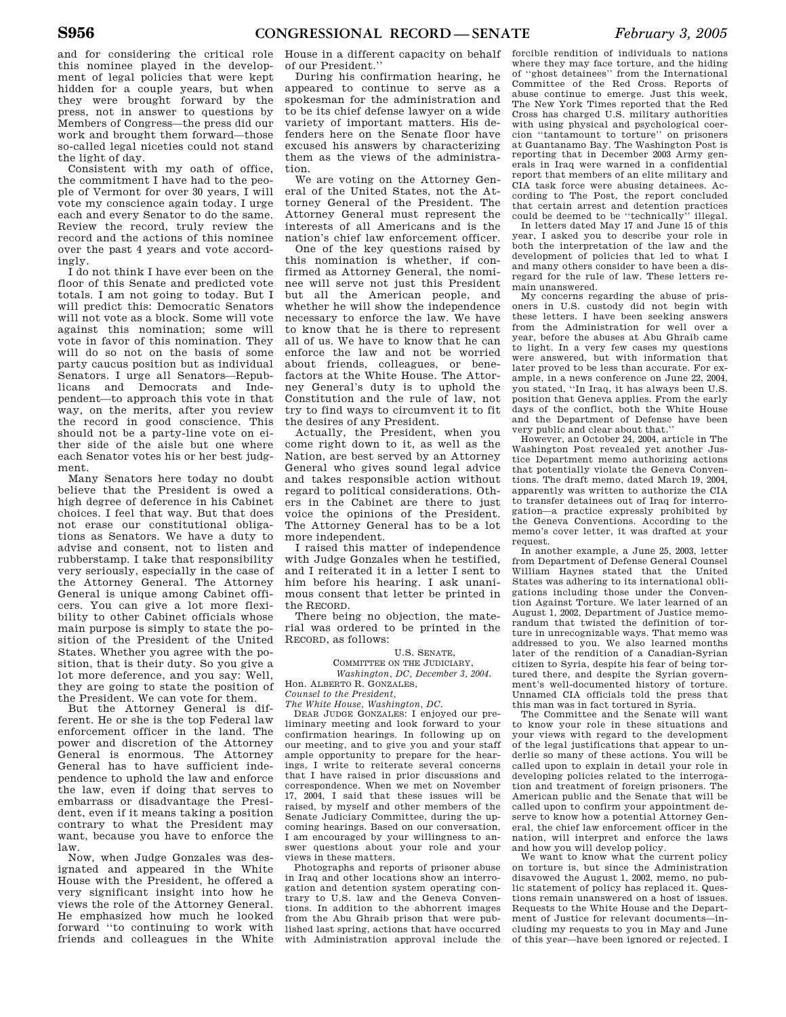and for considering the critical role this nominee played in the development of legal policies that were kept hidden for a couple years, but when they were brought forward by the press, not in answer to questions by Members of Congress—the press did our work and brought them forward—those so-called legal niceties could not stand the light of day.

Consistent with my oath of office, the commitment I have had to the people of Vermont for over 30 years, I will vote my conscience again today. I urge each and every Senator to do the same. Review the record, truly review the record and the actions of this nominee over the past 4 years and vote accordingly.

I do not think I have ever been on the floor of this Senate and predicted vote totals. I am not going to today. But I will predict this: Democratic Senators will not vote as a block. Some will vote against this nomination; some will vote in favor of this nomination. They will do so not on the basis of some party caucus position but as individual Senators. I urge all Senators—Republicans and Democrats and Independent—to approach this vote in that way, on the merits, after you review the record in good conscience. This should not be a party-line vote on either side of the aisle but one where each Senator votes his or her best judgment.

Many Senators here today no doubt believe that the President is owed a high degree of deference in his Cabinet choices. I feel that way. But that does not erase our constitutional obligations as Senators. We have a duty to advise and consent, not to listen and rubberstamp. I take that responsibility very seriously, especially in the case of the Attorney General. The Attorney General is unique among Cabinet officers. You can give a lot more flexibility to other Cabinet officials whose main purpose is simply to state the position of the President of the United States. Whether you agree with the position, that is their duty. So you give a lot more deference, and you say: Well, they are going to state the position of the President. We can vote for them.

But the Attorney General is different. He or she is the top Federal law enforcement officer in the land. The power and discretion of the Attorney General is enormous. The Attorney General has to have sufficient independence to uphold the law and enforce the law, even if doing that serves to embarrass or disadvantage the President, even if it means taking a position contrary to what the President may want, because you have to enforce the law.

Now, when Judge Gonzales was designated and appeared in the White House with the President, he offered a very significant insight into how he views the role of the Attorney General. He emphasized how much he looked forward ''to continuing to work with friends and colleagues in the White

House in a different capacity on behalf of our President.''

During his confirmation hearing, he appeared to continue to serve as a spokesman for the administration and to be its chief defense lawyer on a wide variety of important matters. His defenders here on the Senate floor have excused his answers by characterizing them as the views of the administration.

We are voting on the Attorney General of the United States, not the Attorney General of the President. The Attorney General must represent the interests of all Americans and is the nation's chief law enforcement officer.

One of the key questions raised by this nomination is whether, if confirmed as Attorney General, the nominee will serve not just this President but all the American people, and whether he will show the independence necessary to enforce the law. We have to know that he is there to represent all of us. We have to know that he can enforce the law and not be worried about friends, colleagues, or benefactors at the White House. The Attorney General's duty is to uphold the Constitution and the rule of law, not try to find ways to circumvent it to fit the desires of any President.

Actually, the President, when you come right down to it, as well as the Nation, are best served by an Attorney General who gives sound legal advice and takes responsible action without regard to political considerations. Others in the Cabinet are there to just voice the opinions of the President. The Attorney General has to be a lot more independent.

I raised this matter of independence with Judge Gonzales when he testified, and I reiterated it in a letter I sent to him before his hearing. I ask unanimous consent that letter be printed in the RECORD.

There being no objection, the material was ordered to be printed in the RECORD, as follows:

### U.S. SENATE,

COMMITTEE ON THE JUDICIARY, *Washington, DC, December 3, 2004.* 

Hon. ALBERTO R. GONZALES,

*Counsel to the President,* 

*The White House, Washington, DC.*  DEAR JUDGE GONZALES: I enjoyed our preliminary meeting and look forward to your confirmation hearings. In following up on our meeting, and to give you and your staff ample opportunity to prepare for the hearings, I write to reiterate several concerns that I have raised in prior discussions and correspondence. When we met on November 17, 2004, I said that these issues will be raised, by myself and other members of the Senate Judiciary Committee, during the upcoming hearings. Based on our conversation, I am encouraged by your willingness to an-

swer questions about your role and your views in these matters. Photographs and reports of prisoner abuse in Iraq and other locations show an interrogation and detention system operating contrary to U.S. law and the Geneva Conventions. In addition to the abhorrent images from the Abu Ghraib prison that were published last spring, actions that have occurred

with Administration approval include the

forcible rendition of individuals to nations where they may face torture, and the hiding of ''ghost detainees'' from the International Committee of the Red Cross. Reports of abuse continue to emerge. Just this week, The New York Times reported that the Red Cross has charged U.S. military authorities with using physical and psychological coercion ''tantamount to torture'' on prisoners at Guantanamo Bay. The Washington Post is reporting that in December 2003 Army generals in Iraq were warned in a confidential report that members of an elite military and CIA task force were abusing detainees. According to The Post, the report concluded that certain arrest and detention practices

could be deemed to be ''technically'' illegal. In letters dated May 17 and June 15 of this year, I asked you to describe your role in both the interpretation of the law and the development of policies that led to what I and many others consider to have been a disregard for the rule of law. These letters remain unanswered.

My concerns regarding the abuse of prisoners in U.S. custody did not begin with these letters. I have been seeking answers from the Administration for well over a year, before the abuses at Abu Ghraib came to light. In a very few cases my questions were answered, but with information that later proved to be less than accurate. For example, in a news conference on June 22, 2004, you stated, ''In Iraq, it has always been U.S. position that Geneva applies. From the early days of the conflict, both the White House and the Department of Defense have been very public and clear about that.''

However, an October 24, 2004, article in The Washington Post revealed yet another Justice Department memo authorizing actions that potentially violate the Geneva Conventions. The draft memo, dated March 19, 2004, apparently was written to authorize the CIA to transfer detainees out of Iraq for interrogation—a practice expressly prohibited by the Geneva Conventions. According to the memo's cover letter, it was drafted at your request.

In another example, a June 25, 2003, letter from Department of Defense General Counsel William Haynes stated that the United States was adhering to its international obligations including those under the Convention Against Torture. We later learned of an August 1, 2002, Department of Justice memorandum that twisted the definition of torture in unrecognizable ways. That memo was addressed to you. We also learned months later of the rendition of a Canadian-Syrian citizen to Syria, despite his fear of being tortured there, and despite the Syrian government's well-documented history of torture. Unnamed CIA officials told the press that this man was in fact tortured in Syria.

The Committee and the Senate will want to know your role in these situations and your views with regard to the development of the legal justifications that appear to underlie so many of these actions. You will be called upon to explain in detail your role in developing policies related to the interrogation and treatment of foreign prisoners. The American public and the Senate that will be called upon to confirm your appointment deserve to know how a potential Attorney General, the chief law enforcement officer in the nation, will interpret and enforce the laws and how you will develop policy.

We want to know what the current policy on torture is, but since the Administration disavowed the August 1, 2002, memo, no public statement of policy has replaced it. Questions remain unanswered on a host of issues. Requests to the White House and the Department of Justice for relevant documents—including my requests to you in May and June of this year—have been ignored or rejected. I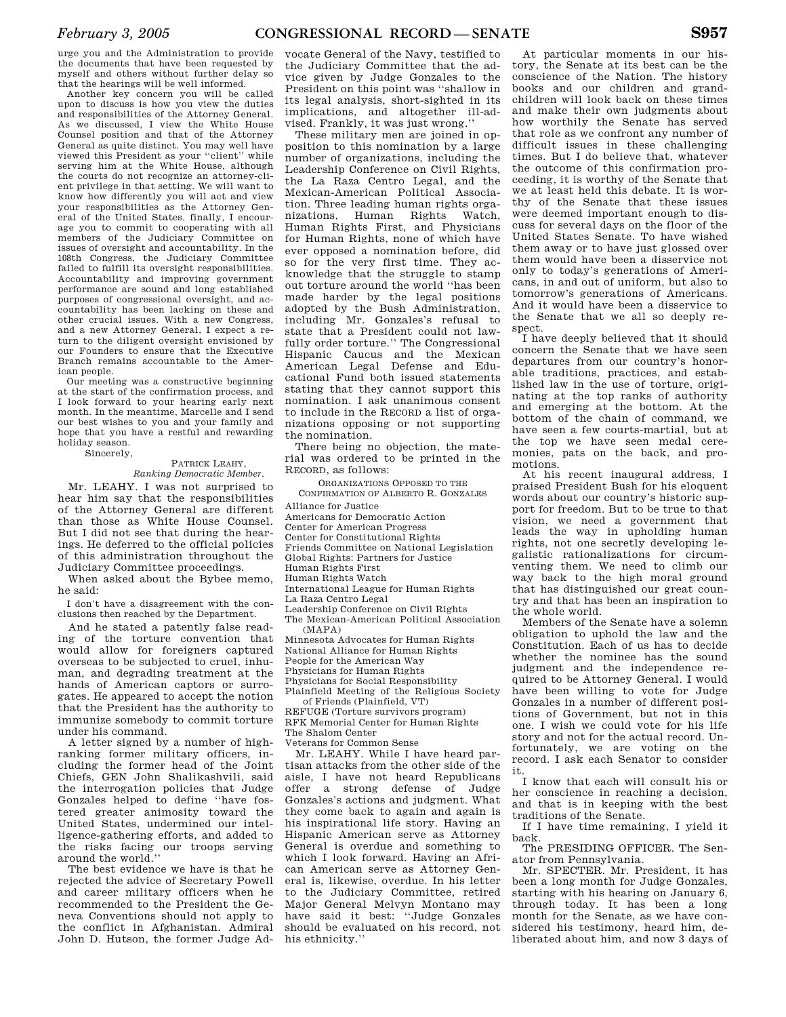Another key concern you will be called upon to discuss is how you view the duties and responsibilities of the Attorney General. As we discussed, I view the White House Counsel position and that of the Attorney General as quite distinct. You may well have viewed this President as your ''client'' while serving him at the White House, although the courts do not recognize an attorney-client privilege in that setting. We will want to know how differently you will act and view your responsibilities as the Attorney General of the United States. finally, I encourage you to commit to cooperating with all members of the Judiciary Committee on issues of oversight and accountability. In the 108th Congress, the Judiciary Committee failed to fulfill its oversight responsibilities. Accountability and improving government performance are sound and long established purposes of congressional oversight, and accountability has been lacking on these and other crucial issues. With a new Congress, and a new Attorney General, I expect a return to the diligent oversight envisioned by our Founders to ensure that the Executive Branch remains accountable to the American people.

Our meeting was a constructive beginning at the start of the confirmation process, and I look forward to your hearing early next month. In the meantime, Marcelle and I send our best wishes to you and your family and hope that you have a restful and rewarding holiday season.

Sincerely,

#### PATRICK LEAHY, *Ranking Democratic Member.*

Mr. LEAHY. I was not surprised to hear him say that the responsibilities of the Attorney General are different than those as White House Counsel. But I did not see that during the hearings. He deferred to the official policies of this administration throughout the Judiciary Committee proceedings.

When asked about the Bybee memo, he said:

I don't have a disagreement with the conclusions then reached by the Department.

And he stated a patently false reading of the torture convention that would allow for foreigners captured overseas to be subjected to cruel, inhuman, and degrading treatment at the hands of American captors or surrogates. He appeared to accept the notion that the President has the authority to immunize somebody to commit torture under his command.

A letter signed by a number of highranking former military officers, including the former head of the Joint Chiefs, GEN John Shalikashvili, said the interrogation policies that Judge Gonzales helped to define ''have fostered greater animosity toward the United States, undermined our intelligence-gathering efforts, and added to the risks facing our troops serving around the world.''

The best evidence we have is that he rejected the advice of Secretary Powell and career military officers when he recommended to the President the Geneva Conventions should not apply to the conflict in Afghanistan. Admiral John D. Hutson, the former Judge Ad-

vocate General of the Navy, testified to the Judiciary Committee that the advice given by Judge Gonzales to the President on this point was ''shallow in its legal analysis, short-sighted in its implications, and altogether ill-advised. Frankly, it was just wrong.''

These military men are joined in opposition to this nomination by a large number of organizations, including the Leadership Conference on Civil Rights, the La Raza Centro Legal, and the Mexican-American Political Association. Three leading human rights organizations, Human Rights Watch, Human Rights First, and Physicians for Human Rights, none of which have ever opposed a nomination before, did so for the very first time. They acknowledge that the struggle to stamp out torture around the world ''has been made harder by the legal positions adopted by the Bush Administration, including Mr. Gonzales's refusal to state that a President could not lawfully order torture.'' The Congressional Hispanic Caucus and the Mexican American Legal Defense and Educational Fund both issued statements stating that they cannot support this nomination. I ask unanimous consent to include in the RECORD a list of organizations opposing or not supporting the nomination.

There being no objection, the material was ordered to be printed in the RECORD, as follows:

ORGANIZATIONS OPPOSED TO THE

CONFIRMATION OF ALBERTO R. GONZALES Alliance for Justice Americans for Democratic Action Center for American Progress Center for Constitutional Rights Friends Committee on National Legislation Global Rights: Partners for Justice Human Rights First Human Rights Watch International League for Human Rights La Raza Centro Legal Leadership Conference on Civil Rights The Mexican-American Political Association (MAPA) Minnesota Advocates for Human Rights National Alliance for Human Rights People for the American Way Physicians for Human Rights Physicians for Social Responsibility Plainfield Meeting of the Religious Society of Friends (Plainfield, VT)

REFUGE (Torture survivors program) RFK Memorial Center for Human Rights The Shalom Center

Veterans for Common Sense

Mr. LEAHY. While I have heard partisan attacks from the other side of the aisle, I have not heard Republicans offer a strong defense of Judge Gonzales's actions and judgment. What they come back to again and again is his inspirational life story. Having an Hispanic American serve as Attorney General is overdue and something to which I look forward. Having an African American serve as Attorney General is, likewise, overdue. In his letter to the Judiciary Committee, retired Major General Melvyn Montano may have said it best: ''Judge Gonzales should be evaluated on his record, not his ethnicity.''

At particular moments in our history, the Senate at its best can be the conscience of the Nation. The history books and our children and grandchildren will look back on these times and make their own judgments about how worthily the Senate has served that role as we confront any number of difficult issues in these challenging times. But I do believe that, whatever the outcome of this confirmation proceeding, it is worthy of the Senate that we at least held this debate. It is worthy of the Senate that these issues were deemed important enough to discuss for several days on the floor of the United States Senate. To have wished them away or to have just glossed over them would have been a disservice not only to today's generations of Americans, in and out of uniform, but also to tomorrow's generations of Americans. And it would have been a disservice to the Senate that we all so deeply respect.

I have deeply believed that it should concern the Senate that we have seen departures from our country's honorable traditions, practices, and established law in the use of torture, originating at the top ranks of authority and emerging at the bottom. At the bottom of the chain of command, we have seen a few courts-martial, but at the top we have seen medal ceremonies, pats on the back, and promotions.

At his recent inaugural address, I praised President Bush for his eloquent words about our country's historic support for freedom. But to be true to that vision, we need a government that leads the way in upholding human rights, not one secretly developing legalistic rationalizations for circumventing them. We need to climb our way back to the high moral ground that has distinguished our great country and that has been an inspiration to the whole world.

Members of the Senate have a solemn obligation to uphold the law and the Constitution. Each of us has to decide whether the nominee has the sound judgment and the independence required to be Attorney General. I would have been willing to vote for Judge Gonzales in a number of different positions of Government, but not in this one. I wish we could vote for his life story and not for the actual record. Unfortunately, we are voting on the record. I ask each Senator to consider it.

I know that each will consult his or her conscience in reaching a decision, and that is in keeping with the best traditions of the Senate.

If I have time remaining, I yield it back.

The PRESIDING OFFICER. The Senator from Pennsylvania.

Mr. SPECTER. Mr. President, it has been a long month for Judge Gonzales, starting with his hearing on January 6, through today. It has been a long month for the Senate, as we have considered his testimony, heard him, deliberated about him, and now 3 days of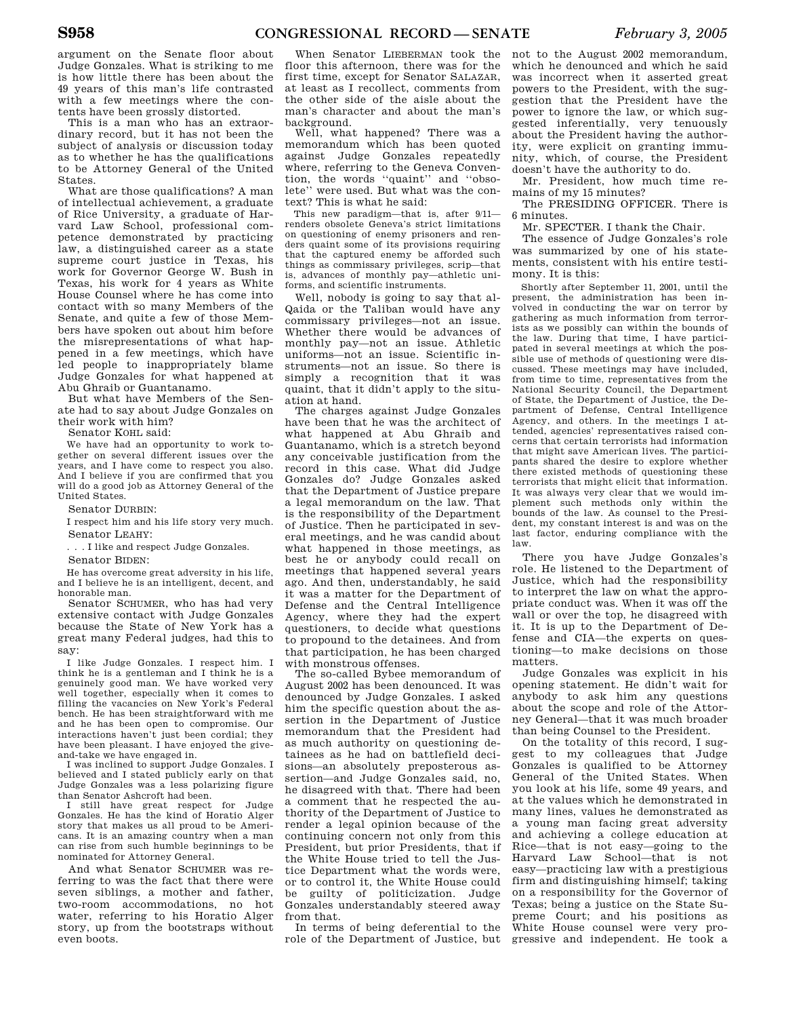argument on the Senate floor about Judge Gonzales. What is striking to me is how little there has been about the 49 years of this man's life contrasted with a few meetings where the contents have been grossly distorted.

This is a man who has an extraordinary record, but it has not been the subject of analysis or discussion today as to whether he has the qualifications to be Attorney General of the United States.

What are those qualifications? A man of intellectual achievement, a graduate of Rice University, a graduate of Harvard Law School, professional competence demonstrated by practicing law, a distinguished career as a state supreme court justice in Texas, his work for Governor George W. Bush in Texas, his work for 4 years as White House Counsel where he has come into contact with so many Members of the Senate, and quite a few of those Members have spoken out about him before the misrepresentations of what happened in a few meetings, which have led people to inappropriately blame Judge Gonzales for what happened at Abu Ghraib or Guantanamo.

But what have Members of the Senate had to say about Judge Gonzales on their work with him?

Senator KOHL said:

We have had an opportunity to work together on several different issues over the years, and I have come to respect you also. And I believe if you are confirmed that you will do a good job as Attorney General of the United States.

Senator DURBIN:

I respect him and his life story very much. Senator LEAHY:

. . . I like and respect Judge Gonzales.

Senator BIDEN:

He has overcome great adversity in his life, and I believe he is an intelligent, decent, and honorable man.

Senator SCHUMER, who has had very extensive contact with Judge Gonzales because the State of New York has a great many Federal judges, had this to say:

I like Judge Gonzales. I respect him. I think he is a gentleman and I think he is a genuinely good man. We have worked very well together, especially when it comes to filling the vacancies on New York's Federal bench. He has been straightforward with me and he has been open to compromise. Our interactions haven't just been cordial; they have been pleasant. I have enjoyed the giveand-take we have engaged in.

I was inclined to support Judge Gonzales. I believed and I stated publicly early on that Judge Gonzales was a less polarizing figure than Senator Ashcroft had been.

I still have great respect for Judge Gonzales. He has the kind of Horatio Alger story that makes us all proud to be Americans. It is an amazing country when a man can rise from such humble beginnings to be nominated for Attorney General.

And what Senator SCHUMER was referring to was the fact that there were seven siblings, a mother and father, two-room accommodations, no hot water, referring to his Horatio Alger story, up from the bootstraps without even boots.

When Senator LIEBERMAN took the floor this afternoon, there was for the first time, except for Senator SALAZAR, at least as I recollect, comments from the other side of the aisle about the man's character and about the man's background.

Well, what happened? There was a memorandum which has been quoted against Judge Gonzales repeatedly where, referring to the Geneva Convention, the words ''quaint'' and ''obsolete'' were used. But what was the context? This is what he said:

This new paradigm—that is, after 9/11 renders obsolete Geneva's strict limitations on questioning of enemy prisoners and renders quaint some of its provisions requiring that the captured enemy be afforded such things as commissary privileges, scrip—that is, advances of monthly pay—athletic uniforms, and scientific instruments.

Well, nobody is going to say that al-Qaida or the Taliban would have any commissary privileges—not an issue. Whether there would be advances of monthly pay—not an issue. Athletic uniforms—not an issue. Scientific instruments—not an issue. So there is simply a recognition that it was quaint, that it didn't apply to the situation at hand.

The charges against Judge Gonzales have been that he was the architect of what happened at Abu Ghraib and Guantanamo, which is a stretch beyond any conceivable justification from the record in this case. What did Judge Gonzales do? Judge Gonzales asked that the Department of Justice prepare a legal memorandum on the law. That is the responsibility of the Department of Justice. Then he participated in several meetings, and he was candid about what happened in those meetings, as best he or anybody could recall on meetings that happened several years ago. And then, understandably, he said it was a matter for the Department of Defense and the Central Intelligence Agency, where they had the expert questioners, to decide what questions to propound to the detainees. And from that participation, he has been charged with monstrous offenses.

The so-called Bybee memorandum of August 2002 has been denounced. It was denounced by Judge Gonzales. I asked him the specific question about the assertion in the Department of Justice memorandum that the President had as much authority on questioning detainees as he had on battlefield decisions—an absolutely preposterous assertion—and Judge Gonzales said, no, he disagreed with that. There had been a comment that he respected the authority of the Department of Justice to render a legal opinion because of the continuing concern not only from this President, but prior Presidents, that if the White House tried to tell the Justice Department what the words were, or to control it, the White House could be guilty of politicization. Judge Gonzales understandably steered away from that.

In terms of being deferential to the role of the Department of Justice, but not to the August 2002 memorandum, which he denounced and which he said was incorrect when it asserted great powers to the President, with the suggestion that the President have the power to ignore the law, or which suggested inferentially, very tenuously about the President having the authority, were explicit on granting immunity, which, of course, the President doesn't have the authority to do.

Mr. President, how much time remains of my 15 minutes?

The PRESIDING OFFICER. There is 6 minutes.

Mr. SPECTER. I thank the Chair.

The essence of Judge Gonzales's role was summarized by one of his statements, consistent with his entire testimony. It is this:

Shortly after September 11, 2001, until the present, the administration has been involved in conducting the war on terror by gathering as much information from terrorists as we possibly can within the bounds of the law. During that time, I have participated in several meetings at which the possible use of methods of questioning were discussed. These meetings may have included, from time to time, representatives from the National Security Council, the Department of State, the Department of Justice, the Department of Defense, Central Intelligence Agency, and others. In the meetings I attended, agencies' representatives raised concerns that certain terrorists had information that might save American lives. The participants shared the desire to explore whether there existed methods of questioning these terrorists that might elicit that information. It was always very clear that we would implement such methods only within the bounds of the law. As counsel to the President, my constant interest is and was on the last factor, enduring compliance with the law.

There you have Judge Gonzales's role. He listened to the Department of Justice, which had the responsibility to interpret the law on what the appropriate conduct was. When it was off the wall or over the top, he disagreed with it. It is up to the Department of Defense and CIA—the experts on questioning—to make decisions on those matters.

Judge Gonzales was explicit in his opening statement. He didn't wait for anybody to ask him any questions about the scope and role of the Attorney General—that it was much broader than being Counsel to the President.

On the totality of this record, I suggest to my colleagues that Judge Gonzales is qualified to be Attorney General of the United States. When you look at his life, some 49 years, and at the values which he demonstrated in many lines, values he demonstrated as a young man facing great adversity and achieving a college education at Rice—that is not easy—going to the Harvard Law School—that is not easy—practicing law with a prestigious firm and distinguishing himself; taking on a responsibility for the Governor of Texas; being a justice on the State Supreme Court; and his positions as White House counsel were very progressive and independent. He took a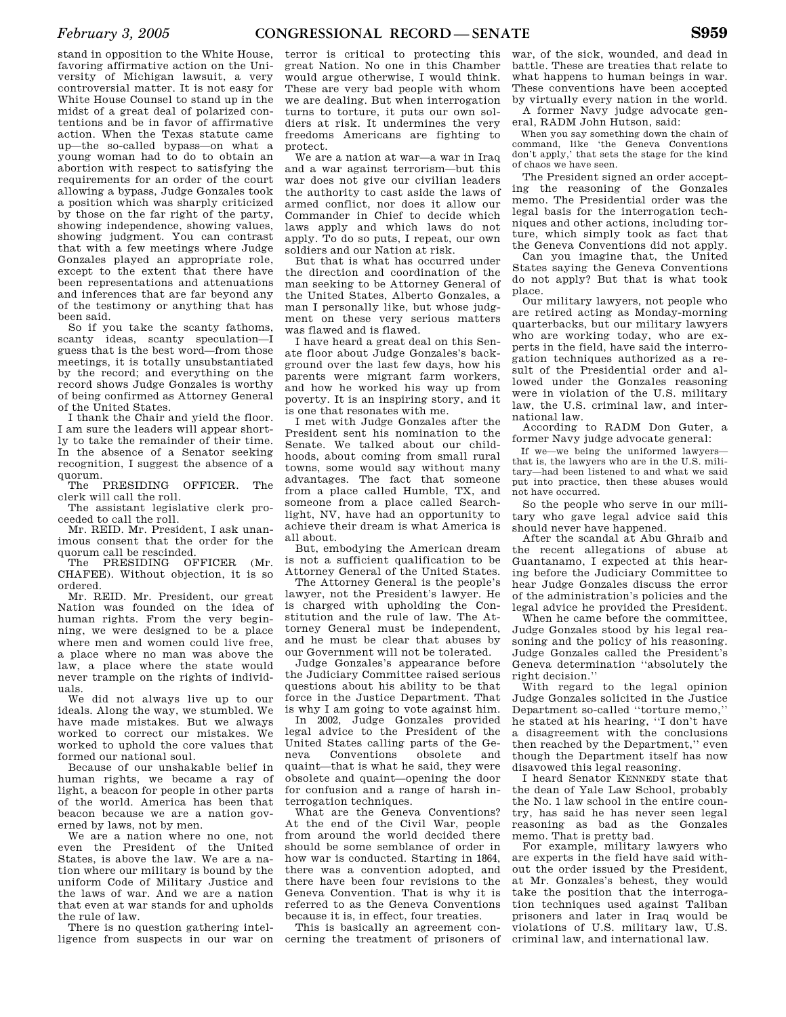stand in opposition to the White House, favoring affirmative action on the University of Michigan lawsuit, a very controversial matter. It is not easy for White House Counsel to stand up in the midst of a great deal of polarized contentions and be in favor of affirmative action. When the Texas statute came up—the so-called bypass—on what a young woman had to do to obtain an abortion with respect to satisfying the requirements for an order of the court allowing a bypass, Judge Gonzales took a position which was sharply criticized by those on the far right of the party, showing independence, showing values, showing judgment. You can contrast that with a few meetings where Judge Gonzales played an appropriate role, except to the extent that there have been representations and attenuations and inferences that are far beyond any of the testimony or anything that has been said.

So if you take the scanty fathoms, scanty ideas, scanty speculation—I guess that is the best word—from those meetings, it is totally unsubstantiated by the record; and everything on the record shows Judge Gonzales is worthy of being confirmed as Attorney General of the United States.

I thank the Chair and yield the floor. I am sure the leaders will appear shortly to take the remainder of their time. In the absence of a Senator seeking recognition, I suggest the absence of a quorum.

The PRESIDING OFFICER. The clerk will call the roll.

The assistant legislative clerk proceeded to call the roll.

Mr. REID. Mr. President, I ask unanimous consent that the order for the quorum call be rescinded.

The PRESIDING OFFICER (Mr. CHAFEE). Without objection, it is so ordered.

Mr. REID. Mr. President, our great Nation was founded on the idea of human rights. From the very beginning, we were designed to be a place where men and women could live free, a place where no man was above the law, a place where the state would never trample on the rights of individuals.

We did not always live up to our ideals. Along the way, we stumbled. We have made mistakes. But we always worked to correct our mistakes. We worked to uphold the core values that formed our national soul.

Because of our unshakable belief in human rights, we became a ray of light, a beacon for people in other parts of the world. America has been that beacon because we are a nation governed by laws, not by men.

We are a nation where no one, not even the President of the United States, is above the law. We are a nation where our military is bound by the uniform Code of Military Justice and the laws of war. And we are a nation that even at war stands for and upholds the rule of law.

There is no question gathering intelligence from suspects in our war on

terror is critical to protecting this great Nation. No one in this Chamber would argue otherwise, I would think. These are very bad people with whom we are dealing. But when interrogation turns to torture, it puts our own soldiers at risk. It undermines the very freedoms Americans are fighting to protect.

We are a nation at war—a war in Iraq and a war against terrorism—but this war does not give our civilian leaders the authority to cast aside the laws of armed conflict, nor does it allow our Commander in Chief to decide which laws apply and which laws do not apply. To do so puts, I repeat, our own soldiers and our Nation at risk.

But that is what has occurred under the direction and coordination of the man seeking to be Attorney General of the United States, Alberto Gonzales, a man I personally like, but whose judgment on these very serious matters was flawed and is flawed.

I have heard a great deal on this Senate floor about Judge Gonzales's background over the last few days, how his parents were migrant farm workers, and how he worked his way up from poverty. It is an inspiring story, and it is one that resonates with me.

I met with Judge Gonzales after the President sent his nomination to the Senate. We talked about our childhoods, about coming from small rural towns, some would say without many advantages. The fact that someone from a place called Humble, TX, and someone from a place called Searchlight, NV, have had an opportunity to achieve their dream is what America is all about.

But, embodying the American dream is not a sufficient qualification to be Attorney General of the United States.

The Attorney General is the people's lawyer, not the President's lawyer. He is charged with upholding the Constitution and the rule of law. The Attorney General must be independent, and he must be clear that abuses by our Government will not be tolerated.

Judge Gonzales's appearance before the Judiciary Committee raised serious questions about his ability to be that force in the Justice Department. That is why I am going to vote against him.

In 2002, Judge Gonzales provided legal advice to the President of the United States calling parts of the Geneva Conventions obsolete and quaint—that is what he said, they were obsolete and quaint—opening the door for confusion and a range of harsh interrogation techniques.

What are the Geneva Conventions? At the end of the Civil War, people from around the world decided there should be some semblance of order in how war is conducted. Starting in 1864, there was a convention adopted, and there have been four revisions to the Geneva Convention. That is why it is referred to as the Geneva Conventions because it is, in effect, four treaties.

This is basically an agreement concerning the treatment of prisoners of criminal law, and international law.

war, of the sick, wounded, and dead in battle. These are treaties that relate to what happens to human beings in war. These conventions have been accepted by virtually every nation in the world.

A former Navy judge advocate general, RADM John Hutson, said:

When you say something down the chain of command, like 'the Geneva Conventions don't apply,' that sets the stage for the kind of chaos we have seen.

The President signed an order accepting the reasoning of the Gonzales memo. The Presidential order was the legal basis for the interrogation techniques and other actions, including torture, which simply took as fact that the Geneva Conventions did not apply.

Can you imagine that, the United States saying the Geneva Conventions do not apply? But that is what took place.

Our military lawyers, not people who are retired acting as Monday-morning quarterbacks, but our military lawyers who are working today, who are experts in the field, have said the interrogation techniques authorized as a result of the Presidential order and allowed under the Gonzales reasoning were in violation of the U.S. military law, the U.S. criminal law, and international law.

According to RADM Don Guter, a former Navy judge advocate general:

If we—we being the uniformed lawyers that is, the lawyers who are in the U.S. military—had been listened to and what we said put into practice, then these abuses would not have occurred.

So the people who serve in our military who gave legal advice said this should never have happened.

After the scandal at Abu Ghraib and the recent allegations of abuse at Guantanamo, I expected at this hearing before the Judiciary Committee to hear Judge Gonzales discuss the error of the administration's policies and the legal advice he provided the President.

When he came before the committee, Judge Gonzales stood by his legal reasoning and the policy of his reasoning. Judge Gonzales called the President's Geneva determination ''absolutely the right decision.''

With regard to the legal opinion Judge Gonzales solicited in the Justice Department so-called ''torture memo,'' he stated at his hearing, ''I don't have a disagreement with the conclusions then reached by the Department,'' even though the Department itself has now disavowed this legal reasoning.

I heard Senator KENNEDY state that the dean of Yale Law School, probably the No. 1 law school in the entire country, has said he has never seen legal reasoning as bad as the Gonzales memo. That is pretty bad.

For example, military lawyers who are experts in the field have said without the order issued by the President, at Mr. Gonzales's behest, they would take the position that the interrogation techniques used against Taliban prisoners and later in Iraq would be violations of U.S. military law, U.S.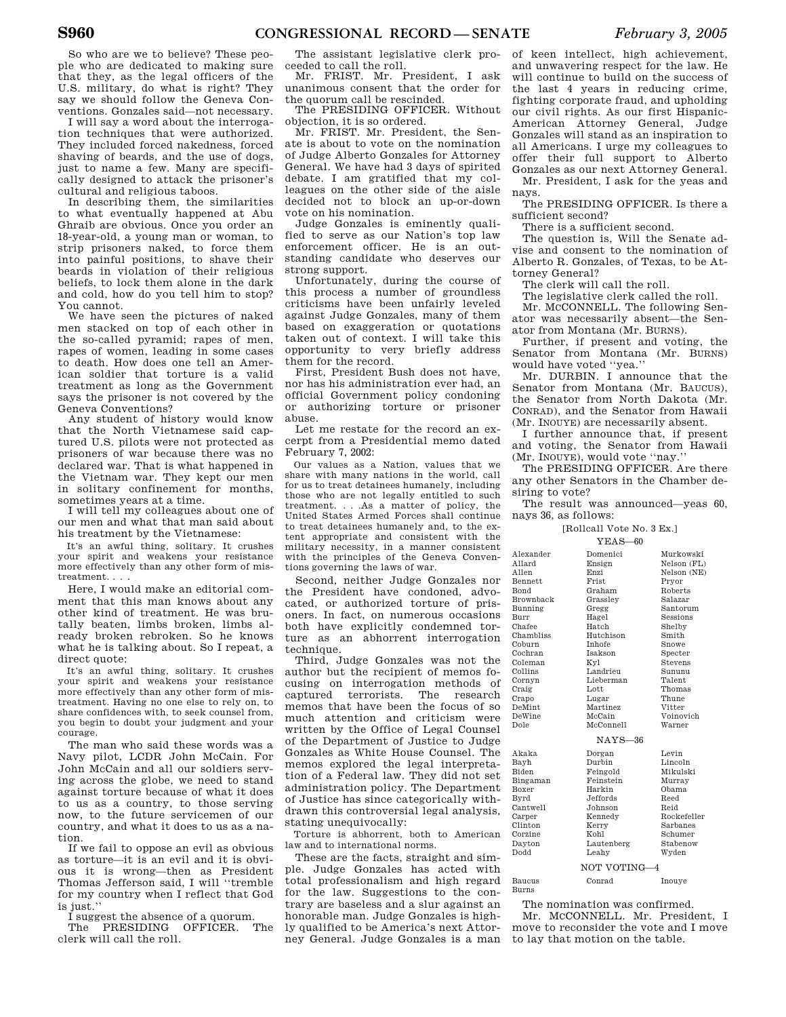So who are we to believe? These people who are dedicated to making sure that they, as the legal officers of the U.S. military, do what is right? They say we should follow the Geneva Conventions. Gonzales said—not necessary.

I will say a word about the interrogation techniques that were authorized. They included forced nakedness, forced shaving of beards, and the use of dogs, just to name a few. Many are specifically designed to attack the prisoner's cultural and religious taboos.

In describing them, the similarities to what eventually happened at Abu Ghraib are obvious. Once you order an 18-year-old, a young man or woman, to strip prisoners naked, to force them into painful positions, to shave their beards in violation of their religious beliefs, to lock them alone in the dark and cold, how do you tell him to stop? You cannot.

We have seen the pictures of naked men stacked on top of each other in the so-called pyramid; rapes of men, rapes of women, leading in some cases to death. How does one tell an American soldier that torture is a valid treatment as long as the Government says the prisoner is not covered by the Geneva Conventions?

Any student of history would know that the North Vietnamese said captured U.S. pilots were not protected as prisoners of war because there was no declared war. That is what happened in the Vietnam war. They kept our men in solitary confinement for months, sometimes years at a time.

I will tell my colleagues about one of our men and what that man said about his treatment by the Vietnamese:

It's an awful thing, solitary. It crushes your spirit and weakens your resistance more effectively than any other form of mistreatment. . . .

Here, I would make an editorial comment that this man knows about any other kind of treatment. He was brutally beaten, limbs broken, limbs already broken rebroken. So he knows what he is talking about. So I repeat, a direct quote:

It's an awful thing, solitary. It crushes your spirit and weakens your resistance more effectively than any other form of mistreatment. Having no one else to rely on, to share confidences with, to seek counsel from, you begin to doubt your judgment and your courage.

The man who said these words was a Navy pilot, LCDR John McCain. For John McCain and all our soldiers serving across the globe, we need to stand against torture because of what it does to us as a country, to those serving now, to the future servicemen of our country, and what it does to us as a nation.

If we fail to oppose an evil as obvious as torture—it is an evil and it is obvious it is wrong—then as President Thomas Jefferson said, I will ''tremble for my country when I reflect that God is just."

I suggest the absence of a quorum.

The PRESIDING OFFICER. The clerk will call the roll.

The assistant legislative clerk proceeded to call the roll.

Mr. FRIST. Mr. President, I ask unanimous consent that the order for the quorum call be rescinded.

The PRESIDING OFFICER. Without objection, it is so ordered.

Mr. FRIST. Mr. President, the Senate is about to vote on the nomination of Judge Alberto Gonzales for Attorney General. We have had 3 days of spirited debate. I am gratified that my colleagues on the other side of the aisle decided not to block an up-or-down vote on his nomination.

Judge Gonzales is eminently qualified to serve as our Nation's top law enforcement officer. He is an outstanding candidate who deserves our strong support.

Unfortunately, during the course of this process a number of groundless criticisms have been unfairly leveled against Judge Gonzales, many of them based on exaggeration or quotations taken out of context. I will take this opportunity to very briefly address them for the record.

First, President Bush does not have, nor has his administration ever had, an official Government policy condoning or authorizing torture or prisoner abuse.

Let me restate for the record an excerpt from a Presidential memo dated February 7, 2002:

Our values as a Nation, values that we share with many nations in the world, call for us to treat detainees humanely, including those who are not legally entitled to such treatment. . . .As a matter of policy, the United States Armed Forces shall continue to treat detainees humanely and, to the extent appropriate and consistent with the military necessity, in a manner consistent with the principles of the Geneva Conventions governing the laws of war.

Second, neither Judge Gonzales nor the President have condoned, advocated, or authorized torture of prisoners. In fact, on numerous occasions both have explicitly condemned torture as an abhorrent interrogation technique.

Third, Judge Gonzales was not the author but the recipient of memos focusing on interrogation methods of captured terrorists. The research memos that have been the focus of so much attention and criticism were written by the Office of Legal Counsel of the Department of Justice to Judge Gonzales as White House Counsel. The memos explored the legal interpretation of a Federal law. They did not set administration policy. The Department of Justice has since categorically withdrawn this controversial legal analysis, stating unequivocally:

Torture is abhorrent, both to American law and to international norms.

These are the facts, straight and simple. Judge Gonzales has acted with total professionalism and high regard for the law. Suggestions to the contrary are baseless and a slur against an honorable man. Judge Gonzales is highly qualified to be America's next Attorney General. Judge Gonzales is a man

of keen intellect, high achievement, and unwavering respect for the law. He will continue to build on the success of the last 4 years in reducing crime, fighting corporate fraud, and upholding our civil rights. As our first Hispanic-American Attorney General, Judge Gonzales will stand as an inspiration to all Americans. I urge my colleagues to offer their full support to Alberto Gonzales as our next Attorney General. Mr. President, I ask for the yeas and

nays. The PRESIDING OFFICER. Is there a

sufficient second?

There is a sufficient second.

The question is, Will the Senate advise and consent to the nomination of Alberto R. Gonzales, of Texas, to be Attorney General?

The clerk will call the roll.

The legislative clerk called the roll.

Mr. MCCONNELL. The following Senator was necessarily absent—the Senator from Montana (Mr. BURNS).

Further, if present and voting, the Senator from Montana (Mr. BURNS) would have voted ''yea.''

Mr. DURBIN. I announce that the Senator from Montana (Mr. BAUCUS), the Senator from North Dakota (Mr. CONRAD), and the Senator from Hawaii (Mr. INOUYE) are necessarily absent.

I further announce that, if present and voting, the Senator from Hawaii (Mr. INOUYE), would vote ''nay.''

The PRESIDING OFFICER. Are there any other Senators in the Chamber desiring to vote?

The result was announced—yeas 60, nays 36, as follows:

[Rollcall Vote No. 3 Ex.]  $\nabla$ EAS 60

|                  | יט—פרבע ב      |                |
|------------------|----------------|----------------|
| Alexander        | Domenici       | Murkowski      |
| Allard           | Ensign         | Nelson (FL)    |
| Allen            | Enzi           | Nelson (NE)    |
| <b>Bennett</b>   | Frist          | Pryor          |
| <b>Bond</b>      | Graham         | Roberts        |
| <b>Brownback</b> | Grasslev       | Salazar        |
| Bunning          | Gregg          | Santorum       |
| Burr             | Hagel          | Sessions       |
| Chafee           | Hatch          | Shelby         |
| Chambliss        | Hutchison      | Smith          |
| Coburn           | <b>Inhofe</b>  | Snowe          |
| Cochran          | <b>Isakson</b> | Specter        |
| Coleman          | Kyl            | <b>Stevens</b> |
| Collins          | Landrieu       | Sununu         |
| Cornyn           | Lieberman      | Talent         |
| Craig            | Lott           | Thomas         |
| Crapo            | Lugar          | Thune          |
| <b>DeMint</b>    | Martinez       | Vitter         |
| DeWine           | McCain         | Voinovich      |
| Dole             | McConnell      | Warner         |
| $NAYS-36$        |                |                |
| Akaka            | Dorgan         | Levin          |
| Bayh             | Durbin         | Lincoln        |
| <b>Biden</b>     | Feingold       | Mikulski       |
| Bingaman         | Feinstein      | Murray         |
| Boxer            | Harkin         | Obama          |
| Byrd             | Jeffords.      | Reed           |
| Cantwell         | Johnson        | Reid           |
| Carper           | Kennedy        | Rockefeller    |
| Clinton          | Kerry          | Sarbanes       |
| Corzine          | Kohl           | Schumer        |
| Dayton           | Lautenberg     | Stabenow       |
| <b>Dodd</b>      | Leahy          | Wyden          |
| NOT VOTING-4     |                |                |
| Baucus           | Conrad         | Inouye         |
| <b>Burns</b>     |                |                |

The nomination was confirmed.

Mr. MCCONNELL. Mr. President, I move to reconsider the vote and I move to lay that motion on the table.